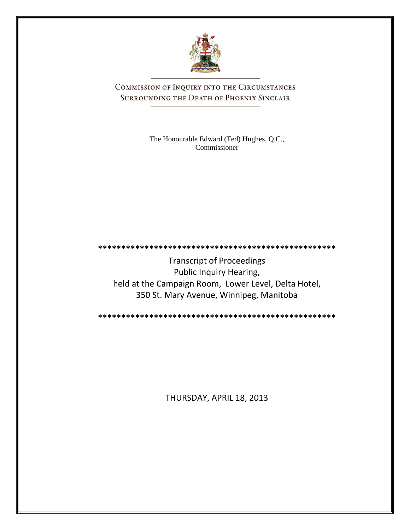

COMMISSION OF INQUIRY INTO THE CIRCUMSTANCES SURROUNDING THE DEATH OF PHOENIX SINCLAIR

> The Honourable Edward (Ted) Hughes, Q.C., Commissioner

**\*\*\*\*\*\*\*\*\*\*\*\*\*\*\*\*\*\*\*\*\*\*\*\*\*\*\*\*\*\*\*\*\*\*\*\*\*\*\*\*\*\*\*\*\*\*\*\*\*\*\*** Transcript of Proceedings Public Inquiry Hearing, held at the Campaign Room, Lower Level, Delta Hotel, 350 St. Mary Avenue, Winnipeg, Manitoba

**\*\*\*\*\*\*\*\*\*\*\*\*\*\*\*\*\*\*\*\*\*\*\*\*\*\*\*\*\*\*\*\*\*\*\*\*\*\*\*\*\*\*\*\*\*\*\*\*\*\*\***

THURSDAY, APRIL 18, 2013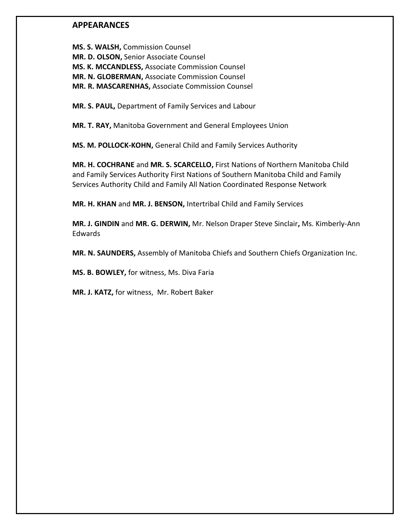### **APPEARANCES**

**MS. S. WALSH,** Commission Counsel **MR. D. OLSON,** Senior Associate Counsel **MS. K. MCCANDLESS,** Associate Commission Counsel **MR. N. GLOBERMAN,** Associate Commission Counsel **MR. R. MASCARENHAS,** Associate Commission Counsel

**MR. S. PAUL,** Department of Family Services and Labour

**MR. T. RAY,** Manitoba Government and General Employees Union

**MS. M. POLLOCK-KOHN,** General Child and Family Services Authority

**MR. H. COCHRANE** and **MR. S. SCARCELLO,** First Nations of Northern Manitoba Child and Family Services Authority First Nations of Southern Manitoba Child and Family Services Authority Child and Family All Nation Coordinated Response Network

**MR. H. KHAN** and **MR. J. BENSON,** Intertribal Child and Family Services

**MR. J. GINDIN** and **MR. G. DERWIN,** Mr. Nelson Draper Steve Sinclair**,** Ms. Kimberly-Ann Edwards

**MR. N. SAUNDERS,** Assembly of Manitoba Chiefs and Southern Chiefs Organization Inc.

**MS. B. BOWLEY,** for witness, Ms. Diva Faria

**MR. J. KATZ,** for witness, Mr. Robert Baker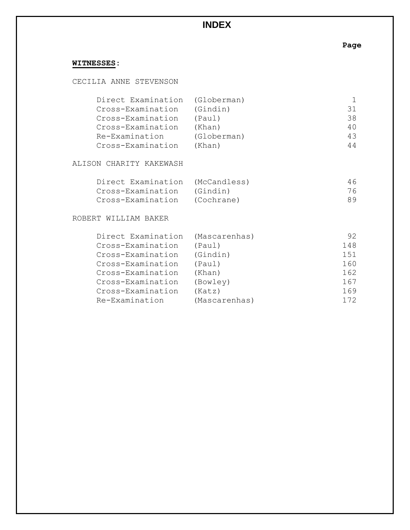# **WITNESSES:**

### CECILIA ANNE STEVENSON

| Direct Examination (Globerman) |             |    |
|--------------------------------|-------------|----|
| Cross-Examination              | (Gindin)    | 31 |
| Cross-Examination              | (Paul)      | 38 |
| Cross-Examination              | (Khan)      | 40 |
| Re-Examination                 | (Globerman) | 43 |
| Cross-Examination              | (Khan)      | 44 |

### ALISON CHARITY KAKEWASH

| Direct Examination (McCandless) | 46 |
|---------------------------------|----|
| Cross-Examination (Gindin)      | 76 |
| Cross-Examination (Cochrane)    | 89 |

#### ROBERT WILLIAM BAKER

| Direct Examination | (Mascarenhas) | 92. |
|--------------------|---------------|-----|
| Cross-Examination  | (Paul)        | 148 |
| Cross-Examination  | (Gindin)      | 151 |
| Cross-Examination  | (Paul)        | 160 |
| Cross-Examination  | (Khan)        | 162 |
| Cross-Examination  | (Bowley)      | 167 |
| Cross-Examination  | (Katz)        | 169 |
| Re-Examination     | (Mascarenhas) | 172 |

# **Page**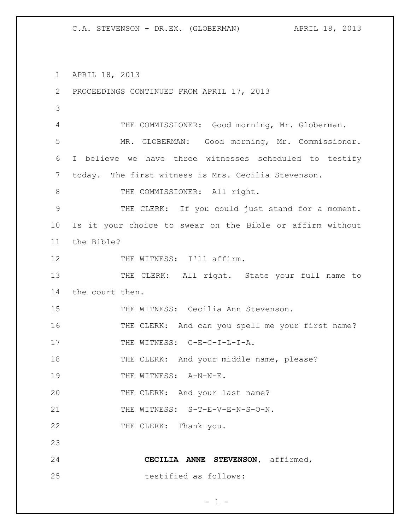1 APRIL 18, 2013 2 PROCEEDINGS CONTINUED FROM APRIL 17, 2013 3 4 THE COMMISSIONER: Good morning, Mr. Globerman. 5 MR. GLOBERMAN: Good morning, Mr. Commissioner. 6 I believe we have three witnesses scheduled to testify 7 today. The first witness is Mrs. Cecilia Stevenson. 8 THE COMMISSIONER: All right. 9 THE CLERK: If you could just stand for a moment. 10 Is it your choice to swear on the Bible or affirm without 11 the Bible? 12 THE WITNESS: I'll affirm. 13 THE CLERK: All right. State your full name to 14 the court then. 15 THE WITNESS: Cecilia Ann Stevenson. 16 THE CLERK: And can you spell me your first name? 17 THE WITNESS: C-E-C-I-L-I-A. 18 THE CLERK: And your middle name, please? 19 THE WITNESS: A-N-N-E. 20 THE CLERK: And your last name? 21 THE WITNESS: S-T-E-V-E-N-S-O-N. 22 THE CLERK: Thank you. 23 24 **CECILIA ANNE STEVENSON,** affirmed, 25 testified as follows:

$$
= 1 -
$$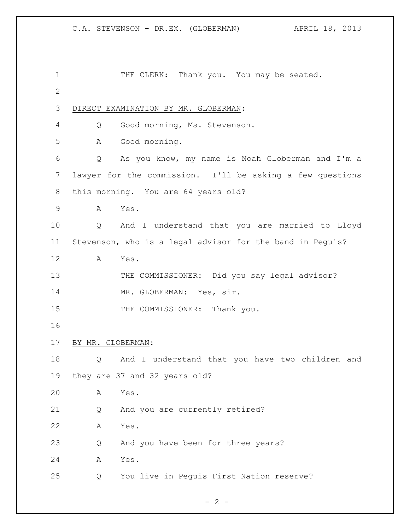```
1 THE CLERK: Thank you. You may be seated.
2
3 DIRECT EXAMINATION BY MR. GLOBERMAN:
4 Q Good morning, Ms. Stevenson.
5 A Good morning.
6 Q As you know, my name is Noah Globerman and I'm a 
7 lawyer for the commission. I'll be asking a few questions 
8 this morning. You are 64 years old?
9 A Yes.
10 Q And I understand that you are married to Lloyd 
11 Stevenson, who is a legal advisor for the band in Peguis?
12 A Yes.
13 THE COMMISSIONER: Did you say legal advisor?
14 MR. GLOBERMAN: Yes, sir.
15 THE COMMISSIONER: Thank you.
16
17 BY MR. GLOBERMAN:
18 Q And I understand that you have two children and 
19 they are 37 and 32 years old?
20 A Yes.
21 Q And you are currently retired?
22 A Yes.
23 Q And you have been for three years?
24 A Yes.
25 Q You live in Peguis First Nation reserve?
```

```
- 2 -
```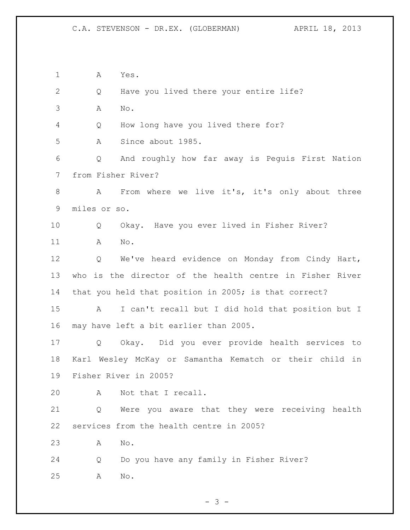A Yes. Q Have you lived there your entire life? A No. Q How long have you lived there for? A Since about 1985. Q And roughly how far away is Peguis First Nation from Fisher River? A From where we live it's, it's only about three miles or so. Q Okay. Have you ever lived in Fisher River? A No. Q We've heard evidence on Monday from Cindy Hart, who is the director of the health centre in Fisher River that you held that position in 2005; is that correct? A I can't recall but I did hold that position but I may have left a bit earlier than 2005. Q Okay. Did you ever provide health services to Karl Wesley McKay or Samantha Kematch or their child in Fisher River in 2005? A Not that I recall. Q Were you aware that they were receiving health services from the health centre in 2005? A No. Q Do you have any family in Fisher River? A No.

 $- 3 -$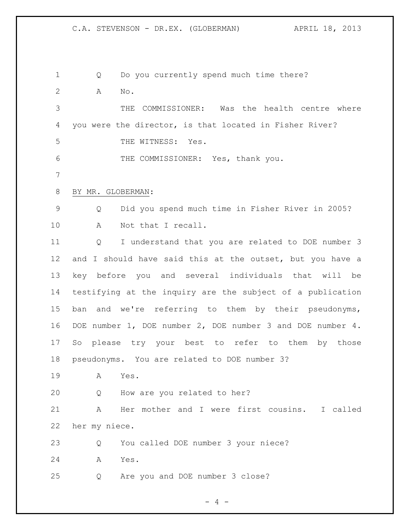1 Q Do you currently spend much time there? A No. THE COMMISSIONER: Was the health centre where you were the director, is that located in Fisher River? THE WITNESS: Yes. THE COMMISSIONER: Yes, thank you. BY MR. GLOBERMAN: Q Did you spend much time in Fisher River in 2005? A Not that I recall. Q I understand that you are related to DOE number 3 and I should have said this at the outset, but you have a key before you and several individuals that will be testifying at the inquiry are the subject of a publication ban and we're referring to them by their pseudonyms, DOE number 1, DOE number 2, DOE number 3 and DOE number 4. So please try your best to refer to them by those pseudonyms. You are related to DOE number 3? A Yes. Q How are you related to her? A Her mother and I were first cousins. I called her my niece. Q You called DOE number 3 your niece? A Yes. Q Are you and DOE number 3 close?

 $- 4 -$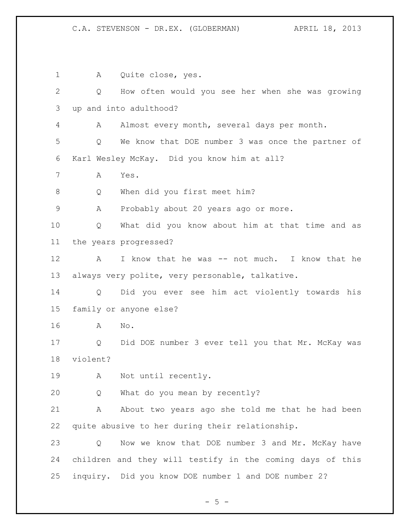A Quite close, yes. Q How often would you see her when she was growing up and into adulthood? A Almost every month, several days per month. Q We know that DOE number 3 was once the partner of Karl Wesley McKay. Did you know him at all? A Yes. 8 Q When did you first meet him? A Probably about 20 years ago or more. Q What did you know about him at that time and as the years progressed? 12 A I know that he was -- not much. I know that he always very polite, very personable, talkative. Q Did you ever see him act violently towards his family or anyone else? A No. Q Did DOE number 3 ever tell you that Mr. McKay was violent? A Not until recently. Q What do you mean by recently? 21 A About two years ago she told me that he had been quite abusive to her during their relationship. Q Now we know that DOE number 3 and Mr. McKay have children and they will testify in the coming days of this inquiry. Did you know DOE number 1 and DOE number 2?

 $- 5 -$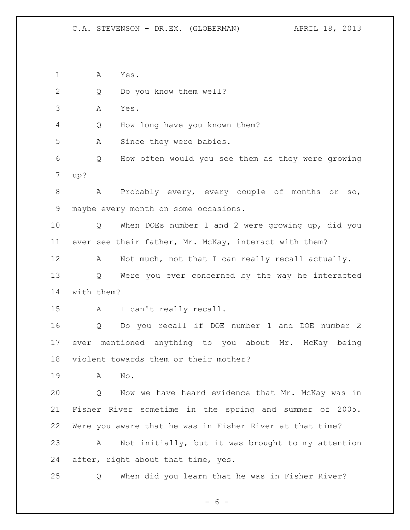A Yes. Q Do you know them well? A Yes. Q How long have you known them? A Since they were babies. Q How often would you see them as they were growing up? 8 A Probably every, every couple of months or so, maybe every month on some occasions. Q When DOEs number 1 and 2 were growing up, did you ever see their father, Mr. McKay, interact with them? 12 A Not much, not that I can really recall actually. Q Were you ever concerned by the way he interacted with them? A I can't really recall. Q Do you recall if DOE number 1 and DOE number 2 ever mentioned anything to you about Mr. McKay being violent towards them or their mother? A No. Q Now we have heard evidence that Mr. McKay was in Fisher River sometime in the spring and summer of 2005. Were you aware that he was in Fisher River at that time? A Not initially, but it was brought to my attention after, right about that time, yes. Q When did you learn that he was in Fisher River?

 $- 6 -$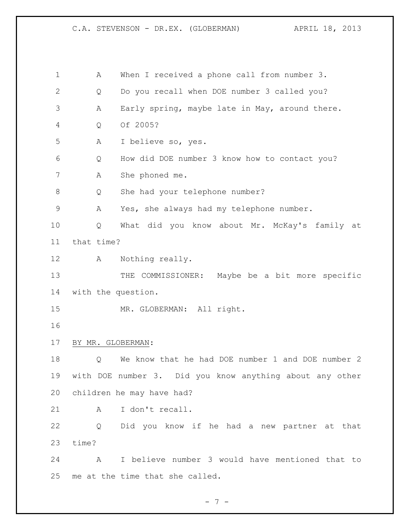| 1            | Α                  | When I received a phone call from number 3.              |
|--------------|--------------------|----------------------------------------------------------|
| $\mathbf{2}$ | Q                  | Do you recall when DOE number 3 called you?              |
| 3            | Α                  | Early spring, maybe late in May, around there.           |
| 4            | Q                  | Of 2005?                                                 |
| 5            | Α                  | I believe so, yes.                                       |
| 6            | Q                  | How did DOE number 3 know how to contact you?            |
| 7            | A                  | She phoned me.                                           |
| 8            | Q                  | She had your telephone number?                           |
| 9            | Α                  | Yes, she always had my telephone number.                 |
| 10           | Q                  | What did you know about Mr. McKay's family at            |
| 11           | that time?         |                                                          |
| 12           | A                  | Nothing really.                                          |
| 13           |                    | THE COMMISSIONER: Maybe be a bit more specific           |
| 14           | with the question. |                                                          |
| 15           |                    | MR. GLOBERMAN: All right.                                |
| 16           |                    |                                                          |
| 17           | BY MR. GLOBERMAN:  |                                                          |
| 18           | Q                  | We know that he had DOE number 1 and DOE number 2        |
| 19           |                    | with DOE number 3. Did you know anything about any other |
| 20           |                    | children he may have had?                                |
| 21           | A                  | I don't recall.                                          |
| 22           |                    | Q Did you know if he had a new partner at that           |
| 23           | time?              |                                                          |
| 24           | $\mathbf{A}$       | I believe number 3 would have mentioned that to          |
| 25           |                    | me at the time that she called.                          |

- 7 -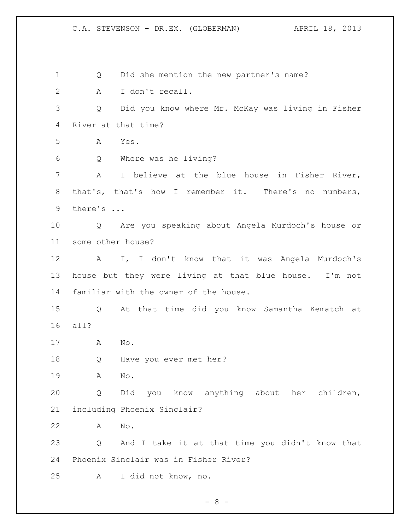Q Did she mention the new partner's name? A I don't recall. Q Did you know where Mr. McKay was living in Fisher River at that time? A Yes. Q Where was he living? A I believe at the blue house in Fisher River, that's, that's how I remember it. There's no numbers, there's ... Q Are you speaking about Angela Murdoch's house or some other house? A I, I don't know that it was Angela Murdoch's house but they were living at that blue house. I'm not familiar with the owner of the house. Q At that time did you know Samantha Kematch at all? A No. Q Have you ever met her? A No. Q Did you know anything about her children, including Phoenix Sinclair? A No. Q And I take it at that time you didn't know that Phoenix Sinclair was in Fisher River? A I did not know, no.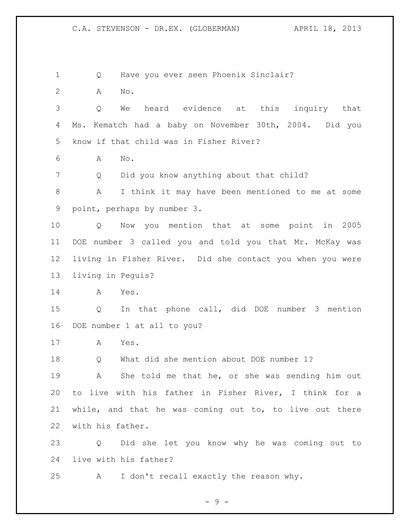Q Have you ever seen Phoenix Sinclair?

A No.

 Q We heard evidence at this inquiry that Ms. Kematch had a baby on November 30th, 2004. Did you know if that child was in Fisher River?

A No.

Q Did you know anything about that child?

 A I think it may have been mentioned to me at some point, perhaps by number 3.

 Q Now you mention that at some point in 2005 DOE number 3 called you and told you that Mr. McKay was living in Fisher River. Did she contact you when you were living in Peguis?

A Yes.

 Q In that phone call, did DOE number 3 mention DOE number 1 at all to you?

A Yes.

Q What did she mention about DOE number 1?

 A She told me that he, or she was sending him out to live with his father in Fisher River, I think for a while, and that he was coming out to, to live out there with his father.

 Q Did she let you know why he was coming out to live with his father?

A I don't recall exactly the reason why.

- 9 -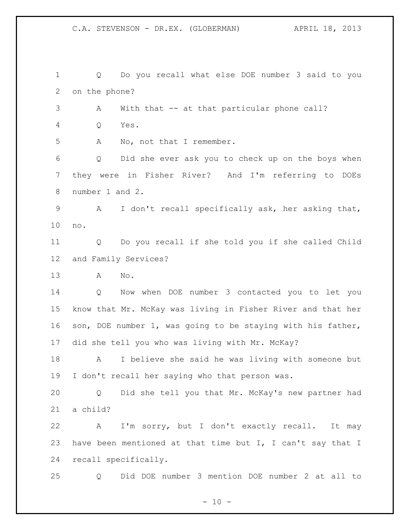Q Do you recall what else DOE number 3 said to you on the phone? A With that -- at that particular phone call? Q Yes. A No, not that I remember. Q Did she ever ask you to check up on the boys when they were in Fisher River? And I'm referring to DOEs number 1 and 2. A I don't recall specifically ask, her asking that, no. Q Do you recall if she told you if she called Child and Family Services? A No. Q Now when DOE number 3 contacted you to let you know that Mr. McKay was living in Fisher River and that her son, DOE number 1, was going to be staying with his father, did she tell you who was living with Mr. McKay? A I believe she said he was living with someone but I don't recall her saying who that person was. Q Did she tell you that Mr. McKay's new partner had a child? A I'm sorry, but I don't exactly recall. It may 23 have been mentioned at that time but I, I can't say that I recall specifically. Q Did DOE number 3 mention DOE number 2 at all to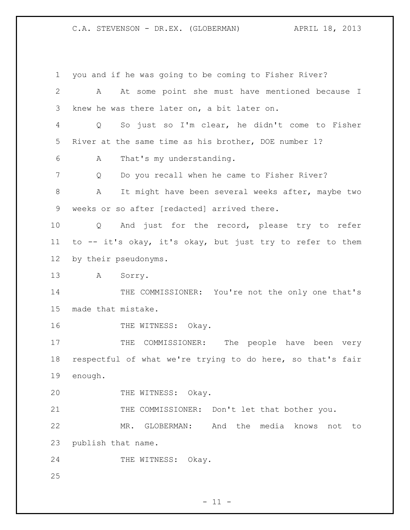you and if he was going to be coming to Fisher River? A At some point she must have mentioned because I knew he was there later on, a bit later on. Q So just so I'm clear, he didn't come to Fisher River at the same time as his brother, DOE number 1? A That's my understanding. Q Do you recall when he came to Fisher River? A It might have been several weeks after, maybe two weeks or so after [redacted] arrived there. Q And just for the record, please try to refer to -- it's okay, it's okay, but just try to refer to them by their pseudonyms. A Sorry. 14 THE COMMISSIONER: You're not the only one that's made that mistake. 16 THE WITNESS: Okay. 17 THE COMMISSIONER: The people have been very respectful of what we're trying to do here, so that's fair enough. 20 THE WITNESS: Okay. 21 THE COMMISSIONER: Don't let that bother you. MR. GLOBERMAN: And the media knows not to publish that name. 24 THE WITNESS: Okay.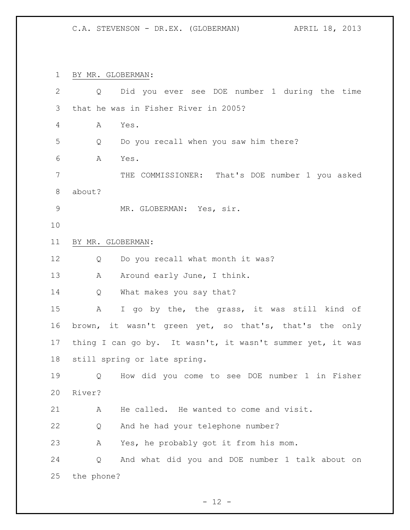BY MR. GLOBERMAN: Q Did you ever see DOE number 1 during the time that he was in Fisher River in 2005? A Yes. Q Do you recall when you saw him there? A Yes. THE COMMISSIONER: That's DOE number 1 you asked about? 9 MR. GLOBERMAN: Yes, sir. BY MR. GLOBERMAN: Q Do you recall what month it was? 13 A Around early June, I think. Q What makes you say that? A I go by the, the grass, it was still kind of brown, it wasn't green yet, so that's, that's the only 17 thing I can go by. It wasn't, it wasn't summer yet, it was still spring or late spring. Q How did you come to see DOE number 1 in Fisher River? A He called. He wanted to come and visit. Q And he had your telephone number? A Yes, he probably got it from his mom. Q And what did you and DOE number 1 talk about on the phone?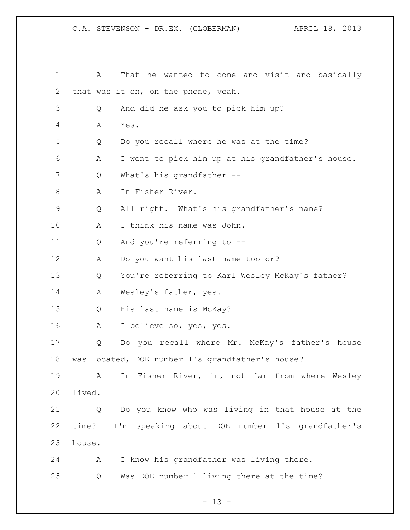A That he wanted to come and visit and basically that was it on, on the phone, yeah. Q And did he ask you to pick him up? A Yes. Q Do you recall where he was at the time? A I went to pick him up at his grandfather's house. 7 O What's his grandfather -- A In Fisher River. Q All right. What's his grandfather's name? A I think his name was John. Q And you're referring to -- A Do you want his last name too or? Q You're referring to Karl Wesley McKay's father? A Wesley's father, yes. Q His last name is McKay? A I believe so, yes, yes. Q Do you recall where Mr. McKay's father's house was located, DOE number 1's grandfather's house? A In Fisher River, in, not far from where Wesley lived. Q Do you know who was living in that house at the time? I'm speaking about DOE number 1's grandfather's house. A I know his grandfather was living there. Q Was DOE number 1 living there at the time?

 $- 13 -$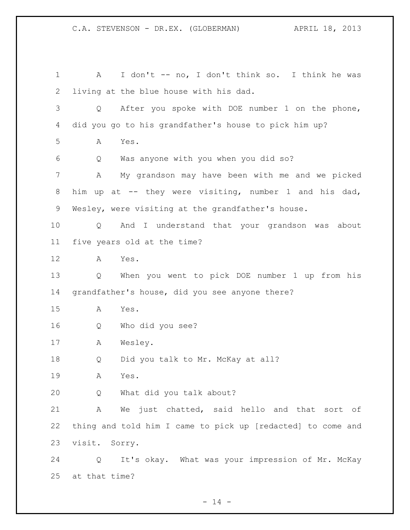1 A I don't -- no, I don't think so. I think he was living at the blue house with his dad. Q After you spoke with DOE number 1 on the phone, did you go to his grandfather's house to pick him up? A Yes. Q Was anyone with you when you did so? A My grandson may have been with me and we picked him up at -- they were visiting, number 1 and his dad, Wesley, were visiting at the grandfather's house. Q And I understand that your grandson was about five years old at the time? A Yes. Q When you went to pick DOE number 1 up from his grandfather's house, did you see anyone there? A Yes. Q Who did you see? A Wesley. Q Did you talk to Mr. McKay at all? A Yes. Q What did you talk about? A We just chatted, said hello and that sort of thing and told him I came to pick up [redacted] to come and visit. Sorry. Q It's okay. What was your impression of Mr. McKay at that time?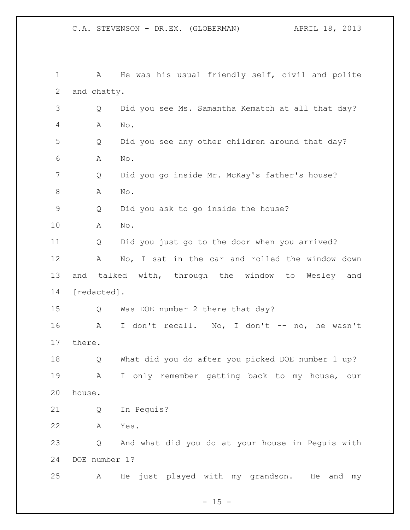| $\mathbf 1$ | A             | He was his usual friendly self, civil and polite  |
|-------------|---------------|---------------------------------------------------|
| 2           | and chatty.   |                                                   |
| 3           | Q             | Did you see Ms. Samantha Kematch at all that day? |
| 4           | Α             | No.                                               |
| 5           | Q             | Did you see any other children around that day?   |
| 6           | Α             | No.                                               |
| 7           | Q             | Did you go inside Mr. McKay's father's house?     |
| 8           | Α             | No.                                               |
| $\mathsf 9$ | Q             | Did you ask to go inside the house?               |
| 10          | Α             | No.                                               |
| 11          | Q             | Did you just go to the door when you arrived?     |
| 12          | Α             | No, I sat in the car and rolled the window down   |
| 13          |               | and talked with, through the window to Wesley and |
| 14          | [redacted].   |                                                   |
| 15          | Q             | Was DOE number 2 there that day?                  |
| 16          | A             | I don't recall. No, I don't -- no, he wasn't      |
| 17          | there.        |                                                   |
| 18          | Q             | What did you do after you picked DOE number 1 up? |
| 19          | $\mathbf{A}$  | I only remember getting back to my house, our     |
| 20          | house.        |                                                   |
| 21          | Q             | In Pequis?                                        |
| 22          | Α             | Yes.                                              |
| 23          | Q             | And what did you do at your house in Pequis with  |
| 24          | DOE number 1? |                                                   |
| 25          | A             | He just played with my grandson. He and my        |

 $- 15 -$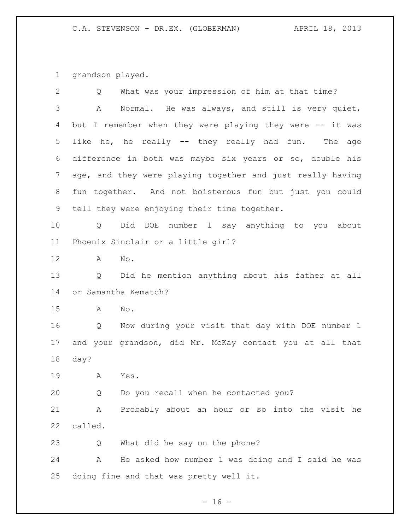grandson played.

| $\mathbf{2}$ | What was your impression of him at that time?<br>Q              |
|--------------|-----------------------------------------------------------------|
| 3            | Normal. He was always, and still is very quiet,<br>Α            |
| 4            | but I remember when they were playing they were -- it was       |
| 5            | like he, he really -- they really had fun. The age              |
| 6            | difference in both was maybe six years or so, double his        |
| 7            | age, and they were playing together and just really having      |
| 8            | fun together. And not boisterous fun but just you could         |
| 9            | tell they were enjoying their time together.                    |
| 10           | Did DOE number 1 say anything to you about<br>$Q \qquad \qquad$ |
| 11           | Phoenix Sinclair or a little girl?                              |
| 12           | No.<br>A                                                        |
| 13           | Did he mention anything about his father at all<br>Q            |
| 14           | or Samantha Kematch?                                            |
| 15           | No.<br>A                                                        |
| 16           | Now during your visit that day with DOE number 1<br>Q           |
| 17           | and your grandson, did Mr. McKay contact you at all that        |
| 18           | day?                                                            |
| 19           | A<br>Yes.                                                       |
| 20           | Do you recall when he contacted you?<br>Q                       |
| 21           | Probably about an hour or so into the visit he<br>Α             |
| 22           | called.                                                         |
| 23           | What did he say on the phone?<br>Q                              |
| 24           | He asked how number 1 was doing and I said he was<br>Α          |
| 25           | doing fine and that was pretty well it.                         |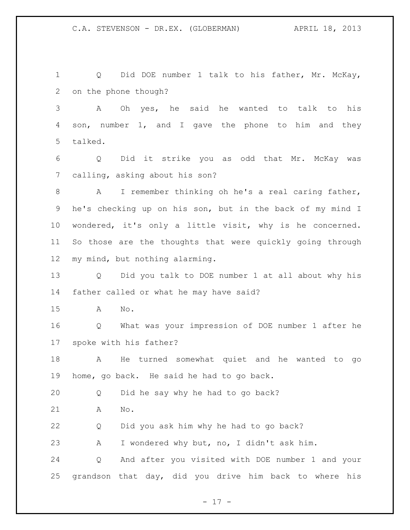Q Did DOE number 1 talk to his father, Mr. McKay, on the phone though?

 A Oh yes, he said he wanted to talk to his son, number 1, and I gave the phone to him and they talked.

 Q Did it strike you as odd that Mr. McKay was calling, asking about his son?

 A I remember thinking oh he's a real caring father, he's checking up on his son, but in the back of my mind I wondered, it's only a little visit, why is he concerned. So those are the thoughts that were quickly going through my mind, but nothing alarming.

 Q Did you talk to DOE number 1 at all about why his father called or what he may have said?

A No.

 Q What was your impression of DOE number 1 after he spoke with his father?

 A He turned somewhat quiet and he wanted to go home, go back. He said he had to go back.

Q Did he say why he had to go back?

A No.

Q Did you ask him why he had to go back?

A I wondered why but, no, I didn't ask him.

 Q And after you visited with DOE number 1 and your grandson that day, did you drive him back to where his

- 17 -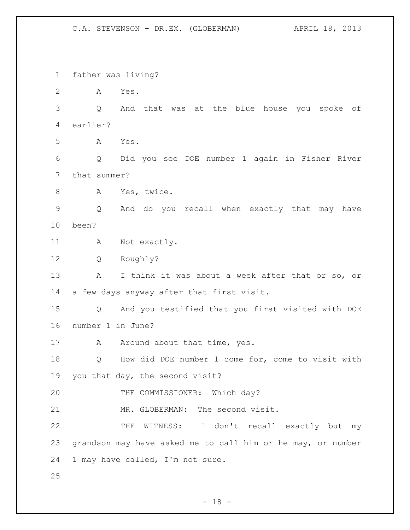father was living? A Yes. Q And that was at the blue house you spoke of earlier? A Yes. Q Did you see DOE number 1 again in Fisher River that summer? A Yes, twice. Q And do you recall when exactly that may have been? 11 A Not exactly. Q Roughly? A I think it was about a week after that or so, or a few days anyway after that first visit. Q And you testified that you first visited with DOE number 1 in June? 17 A Around about that time, yes. Q How did DOE number 1 come for, come to visit with you that day, the second visit? 20 THE COMMISSIONER: Which day? 21 MR. GLOBERMAN: The second visit. THE WITNESS: I don't recall exactly but my grandson may have asked me to call him or he may, or number 1 may have called, I'm not sure.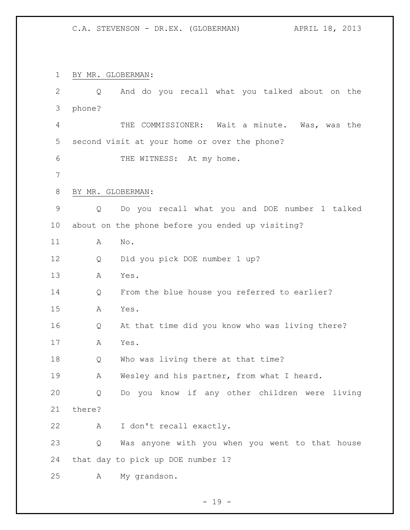BY MR. GLOBERMAN:

| $\mathbf{2}$   | Q                 | And do you recall what you talked about on the   |
|----------------|-------------------|--------------------------------------------------|
| 3              | phone?            |                                                  |
| 4              |                   | THE COMMISSIONER: Wait a minute. Was, was the    |
| 5              |                   | second visit at your home or over the phone?     |
| 6              |                   | THE WITNESS: At my home.                         |
| $7\phantom{.}$ |                   |                                                  |
| 8              | BY MR. GLOBERMAN: |                                                  |
| $\mathsf 9$    | Q                 | Do you recall what you and DOE number 1 talked   |
| 10             |                   | about on the phone before you ended up visiting? |
| 11             | Α                 | $\mathrm{No}$ .                                  |
| 12             | Q                 | Did you pick DOE number 1 up?                    |
| 13             | А                 | Yes.                                             |
| 14             | Q                 | From the blue house you referred to earlier?     |
| 15             | А                 | Yes.                                             |
| 16             | Q                 | At that time did you know who was living there?  |
| 17             | А                 | Yes.                                             |
| 18             | Q                 | Who was living there at that time?               |
| 19             | Α                 | Wesley and his partner, from what I heard.       |
| 20             | Q                 | Do you know if any other children were living    |
| 21             | there?            |                                                  |
| 22             | A                 | I don't recall exactly.                          |
| 23             | Q                 | Was anyone with you when you went to that house  |
| 24             |                   | that day to pick up DOE number 1?                |
| 25             | A                 | My grandson.                                     |

- 19 -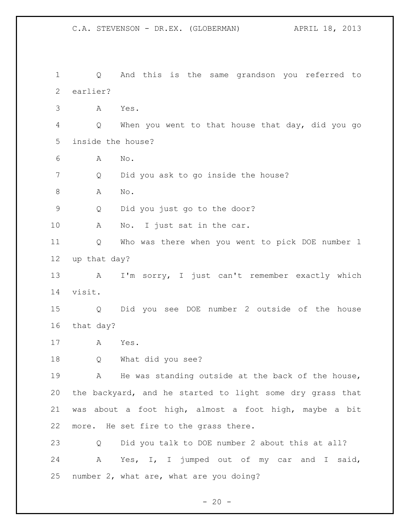C.A. STEVENSON - DR.EX. (GLOBERMAN) APRIL 18, 2013 Q And this is the same grandson you referred to earlier? A Yes. Q When you went to that house that day, did you go inside the house? A No. Q Did you ask to go inside the house? 8 A No. Q Did you just go to the door? 10 A No. I just sat in the car. Q Who was there when you went to pick DOE number 1 up that day? A I'm sorry, I just can't remember exactly which visit. Q Did you see DOE number 2 outside of the house that day? A Yes. Q What did you see? 19 A He was standing outside at the back of the house, the backyard, and he started to light some dry grass that was about a foot high, almost a foot high, maybe a bit more. He set fire to the grass there. Q Did you talk to DOE number 2 about this at all? A Yes, I, I jumped out of my car and I said, number 2, what are, what are you doing?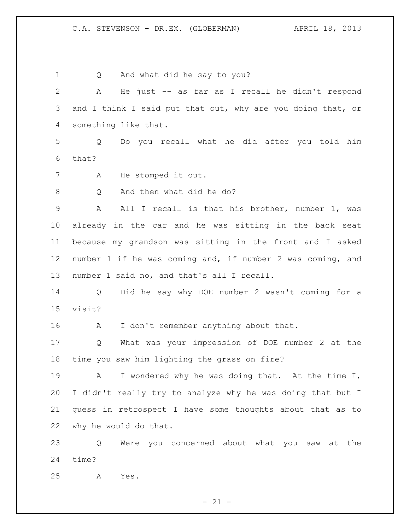Q And what did he say to you? A He just -- as far as I recall he didn't respond 3 and I think I said put that out, why are you doing that, or something like that. Q Do you recall what he did after you told him that? A He stomped it out. Q And then what did he do? 9 A All I recall is that his brother, number 1, was already in the car and he was sitting in the back seat because my grandson was sitting in the front and I asked number 1 if he was coming and, if number 2 was coming, and number 1 said no, and that's all I recall. Q Did he say why DOE number 2 wasn't coming for a visit? 16 A I don't remember anything about that. Q What was your impression of DOE number 2 at the time you saw him lighting the grass on fire? A I wondered why he was doing that. At the time I, I didn't really try to analyze why he was doing that but I guess in retrospect I have some thoughts about that as to why he would do that. Q Were you concerned about what you saw at the time?

A Yes.

 $- 21 -$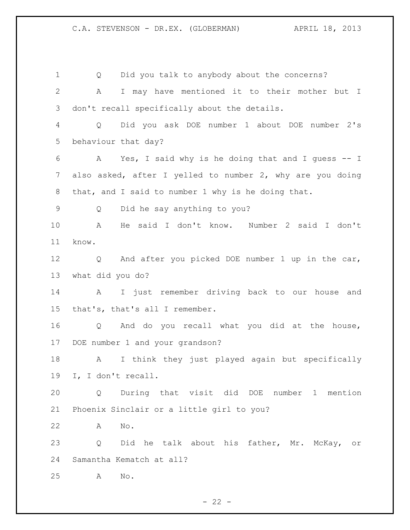Q Did you talk to anybody about the concerns? A I may have mentioned it to their mother but I don't recall specifically about the details. Q Did you ask DOE number 1 about DOE number 2's behaviour that day? A Yes, I said why is he doing that and I guess -- I also asked, after I yelled to number 2, why are you doing that, and I said to number 1 why is he doing that. Q Did he say anything to you? A He said I don't know. Number 2 said I don't know. Q And after you picked DOE number 1 up in the car, what did you do? A I just remember driving back to our house and that's, that's all I remember. Q And do you recall what you did at the house, DOE number 1 and your grandson? A I think they just played again but specifically I, I don't recall. Q During that visit did DOE number 1 mention Phoenix Sinclair or a little girl to you? A No. Q Did he talk about his father, Mr. McKay, or Samantha Kematch at all? A No.

 $- 22 -$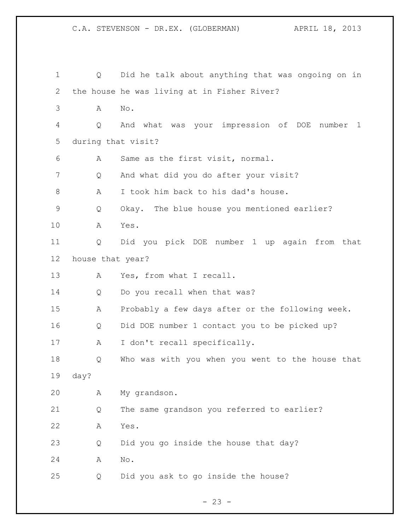C.A. STEVENSON - DR.EX. (GLOBERMAN) APRIL 18, 2013 Q Did he talk about anything that was ongoing on in the house he was living at in Fisher River? A No. Q And what was your impression of DOE number 1 during that visit? A Same as the first visit, normal. Q And what did you do after your visit? A I took him back to his dad's house. Q Okay. The blue house you mentioned earlier? A Yes. Q Did you pick DOE number 1 up again from that house that year? 13 A Yes, from what I recall. Q Do you recall when that was? A Probably a few days after or the following week. Q Did DOE number 1 contact you to be picked up? A I don't recall specifically. Q Who was with you when you went to the house that day? A My grandson. Q The same grandson you referred to earlier? A Yes. Q Did you go inside the house that day? A No.

 $- 23 -$ 

Q Did you ask to go inside the house?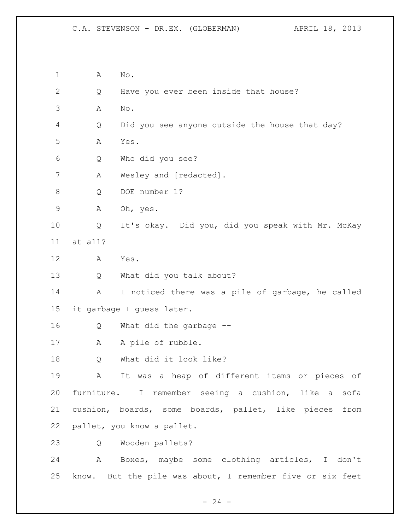A No. Q Have you ever been inside that house? A No. Q Did you see anyone outside the house that day? A Yes. Q Who did you see? A Wesley and [redacted]. Q DOE number 1? A Oh, yes. Q It's okay. Did you, did you speak with Mr. McKay at all? A Yes. Q What did you talk about? A I noticed there was a pile of garbage, he called it garbage I guess later. Q What did the garbage -- 17 A A pile of rubble. Q What did it look like? A It was a heap of different items or pieces of furniture. I remember seeing a cushion, like a sofa cushion, boards, some boards, pallet, like pieces from pallet, you know a pallet. Q Wooden pallets? A Boxes, maybe some clothing articles, I don't know. But the pile was about, I remember five or six feet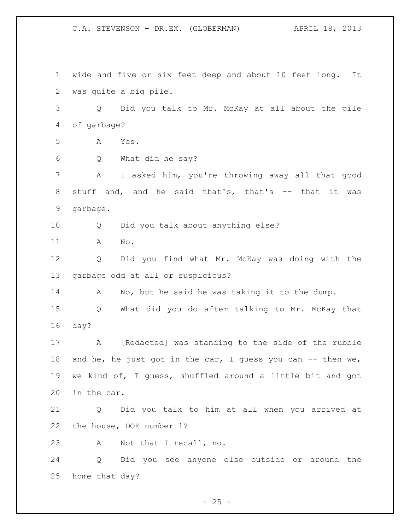wide and five or six feet deep and about 10 feet long. It was quite a big pile. Q Did you talk to Mr. McKay at all about the pile of garbage? A Yes. Q What did he say? A I asked him, you're throwing away all that good stuff and, and he said that's, that's -- that it was garbage. Q Did you talk about anything else? A No. Q Did you find what Mr. McKay was doing with the garbage odd at all or suspicious? A No, but he said he was taking it to the dump. Q What did you do after talking to Mr. McKay that day? A [Redacted] was standing to the side of the rubble 18 and he, he just got in the car, I guess you can -- then we, we kind of, I guess, shuffled around a little bit and got in the car. Q Did you talk to him at all when you arrived at the house, DOE number 1? A Not that I recall, no. Q Did you see anyone else outside or around the home that day?

 $- 25 -$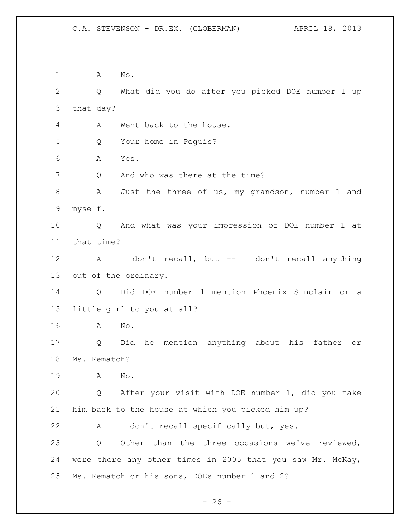A No. Q What did you do after you picked DOE number 1 up that day? A Went back to the house. Q Your home in Peguis? A Yes. 7 Q And who was there at the time? A Just the three of us, my grandson, number 1 and myself. Q And what was your impression of DOE number 1 at that time? A I don't recall, but -- I don't recall anything out of the ordinary. Q Did DOE number 1 mention Phoenix Sinclair or a little girl to you at all? A No. Q Did he mention anything about his father or Ms. Kematch? A No. Q After your visit with DOE number 1, did you take him back to the house at which you picked him up? A I don't recall specifically but, yes. Q Other than the three occasions we've reviewed, were there any other times in 2005 that you saw Mr. McKay, Ms. Kematch or his sons, DOEs number 1 and 2?

 $- 26 -$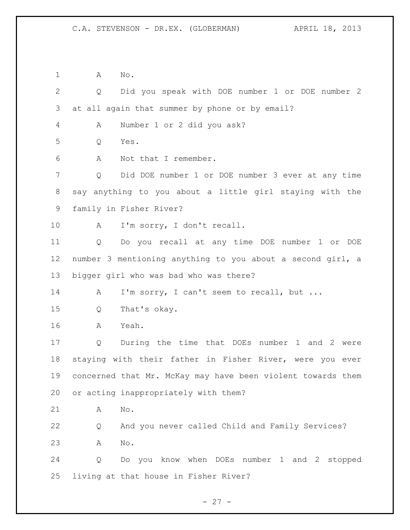A No. Q Did you speak with DOE number 1 or DOE number 2 at all again that summer by phone or by email? A Number 1 or 2 did you ask? Q Yes. A Not that I remember. Q Did DOE number 1 or DOE number 3 ever at any time say anything to you about a little girl staying with the family in Fisher River? 10 A I'm sorry, I don't recall. Q Do you recall at any time DOE number 1 or DOE number 3 mentioning anything to you about a second girl, a bigger girl who was bad who was there? 14 A I'm sorry, I can't seem to recall, but ... Q That's okay. A Yeah. Q During the time that DOEs number 1 and 2 were staying with their father in Fisher River, were you ever concerned that Mr. McKay may have been violent towards them or acting inappropriately with them? A No. Q And you never called Child and Family Services? A No. Q Do you know when DOEs number 1 and 2 stopped living at that house in Fisher River?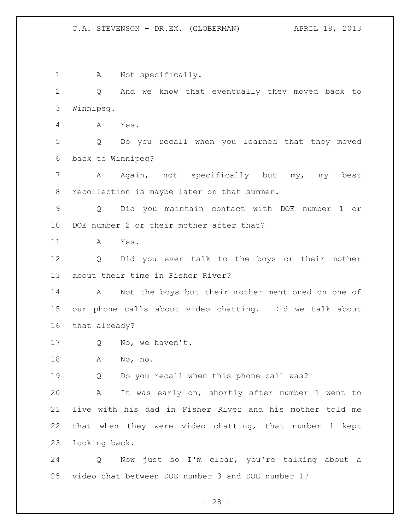A Not specifically. Q And we know that eventually they moved back to Winnipeg. A Yes. Q Do you recall when you learned that they moved back to Winnipeg? A Again, not specifically but my, my best recollection is maybe later on that summer. Q Did you maintain contact with DOE number 1 or DOE number 2 or their mother after that? A Yes. Q Did you ever talk to the boys or their mother about their time in Fisher River? A Not the boys but their mother mentioned on one of our phone calls about video chatting. Did we talk about that already? 17 Q No, we haven't. A No, no. Q Do you recall when this phone call was? A It was early on, shortly after number 1 went to live with his dad in Fisher River and his mother told me that when they were video chatting, that number 1 kept looking back. Q Now just so I'm clear, you're talking about a video chat between DOE number 3 and DOE number 1?

 $- 28 -$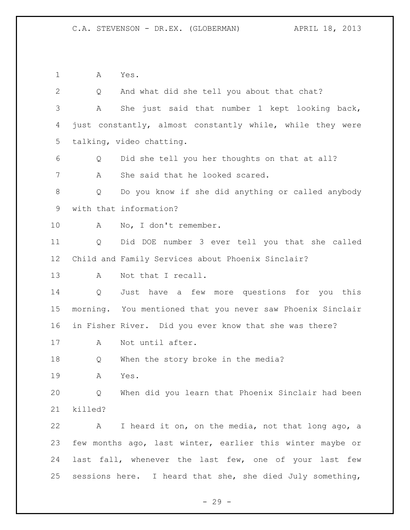A Yes.

 Q And what did she tell you about that chat? A She just said that number 1 kept looking back, just constantly, almost constantly while, while they were talking, video chatting. Q Did she tell you her thoughts on that at all? A She said that he looked scared. Q Do you know if she did anything or called anybody with that information? A No, I don't remember. Q Did DOE number 3 ever tell you that she called Child and Family Services about Phoenix Sinclair? A Not that I recall. Q Just have a few more questions for you this morning. You mentioned that you never saw Phoenix Sinclair in Fisher River. Did you ever know that she was there? A Not until after. Q When the story broke in the media? A Yes. Q When did you learn that Phoenix Sinclair had been killed? A I heard it on, on the media, not that long ago, a few months ago, last winter, earlier this winter maybe or last fall, whenever the last few, one of your last few 25 sessions here. I heard that she, she died July something,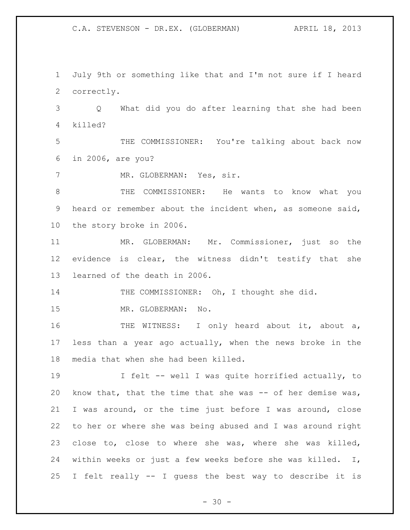July 9th or something like that and I'm not sure if I heard correctly.

 Q What did you do after learning that she had been killed?

 THE COMMISSIONER: You're talking about back now in 2006, are you?

7 MR. GLOBERMAN: Yes, sir.

 THE COMMISSIONER: He wants to know what you heard or remember about the incident when, as someone said, the story broke in 2006.

 MR. GLOBERMAN: Mr. Commissioner, just so the evidence is clear, the witness didn't testify that she learned of the death in 2006.

14 THE COMMISSIONER: Oh, I thought she did.

MR. GLOBERMAN: No.

16 THE WITNESS: I only heard about it, about a, less than a year ago actually, when the news broke in the media that when she had been killed.

 I felt -- well I was quite horrified actually, to know that, that the time that she was -- of her demise was, I was around, or the time just before I was around, close to her or where she was being abused and I was around right close to, close to where she was, where she was killed, within weeks or just a few weeks before she was killed. I, I felt really -- I guess the best way to describe it is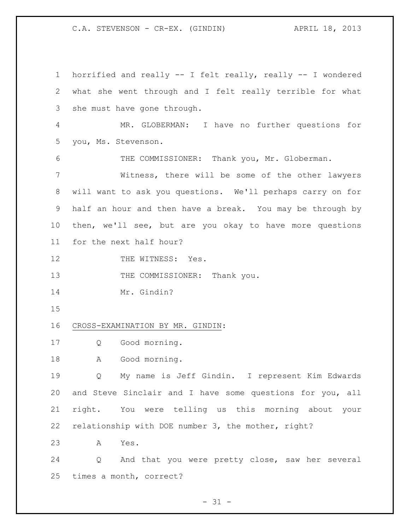C.A. STEVENSON - CR-EX. (GINDIN) APRIL 18, 2013

 horrified and really -- I felt really, really -- I wondered what she went through and I felt really terrible for what she must have gone through. MR. GLOBERMAN: I have no further questions for you, Ms. Stevenson. THE COMMISSIONER: Thank you, Mr. Globerman. Witness, there will be some of the other lawyers will want to ask you questions. We'll perhaps carry on for half an hour and then have a break. You may be through by then, we'll see, but are you okay to have more questions for the next half hour? 12 THE WITNESS: Yes. 13 THE COMMISSIONER: Thank you. Mr. Gindin? CROSS-EXAMINATION BY MR. GINDIN: Q Good morning. 18 A Good morning. Q My name is Jeff Gindin. I represent Kim Edwards and Steve Sinclair and I have some questions for you, all right. You were telling us this morning about your relationship with DOE number 3, the mother, right? A Yes. Q And that you were pretty close, saw her several times a month, correct?

 $- 31 -$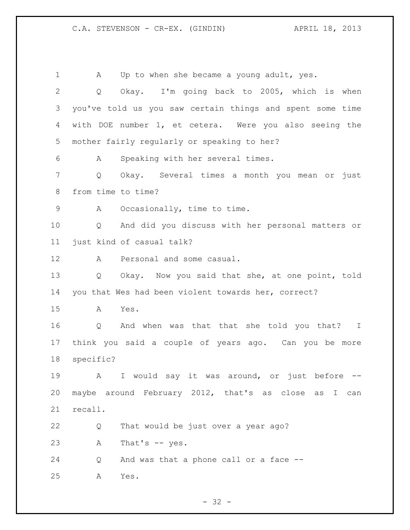C.A. STEVENSON - CR-EX. (GINDIN) APRIL 18, 2013

1 A Up to when she became a young adult, yes. Q Okay. I'm going back to 2005, which is when you've told us you saw certain things and spent some time with DOE number 1, et cetera. Were you also seeing the mother fairly regularly or speaking to her? A Speaking with her several times. Q Okay. Several times a month you mean or just from time to time? A Occasionally, time to time. Q And did you discuss with her personal matters or just kind of casual talk? A Personal and some casual. Q Okay. Now you said that she, at one point, told you that Wes had been violent towards her, correct? A Yes. Q And when was that that she told you that? I think you said a couple of years ago. Can you be more specific? A I would say it was around, or just before -- maybe around February 2012, that's as close as I can recall. Q That would be just over a year ago? A That's -- yes. 24 Q And was that a phone call or a face --A Yes.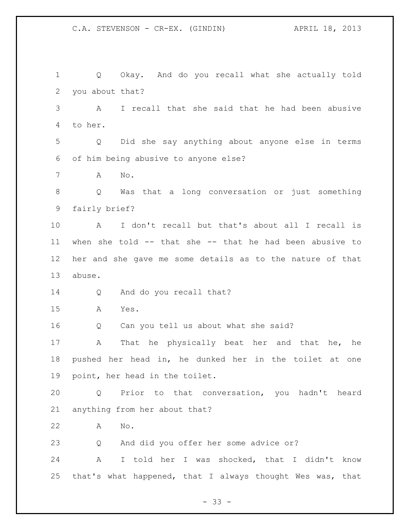Q Okay. And do you recall what she actually told you about that? A I recall that she said that he had been abusive to her. Q Did she say anything about anyone else in terms of him being abusive to anyone else? A No. Q Was that a long conversation or just something fairly brief? A I don't recall but that's about all I recall is when she told -- that she -- that he had been abusive to her and she gave me some details as to the nature of that abuse. Q And do you recall that? A Yes. Q Can you tell us about what she said? A That he physically beat her and that he, he pushed her head in, he dunked her in the toilet at one point, her head in the toilet. Q Prior to that conversation, you hadn't heard anything from her about that? A No. Q And did you offer her some advice or? A I told her I was shocked, that I didn't know that's what happened, that I always thought Wes was, that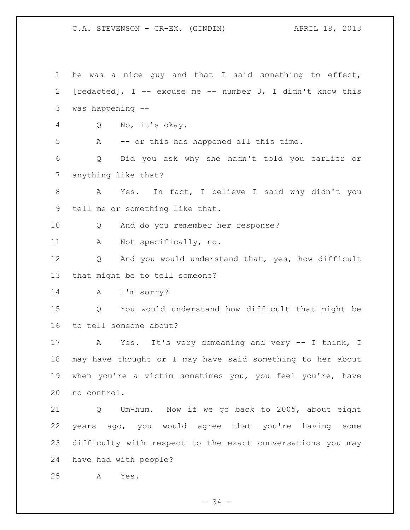C.A. STEVENSON - CR-EX. (GINDIN) APRIL 18, 2013

 he was a nice guy and that I said something to effect, [redacted], I -- excuse me -- number 3, I didn't know this was happening -- Q No, it's okay. A -- or this has happened all this time. Q Did you ask why she hadn't told you earlier or anything like that? A Yes. In fact, I believe I said why didn't you tell me or something like that. Q And do you remember her response? A Not specifically, no. Q And you would understand that, yes, how difficult that might be to tell someone? A I'm sorry? Q You would understand how difficult that might be to tell someone about? A Yes. It's very demeaning and very -- I think, I may have thought or I may have said something to her about when you're a victim sometimes you, you feel you're, have no control. Q Um-hum. Now if we go back to 2005, about eight years ago, you would agree that you're having some difficulty with respect to the exact conversations you may have had with people? A Yes.

- 34 -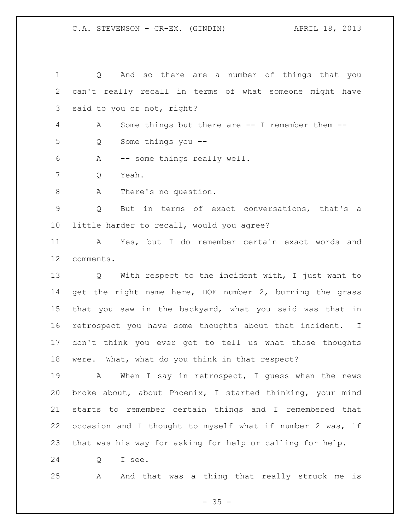## C.A. STEVENSON - CR-EX. (GINDIN) APRIL 18, 2013

 Q And so there are a number of things that you can't really recall in terms of what someone might have said to you or not, right? A Some things but there are -- I remember them -- Q Some things you -- A -- some things really well. Q Yeah. 8 A There's no question. Q But in terms of exact conversations, that's a little harder to recall, would you agree? A Yes, but I do remember certain exact words and comments. Q With respect to the incident with, I just want to get the right name here, DOE number 2, burning the grass that you saw in the backyard, what you said was that in retrospect you have some thoughts about that incident. I don't think you ever got to tell us what those thoughts

were. What, what do you think in that respect?

19 A When I say in retrospect, I quess when the news broke about, about Phoenix, I started thinking, your mind starts to remember certain things and I remembered that occasion and I thought to myself what if number 2 was, if that was his way for asking for help or calling for help.

Q I see.

A And that was a thing that really struck me is

 $- 35 -$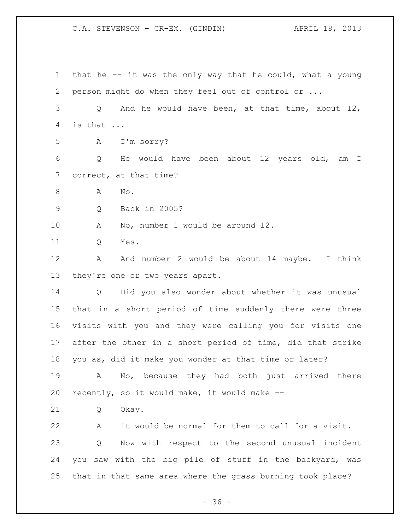C.A. STEVENSON - CR-EX. (GINDIN) APRIL 18, 2013

 that he -- it was the only way that he could, what a young person might do when they feel out of control or ... Q And he would have been, at that time, about 12, is that ... A I'm sorry? Q He would have been about 12 years old, am I correct, at that time? A No. Q Back in 2005? A No, number 1 would be around 12. Q Yes. 12 A And number 2 would be about 14 maybe. I think they're one or two years apart. Q Did you also wonder about whether it was unusual that in a short period of time suddenly there were three visits with you and they were calling you for visits one after the other in a short period of time, did that strike you as, did it make you wonder at that time or later? A No, because they had both just arrived there recently, so it would make, it would make -- Q Okay. A It would be normal for them to call for a visit. Q Now with respect to the second unusual incident you saw with the big pile of stuff in the backyard, was that in that same area where the grass burning took place?

 $- 36 -$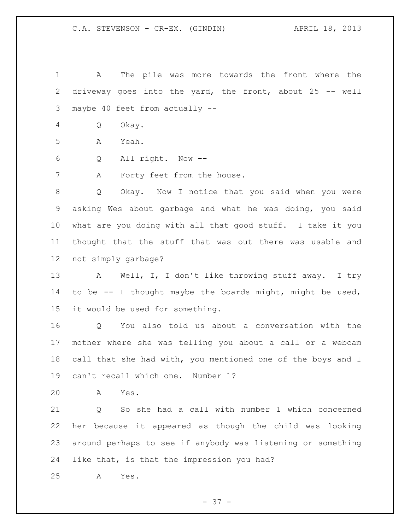A The pile was more towards the front where the driveway goes into the yard, the front, about 25 -- well maybe 40 feet from actually --

Q Okay.

A Yeah.

Q All right. Now --

A Forty feet from the house.

 Q Okay. Now I notice that you said when you were asking Wes about garbage and what he was doing, you said what are you doing with all that good stuff. I take it you thought that the stuff that was out there was usable and not simply garbage?

 A Well, I, I don't like throwing stuff away. I try to be -- I thought maybe the boards might, might be used, it would be used for something.

 Q You also told us about a conversation with the mother where she was telling you about a call or a webcam 18 call that she had with, you mentioned one of the boys and I can't recall which one. Number 1?

A Yes.

 Q So she had a call with number 1 which concerned her because it appeared as though the child was looking around perhaps to see if anybody was listening or something like that, is that the impression you had?

A Yes.

- 37 -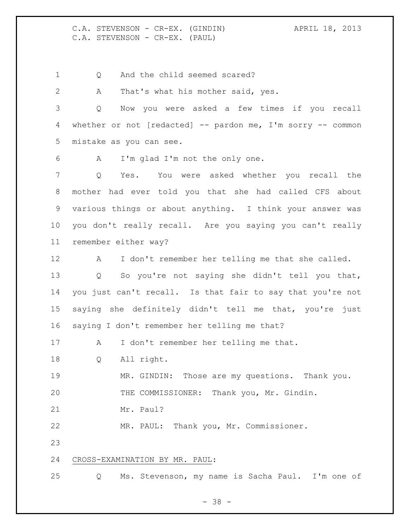C.A. STEVENSON - CR-EX. (GINDIN) APRIL 18, 2013 C.A. STEVENSON - CR-EX. (PAUL)

1 Q And the child seemed scared?

A That's what his mother said, yes.

 Q Now you were asked a few times if you recall whether or not [redacted] -- pardon me, I'm sorry -- common mistake as you can see.

A I'm glad I'm not the only one.

 Q Yes. You were asked whether you recall the mother had ever told you that she had called CFS about various things or about anything. I think your answer was you don't really recall. Are you saying you can't really remember either way?

 A I don't remember her telling me that she called. Q So you're not saying she didn't tell you that, you just can't recall. Is that fair to say that you're not saying she definitely didn't tell me that, you're just saying I don't remember her telling me that?

A I don't remember her telling me that.

Q All right.

 MR. GINDIN: Those are my questions. Thank you. THE COMMISSIONER: Thank you, Mr. Gindin.

21 Mr. Paul?

MR. PAUL: Thank you, Mr. Commissioner.

## CROSS-EXAMINATION BY MR. PAUL:

Q Ms. Stevenson, my name is Sacha Paul. I'm one of

- 38 -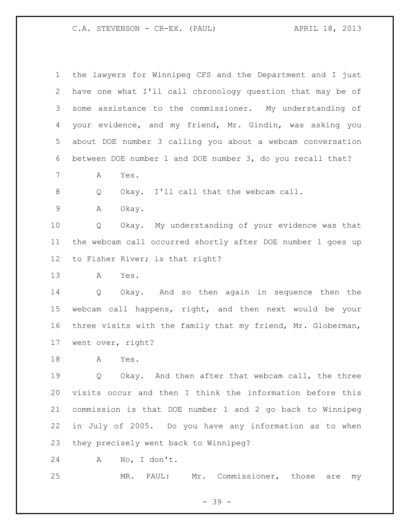C.A. STEVENSON - CR-EX. (PAUL) APRIL 18, 2013

| 1           | the lawyers for Winnipeg CFS and the Department and I just  |
|-------------|-------------------------------------------------------------|
| 2           | have one what I'll call chronology question that may be of  |
| 3           | some assistance to the commissioner. My understanding of    |
| 4           | your evidence, and my friend, Mr. Gindin, was asking you    |
| 5           | about DOE number 3 calling you about a webcam conversation  |
| 6           | between DOE number 1 and DOE number 3, do you recall that?  |
| 7           | Yes.<br>A                                                   |
| 8           | Okay. I'll call that the webcam call.<br>Q                  |
| $\mathsf 9$ | Okay.<br>Α                                                  |
| 10          | Okay. My understanding of your evidence was that<br>Q       |
| 11          | the webcam call occurred shortly after DOE number 1 goes up |
| 12          | to Fisher River; is that right?                             |
| 13          | Yes.<br>Α                                                   |
| 14          | Okay. And so then again in sequence then the<br>Q           |
| 15          | webcam call happens, right, and then next would be your     |
| 16          | three visits with the family that my friend, Mr. Globerman, |
| 17          | went over, right?                                           |
| 18          | Yes.<br>A                                                   |
| 19          | Okay. And then after that webcam call, the three<br>Q       |
| 20          | visits occur and then I think the information before this   |
| 21          | commission is that DOE number 1 and 2 go back to Winnipeg   |
| 22          | in July of 2005. Do you have any information as to when     |
| 23          | they precisely went back to Winnipeg?                       |
| 24          | No, I don't.<br>Α                                           |

MR. PAUL: Mr. Commissioner, those are my

- 39 -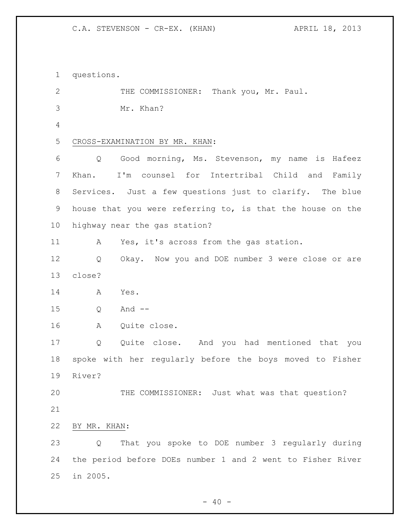C.A. STEVENSON - CR-EX. (KHAN) APRIL 18, 2013

 questions. 2 THE COMMISSIONER: Thank you, Mr. Paul. Mr. Khan? CROSS-EXAMINATION BY MR. KHAN: Q Good morning, Ms. Stevenson, my name is Hafeez Khan. I'm counsel for Intertribal Child and Family Services. Just a few questions just to clarify. The blue house that you were referring to, is that the house on the highway near the gas station? A Yes, it's across from the gas station. Q Okay. Now you and DOE number 3 were close or are close? A Yes. Q And -- A Quite close. Q Quite close. And you had mentioned that you spoke with her regularly before the boys moved to Fisher River? THE COMMISSIONER: Just what was that question? BY MR. KHAN: Q That you spoke to DOE number 3 regularly during the period before DOEs number 1 and 2 went to Fisher River in 2005.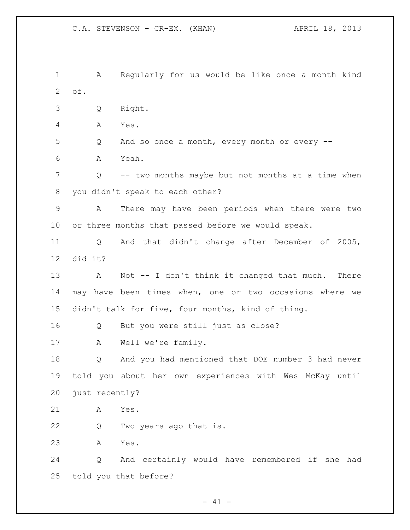A Regularly for us would be like once a month kind of. Q Right. A Yes. Q And so once a month, every month or every -- A Yeah. Q -- two months maybe but not months at a time when you didn't speak to each other? A There may have been periods when there were two or three months that passed before we would speak. Q And that didn't change after December of 2005, did it? A Not -- I don't think it changed that much. There may have been times when, one or two occasions where we didn't talk for five, four months, kind of thing. Q But you were still just as close? A Well we're family. Q And you had mentioned that DOE number 3 had never told you about her own experiences with Wes McKay until just recently? A Yes. Q Two years ago that is. A Yes. Q And certainly would have remembered if she had told you that before?

 $- 41 -$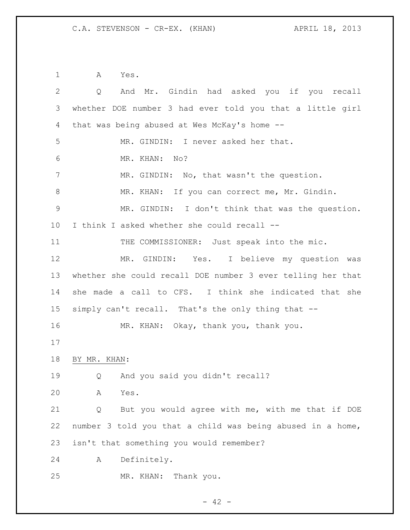A Yes.

| 2              | And Mr. Gindin had asked you if you recall<br>Q             |
|----------------|-------------------------------------------------------------|
| 3              | whether DOE number 3 had ever told you that a little girl   |
| 4              | that was being abused at Wes McKay's home --                |
| 5              | MR. GINDIN: I never asked her that.                         |
| 6              | MR. KHAN:<br>No?                                            |
| 7              | MR. GINDIN: No, that wasn't the question.                   |
| 8              | MR. KHAN: If you can correct me, Mr. Gindin.                |
| $\overline{9}$ | MR. GINDIN: I don't think that was the question.            |
| $10 \,$        | I think I asked whether she could recall --                 |
| 11             | THE COMMISSIONER: Just speak into the mic.                  |
| 12             | MR. GINDIN: Yes. I believe my question was                  |
| 13             | whether she could recall DOE number 3 ever telling her that |
| 14             | she made a call to CFS. I think she indicated that she      |
| 15             | simply can't recall. That's the only thing that --          |
| 16             | MR. KHAN: Okay, thank you, thank you.                       |
| 17             |                                                             |
| 18             | BY MR. KHAN:                                                |
| 19             | And you said you didn't recall?<br>Q                        |
| 20             | Α<br>Yes.                                                   |
| 21             | But you would agree with me, with me that if DOE<br>Q       |
| 22             | number 3 told you that a child was being abused in a home,  |
| 23             | isn't that something you would remember?                    |
| 24             | Definitely.<br>Α                                            |
| 25             | MR. KHAN:<br>Thank you.                                     |

- 42 -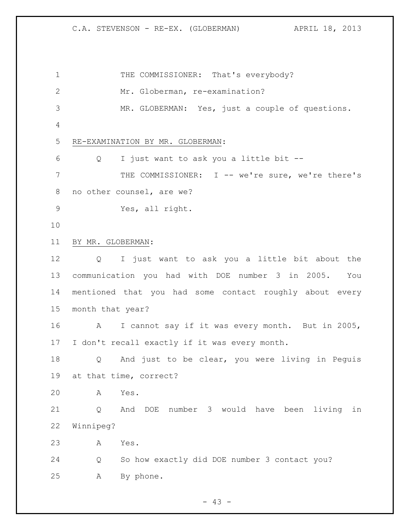C.A. STEVENSON - RE-EX. (GLOBERMAN) APRIL 18, 2013

1 THE COMMISSIONER: That's everybody? Mr. Globerman, re-examination? MR. GLOBERMAN: Yes, just a couple of questions. RE-EXAMINATION BY MR. GLOBERMAN: Q I just want to ask you a little bit -- THE COMMISSIONER: I -- we're sure, we're there's no other counsel, are we? Yes, all right. BY MR. GLOBERMAN: Q I just want to ask you a little bit about the communication you had with DOE number 3 in 2005. You mentioned that you had some contact roughly about every month that year? A I cannot say if it was every month. But in 2005, I don't recall exactly if it was every month. Q And just to be clear, you were living in Peguis at that time, correct? A Yes. Q And DOE number 3 would have been living in Winnipeg? A Yes. Q So how exactly did DOE number 3 contact you? A By phone.

 $- 43 -$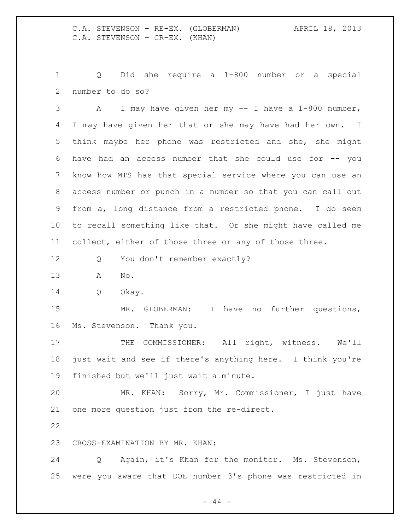Q Did she require a 1-800 number or a special number to do so?

 A I may have given her my -- I have a 1-800 number, I may have given her that or she may have had her own. I think maybe her phone was restricted and she, she might have had an access number that she could use for -- you know how MTS has that special service where you can use an access number or punch in a number so that you can call out from a, long distance from a restricted phone. I do seem to recall something like that. Or she might have called me collect, either of those three or any of those three.

- 12 Q You don't remember exactly?
- A No.
- Q Okay.

 MR. GLOBERMAN: I have no further questions, Ms. Stevenson. Thank you.

17 THE COMMISSIONER: All right, witness. We'll just wait and see if there's anything here. I think you're finished but we'll just wait a minute.

 MR. KHAN: Sorry, Mr. Commissioner, I just have one more question just from the re-direct.

## CROSS-EXAMINATION BY MR. KHAN:

 Q Again, it's Khan for the monitor. Ms. Stevenson, were you aware that DOE number 3's phone was restricted in

 $-44 -$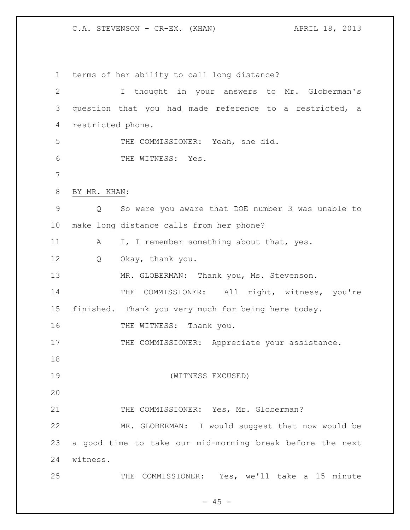C.A. STEVENSON - CR-EX. (KHAN) APRIL 18, 2013

 terms of her ability to call long distance? I thought in your answers to Mr. Globerman's question that you had made reference to a restricted, a restricted phone. THE COMMISSIONER: Yeah, she did. 6 THE WITNESS: Yes. BY MR. KHAN: Q So were you aware that DOE number 3 was unable to make long distance calls from her phone? 11 A I, I remember something about that, yes. Q Okay, thank you. 13 MR. GLOBERMAN: Thank you, Ms. Stevenson. 14 THE COMMISSIONER: All right, witness, you're finished. Thank you very much for being here today. 16 THE WITNESS: Thank you. 17 THE COMMISSIONER: Appreciate your assistance. (WITNESS EXCUSED) 21 THE COMMISSIONER: Yes, Mr. Globerman? MR. GLOBERMAN: I would suggest that now would be a good time to take our mid-morning break before the next witness. THE COMMISSIONER: Yes, we'll take a 15 minute

 $- 45 -$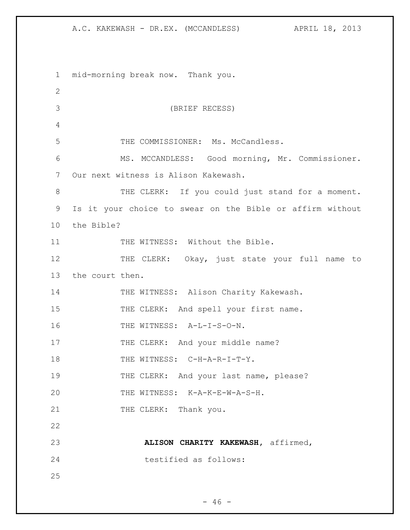1 mid-morning break now. Thank you. 2 3 (BRIEF RECESS) 4 5 THE COMMISSIONER: Ms. McCandless. 6 MS. MCCANDLESS: Good morning, Mr. Commissioner. 7 Our next witness is Alison Kakewash. 8 THE CLERK: If you could just stand for a moment. 9 Is it your choice to swear on the Bible or affirm without 10 the Bible? 11 THE WITNESS: Without the Bible. 12 THE CLERK: Okay, just state your full name to 13 the court then. 14 THE WITNESS: Alison Charity Kakewash. 15 THE CLERK: And spell your first name. 16 THE WITNESS: A-L-I-S-O-N. 17 THE CLERK: And your middle name? 18 THE WITNESS: C-H-A-R-I-T-Y. 19 THE CLERK: And your last name, please? 20 THE WITNESS: K-A-K-E-W-A-S-H. 21 THE CLERK: Thank you. 22 23 **ALISON CHARITY KAKEWASH,** affirmed, 24 testified as follows: 25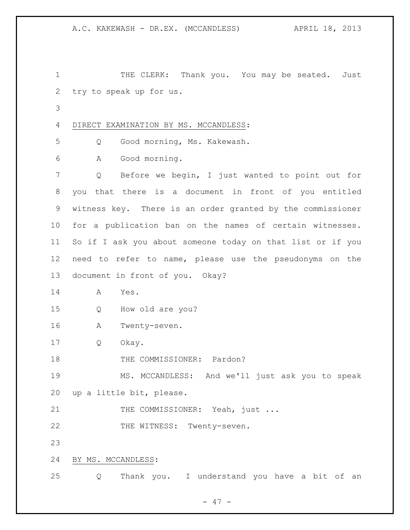1 THE CLERK: Thank you. You may be seated. Just try to speak up for us.

DIRECT EXAMINATION BY MS. MCCANDLESS:

Q Good morning, Ms. Kakewash.

A Good morning.

 Q Before we begin, I just wanted to point out for you that there is a document in front of you entitled witness key. There is an order granted by the commissioner for a publication ban on the names of certain witnesses. So if I ask you about someone today on that list or if you need to refer to name, please use the pseudonyms on the document in front of you. Okay?

A Yes.

Q How old are you?

A Twenty-seven.

Q Okay.

18 THE COMMISSIONER: Pardon?

 MS. MCCANDLESS: And we'll just ask you to speak up a little bit, please.

21 THE COMMISSIONER: Yeah, just ...

22 THE WITNESS: Twenty-seven.

BY MS. MCCANDLESS:

Q Thank you. I understand you have a bit of an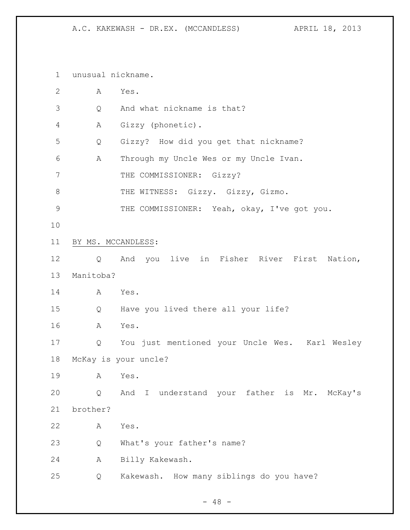unusual nickname.

| $\overline{2}$ | А                  | Yes.                                           |
|----------------|--------------------|------------------------------------------------|
| 3              | Q                  | And what nickname is that?                     |
| 4              | Α                  | Gizzy (phonetic).                              |
| 5              | Q                  | Gizzy? How did you get that nickname?          |
| 6              | Α                  | Through my Uncle Wes or my Uncle Ivan.         |
| 7              |                    | THE COMMISSIONER: Gizzy?                       |
| 8              |                    | THE WITNESS: Gizzy. Gizzy, Gizmo.              |
| 9              |                    | THE COMMISSIONER: Yeah, okay, I've got you.    |
| 10             |                    |                                                |
| 11             | BY MS. MCCANDLESS: |                                                |
| 12             | Q                  | And you live in Fisher River First<br>Nation,  |
| 13             | Manitoba?          |                                                |
| 14             | Α                  | Yes.                                           |
| 15             | Q                  | Have you lived there all your life?            |
| 16             | Α                  | Yes.                                           |
| 17             | Q                  | You just mentioned your Uncle Wes. Karl Wesley |
| 18             |                    | McKay is your uncle?                           |
| 19             | A                  | Yes.                                           |
| 20             | Q                  | And I understand your father is Mr. McKay's    |
| 21             | brother?           |                                                |
| 22             | Α                  | Yes.                                           |
| 23             | Q                  | What's your father's name?                     |
| 24             | Α                  | Billy Kakewash.                                |
| 25             | Q                  | Kakewash. How many siblings do you have?       |

- 48 -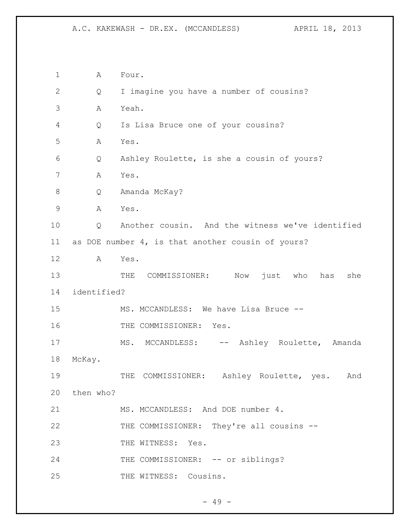1 A Four. 2 Q I imagine you have a number of cousins? 3 A Yeah. 4 Q Is Lisa Bruce one of your cousins? 5 A Yes. 6 Q Ashley Roulette, is she a cousin of yours? 7 A Yes. 8 Q Amanda McKay? 9 A Yes. 10 Q Another cousin. And the witness we've identified 11 as DOE number 4, is that another cousin of yours? 12 A Yes. 13 THE COMMISSIONER: Now just who has she 14 identified? 15 MS. MCCANDLESS: We have Lisa Bruce --16 THE COMMISSIONER: Yes. 17 MS. MCCANDLESS: -- Ashley Roulette, Amanda 18 McKay. 19 THE COMMISSIONER: Ashley Roulette, yes. And 20 then who? 21 MS. MCCANDLESS: And DOE number 4. 22 THE COMMISSIONER: They're all cousins -- 23 THE WITNESS: Yes. 24 THE COMMISSIONER: -- or siblings? 25 THE WITNESS: Cousins.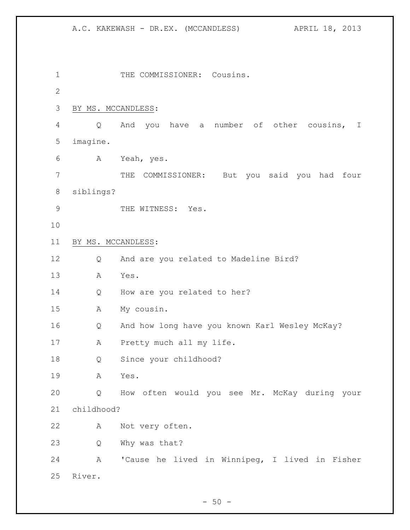1 THE COMMISSIONER: Cousins. BY MS. MCCANDLESS: Q And you have a number of other cousins, I imagine. A Yeah, yes. THE COMMISSIONER: But you said you had four siblings? 9 THE WITNESS: Yes. BY MS. MCCANDLESS: Q And are you related to Madeline Bird? A Yes. Q How are you related to her? A My cousin. Q And how long have you known Karl Wesley McKay? 17 A Pretty much all my life. Q Since your childhood? A Yes. Q How often would you see Mr. McKay during your childhood? A Not very often. Q Why was that? A 'Cause he lived in Winnipeg, I lived in Fisher River.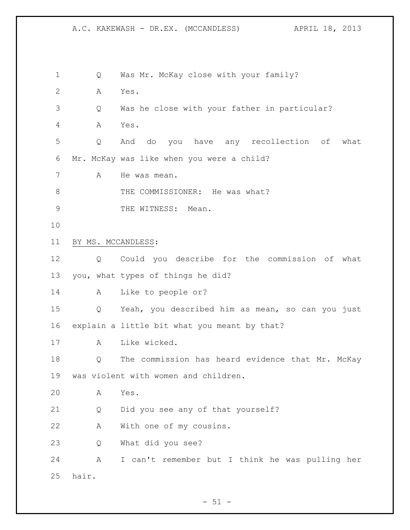| $\mathbf 1$    | Q                  | Was Mr. McKay close with your family?            |
|----------------|--------------------|--------------------------------------------------|
| $\overline{2}$ | A                  | Yes.                                             |
| 3              | Q                  | Was he close with your father in particular?     |
| 4              | Α                  | Yes.                                             |
| 5              | Q                  | do you have any recollection of<br>what<br>And   |
| 6              |                    | Mr. McKay was like when you were a child?        |
| 7              | Α                  | He was mean.                                     |
| 8              |                    | THE COMMISSIONER: He was what?                   |
| 9              |                    | THE WITNESS:<br>Mean.                            |
| 10             |                    |                                                  |
| 11             | BY MS. MCCANDLESS: |                                                  |
| 12             | Q                  | Could you describe for the commission of what    |
| 13             |                    | you, what types of things he did?                |
| 14             | A                  | Like to people or?                               |
| 15             | Q                  | Yeah, you described him as mean, so can you just |
| 16             |                    | explain a little bit what you meant by that?     |
| 17             | A                  | Like wicked.                                     |
| 18             | Q                  | The commission has heard evidence that Mr. McKay |
| 19             |                    | was violent with women and children.             |
| 20             | A                  | Yes.                                             |
| 21             | Q                  | Did you see any of that yourself?                |
| 22             | Α                  | With one of my cousins.                          |
| 23             | Q                  | What did you see?                                |
| 24             | Α                  | I can't remember but I think he was pulling her  |
| 25             | hair.              |                                                  |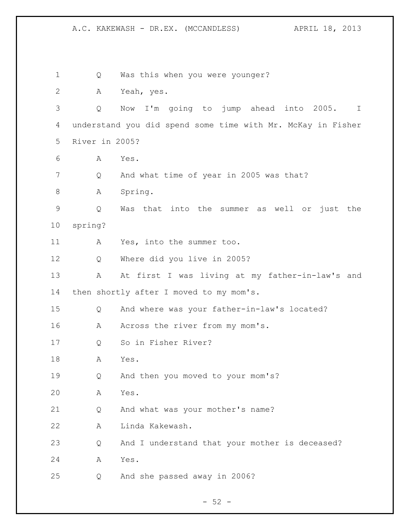Q Was this when you were younger? A Yeah, yes. Q Now I'm going to jump ahead into 2005. I understand you did spend some time with Mr. McKay in Fisher River in 2005? A Yes. Q And what time of year in 2005 was that? A Spring. Q Was that into the summer as well or just the spring? A Yes, into the summer too. Q Where did you live in 2005? A At first I was living at my father-in-law's and 14 then shortly after I moved to my mom's. Q And where was your father-in-law's located? 16 A Across the river from my mom's. Q So in Fisher River? A Yes. Q And then you moved to your mom's? A Yes. Q And what was your mother's name? A Linda Kakewash. Q And I understand that your mother is deceased? A Yes. Q And she passed away in 2006?

 $-52 -$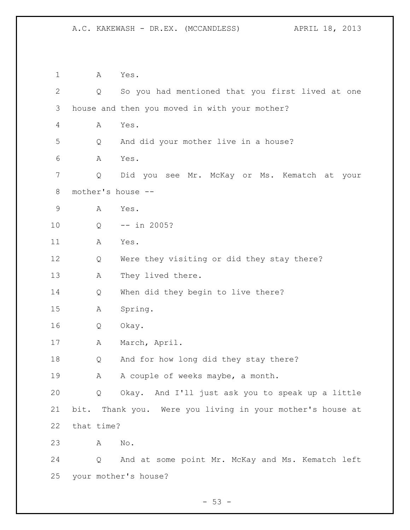A Yes. Q So you had mentioned that you first lived at one house and then you moved in with your mother? A Yes. Q And did your mother live in a house? A Yes. Q Did you see Mr. McKay or Ms. Kematch at your mother's house -- A Yes. Q -- in 2005? A Yes. Q Were they visiting or did they stay there? A They lived there. Q When did they begin to live there? A Spring. Q Okay. 17 A March, April. Q And for how long did they stay there? 19 A A couple of weeks maybe, a month. Q Okay. And I'll just ask you to speak up a little bit. Thank you. Were you living in your mother's house at that time? A No. Q And at some point Mr. McKay and Ms. Kematch left your mother's house?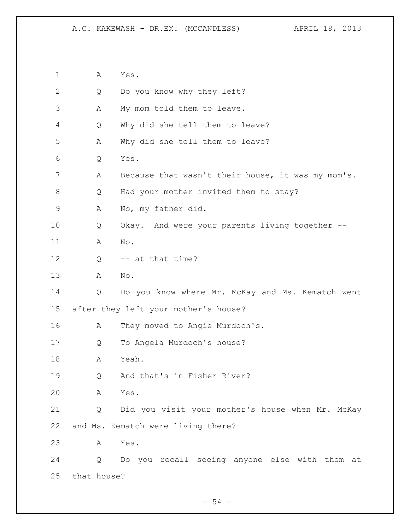A Yes. Q Do you know why they left? A My mom told them to leave. Q Why did she tell them to leave? A Why did she tell them to leave? Q Yes. A Because that wasn't their house, it was my mom's. Q Had your mother invited them to stay? A No, my father did. Q Okay. And were your parents living together -- A No. 12 Q -- at that time? A No. Q Do you know where Mr. McKay and Ms. Kematch went after they left your mother's house? 16 A They moved to Angie Murdoch's. Q To Angela Murdoch's house? A Yeah. Q And that's in Fisher River? A Yes. Q Did you visit your mother's house when Mr. McKay and Ms. Kematch were living there? A Yes. Q Do you recall seeing anyone else with them at that house?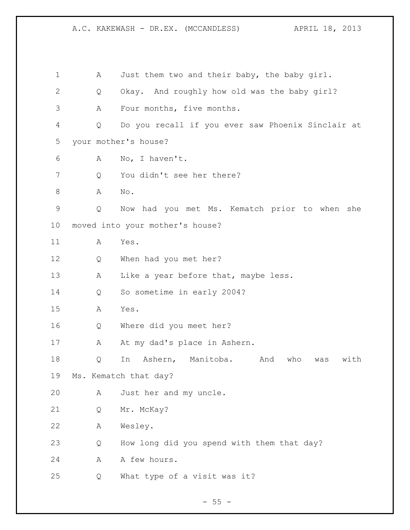1 A Just them two and their baby, the baby girl. Q Okay. And roughly how old was the baby girl? A Four months, five months. Q Do you recall if you ever saw Phoenix Sinclair at your mother's house? A No, I haven't. Q You didn't see her there? A No. Q Now had you met Ms. Kematch prior to when she moved into your mother's house? A Yes. Q When had you met her? 13 A Like a year before that, maybe less. Q So sometime in early 2004? A Yes. Q Where did you meet her? 17 A At my dad's place in Ashern. Q In Ashern, Manitoba. And who was with Ms. Kematch that day? A Just her and my uncle. Q Mr. McKay? A Wesley. Q How long did you spend with them that day? 24 A A few hours. Q What type of a visit was it?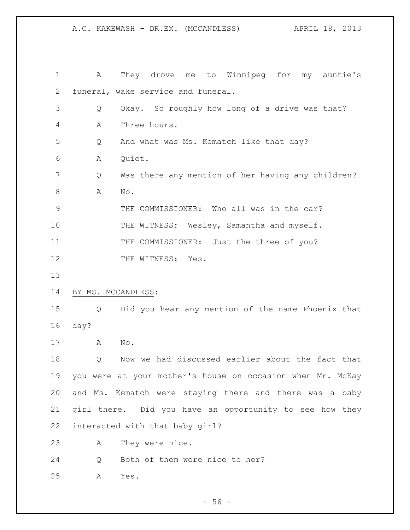A They drove me to Winnipeg for my auntie's funeral, wake service and funeral. Q Okay. So roughly how long of a drive was that? A Three hours. Q And what was Ms. Kematch like that day? A Quiet. Q Was there any mention of her having any children? A No. THE COMMISSIONER: Who all was in the car? 10 THE WITNESS: Wesley, Samantha and myself. 11 THE COMMISSIONER: Just the three of you? 12 THE WITNESS: Yes. BY MS. MCCANDLESS: Q Did you hear any mention of the name Phoenix that day? A No. Q Now we had discussed earlier about the fact that you were at your mother's house on occasion when Mr. McKay and Ms. Kematch were staying there and there was a baby girl there. Did you have an opportunity to see how they interacted with that baby girl? A They were nice. Q Both of them were nice to her? A Yes.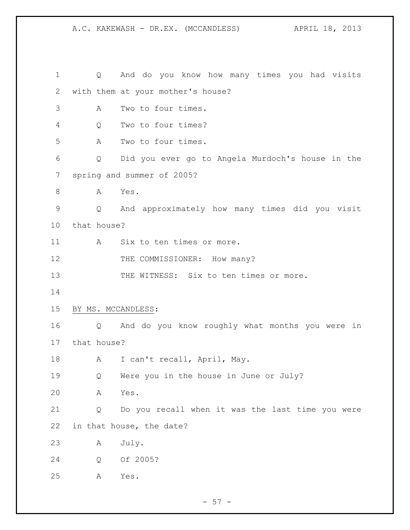Q And do you know how many times you had visits with them at your mother's house? A Two to four times. Q Two to four times? A Two to four times. Q Did you ever go to Angela Murdoch's house in the spring and summer of 2005? 8 A Yes. Q And approximately how many times did you visit that house? 11 A Six to ten times or more. 12 THE COMMISSIONER: How many? 13 THE WITNESS: Six to ten times or more. BY MS. MCCANDLESS: Q And do you know roughly what months you were in that house? 18 A I can't recall, April, May. Q Were you in the house in June or July? A Yes. Q Do you recall when it was the last time you were in that house, the date? A July. Q Of 2005? A Yes.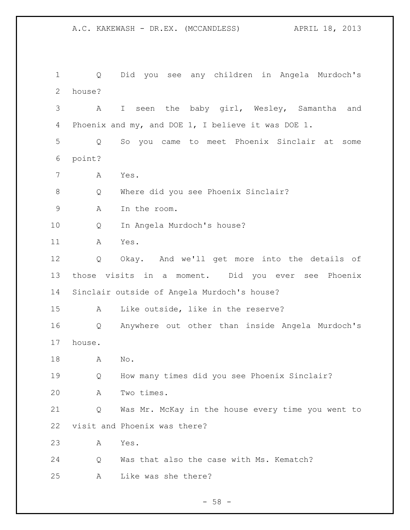Q Did you see any children in Angela Murdoch's house? A I seen the baby girl, Wesley, Samantha and Phoenix and my, and DOE 1, I believe it was DOE 1. Q So you came to meet Phoenix Sinclair at some point? A Yes. Q Where did you see Phoenix Sinclair? A In the room. Q In Angela Murdoch's house? A Yes. Q Okay. And we'll get more into the details of those visits in a moment. Did you ever see Phoenix Sinclair outside of Angela Murdoch's house? A Like outside, like in the reserve? Q Anywhere out other than inside Angela Murdoch's house. A No. Q How many times did you see Phoenix Sinclair? A Two times. Q Was Mr. McKay in the house every time you went to visit and Phoenix was there? A Yes. Q Was that also the case with Ms. Kematch? A Like was she there?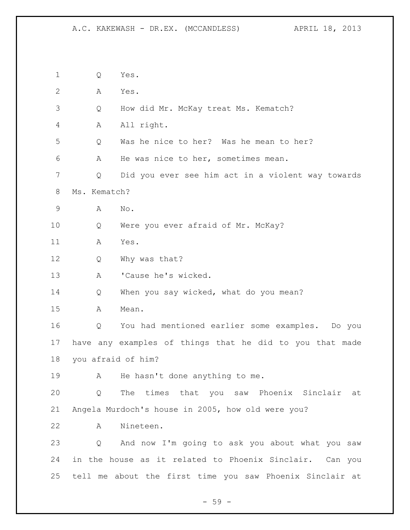Q Yes. A Yes. Q How did Mr. McKay treat Ms. Kematch? A All right. Q Was he nice to her? Was he mean to her? A He was nice to her, sometimes mean. Q Did you ever see him act in a violent way towards Ms. Kematch? A No. Q Were you ever afraid of Mr. McKay? A Yes. Q Why was that? A 'Cause he's wicked. 14 Q When you say wicked, what do you mean? A Mean. Q You had mentioned earlier some examples. Do you have any examples of things that he did to you that made you afraid of him? 19 A He hasn't done anything to me. Q The times that you saw Phoenix Sinclair at Angela Murdoch's house in 2005, how old were you? A Nineteen. Q And now I'm going to ask you about what you saw in the house as it related to Phoenix Sinclair. Can you tell me about the first time you saw Phoenix Sinclair at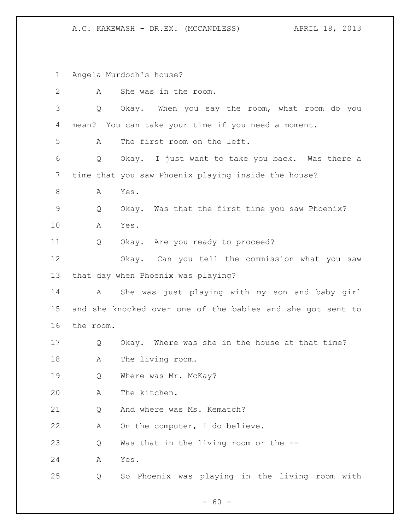Angela Murdoch's house? A She was in the room. Q Okay. When you say the room, what room do you mean? You can take your time if you need a moment. A The first room on the left. Q Okay. I just want to take you back. Was there a time that you saw Phoenix playing inside the house? 8 A Yes. Q Okay. Was that the first time you saw Phoenix? A Yes. Q Okay. Are you ready to proceed? Okay. Can you tell the commission what you saw that day when Phoenix was playing? A She was just playing with my son and baby girl and she knocked over one of the babies and she got sent to the room. Q Okay. Where was she in the house at that time? A The living room. 19 0 Where was Mr. McKay? A The kitchen. 21 O And where was Ms. Kematch? A On the computer, I do believe. Q Was that in the living room or the -- A Yes. Q So Phoenix was playing in the living room with

 $- 60 -$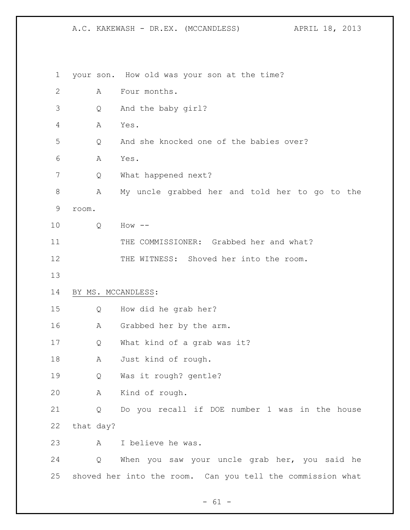your son. How old was your son at the time? A Four months. Q And the baby girl? A Yes. Q And she knocked one of the babies over? A Yes. 7 Q What happened next? A My uncle grabbed her and told her to go to the room. Q How -- THE COMMISSIONER: Grabbed her and what? THE WITNESS: Shoved her into the room. BY MS. MCCANDLESS: Q How did he grab her? A Grabbed her by the arm. Q What kind of a grab was it? A Just kind of rough. Q Was it rough? gentle? A Kind of rough. Q Do you recall if DOE number 1 was in the house that day? A I believe he was. Q When you saw your uncle grab her, you said he shoved her into the room. Can you tell the commission what

 $- 61 -$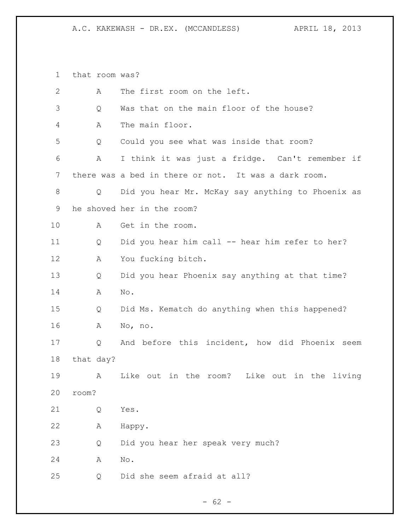that room was?

| $\mathbf{2}$ | А         | The first room on the left.                          |
|--------------|-----------|------------------------------------------------------|
| 3            | Q         | Was that on the main floor of the house?             |
| 4            | A         | The main floor.                                      |
|              |           |                                                      |
| 5            | Q         | Could you see what was inside that room?             |
| 6            | А         | I think it was just a fridge. Can't remember if      |
| 7            |           | there was a bed in there or not. It was a dark room. |
| 8            | Q         | Did you hear Mr. McKay say anything to Phoenix as    |
| 9            |           | he shoved her in the room?                           |
| 10           | A         | Get in the room.                                     |
| 11           | Q         | Did you hear him call -- hear him refer to her?      |
| 12           | Α         | You fucking bitch.                                   |
| 13           | Q         | Did you hear Phoenix say anything at that time?      |
| 14           | A         | No.                                                  |
| 15           | Q         | Did Ms. Kematch do anything when this happened?      |
| 16           | A         | No, no.                                              |
| 17           | Q         | And before this incident, how did Phoenix seem       |
| 18           | that day? |                                                      |
| 19           | Α         | Like out in the room?<br>Like out<br>in the living   |
| 20           | room?     |                                                      |
| 21           | Q         | Yes.                                                 |
| 22           | Α         | Happy.                                               |
| 23           | Q         | Did you hear her speak very much?                    |
| 24           | Α         | $\mathop{\rm No}\nolimits$ .                         |
| 25           | Q         | Did she seem afraid at all?                          |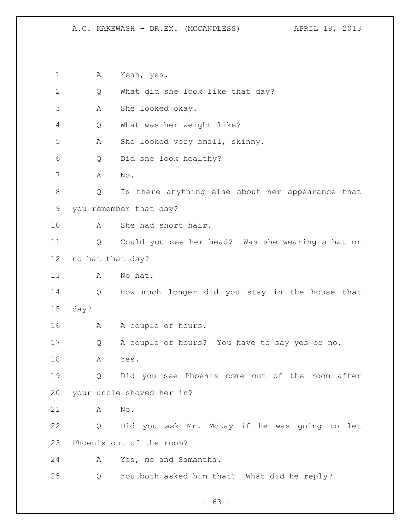A Yeah, yes. Q What did she look like that day? A She looked okay. Q What was her weight like? A She looked very small, skinny. Q Did she look healthy? A No. Q Is there anything else about her appearance that you remember that day? A She had short hair. Q Could you see her head? Was she wearing a hat or no hat that day? A No hat. Q How much longer did you stay in the house that day? A A couple of hours. Q A couple of hours? You have to say yes or no. A Yes. Q Did you see Phoenix come out of the room after your uncle shoved her in? A No. Q Did you ask Mr. McKay if he was going to let Phoenix out of the room? A Yes, me and Samantha. Q You both asked him that? What did he reply?

 $- 63 -$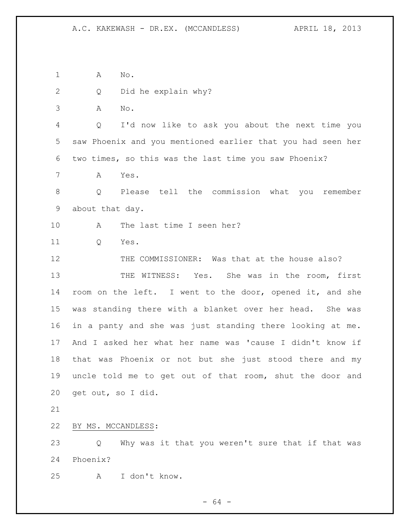A No.

- Q Did he explain why?
- A No.

 Q I'd now like to ask you about the next time you saw Phoenix and you mentioned earlier that you had seen her two times, so this was the last time you saw Phoenix?

A Yes.

 Q Please tell the commission what you remember about that day.

A The last time I seen her?

Q Yes.

 THE COMMISSIONER: Was that at the house also? THE WITNESS: Yes. She was in the room, first room on the left. I went to the door, opened it, and she was standing there with a blanket over her head. She was in a panty and she was just standing there looking at me. And I asked her what her name was 'cause I didn't know if that was Phoenix or not but she just stood there and my uncle told me to get out of that room, shut the door and get out, so I did.

BY MS. MCCANDLESS:

 Q Why was it that you weren't sure that if that was Phoenix?

A I don't know.

- 64 -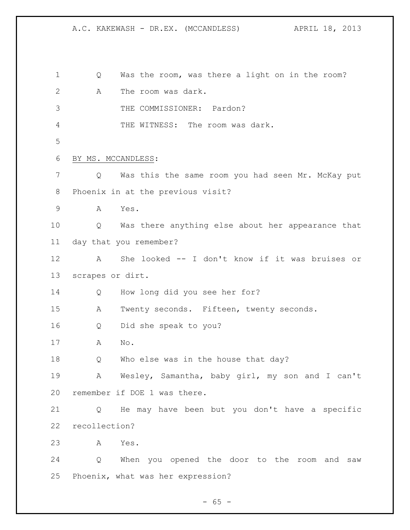Q Was the room, was there a light on in the room? A The room was dark. THE COMMISSIONER: Pardon? THE WITNESS: The room was dark. BY MS. MCCANDLESS: Q Was this the same room you had seen Mr. McKay put Phoenix in at the previous visit? A Yes. Q Was there anything else about her appearance that day that you remember? A She looked -- I don't know if it was bruises or scrapes or dirt. Q How long did you see her for? A Twenty seconds. Fifteen, twenty seconds. Q Did she speak to you? A No. Q Who else was in the house that day? A Wesley, Samantha, baby girl, my son and I can't remember if DOE 1 was there. Q He may have been but you don't have a specific recollection? A Yes. Q When you opened the door to the room and saw Phoenix, what was her expression?

 $- 65 -$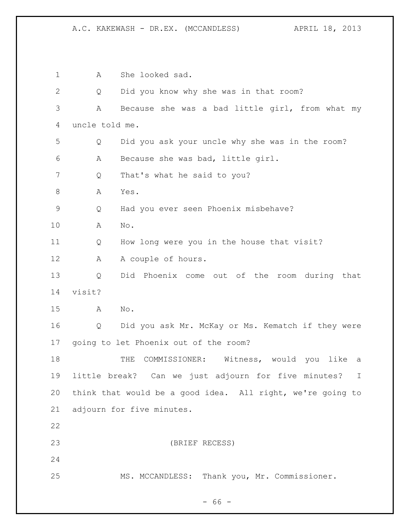1 A She looked sad. Q Did you know why she was in that room? A Because she was a bad little girl, from what my uncle told me. Q Did you ask your uncle why she was in the room? A Because she was bad, little girl. Q That's what he said to you? 8 A Yes. Q Had you ever seen Phoenix misbehave? A No. Q How long were you in the house that visit? 12 A A couple of hours. Q Did Phoenix come out of the room during that visit? A No. Q Did you ask Mr. McKay or Ms. Kematch if they were going to let Phoenix out of the room? 18 THE COMMISSIONER: Witness, would you like a little break? Can we just adjourn for five minutes? I think that would be a good idea. All right, we're going to adjourn for five minutes. (BRIEF RECESS) MS. MCCANDLESS: Thank you, Mr. Commissioner.

- 66 -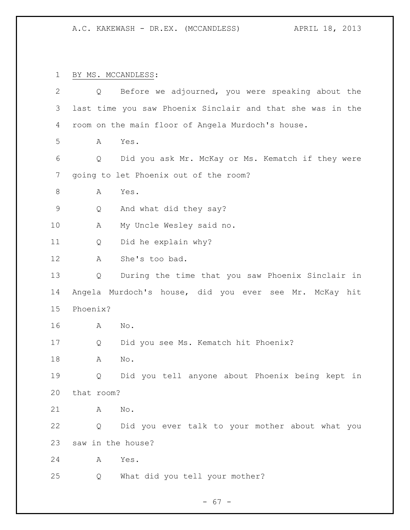BY MS. MCCANDLESS:

| $\mathbf{2}$ | Q                 | Before we adjourned, you were speaking about the           |
|--------------|-------------------|------------------------------------------------------------|
| 3            |                   | last time you saw Phoenix Sinclair and that she was in the |
| 4            |                   | room on the main floor of Angela Murdoch's house.          |
| 5            | A                 | Yes.                                                       |
| 6            | Q                 | Did you ask Mr. McKay or Ms. Kematch if they were          |
| 7            |                   | going to let Phoenix out of the room?                      |
| 8            | Α                 | Yes.                                                       |
| $\mathsf 9$  | Q                 | And what did they say?                                     |
| 10           | Α                 | My Uncle Wesley said no.                                   |
| 11           | Q                 | Did he explain why?                                        |
| 12           | Α                 | She's too bad.                                             |
| 13           | Q                 | During the time that you saw Phoenix Sinclair in           |
| 14           |                   | Angela Murdoch's house, did you ever see Mr. McKay hit     |
| 15           | Phoenix?          |                                                            |
| 16           | A                 | No.                                                        |
| 17           | Q                 | Did you see Ms. Kematch hit Phoenix?                       |
| 18           | Α                 | No.                                                        |
| 19           | Q                 | Did you tell anyone about Phoenix being kept in            |
| 20           | that room?        |                                                            |
| 21           | Α                 | No.                                                        |
| 22           | Q                 | Did you ever talk to your mother about what you            |
| 23           | saw in the house? |                                                            |
| 24           | Α                 | Yes.                                                       |
| 25           | Q                 | What did you tell your mother?                             |
|              |                   |                                                            |

- 67 -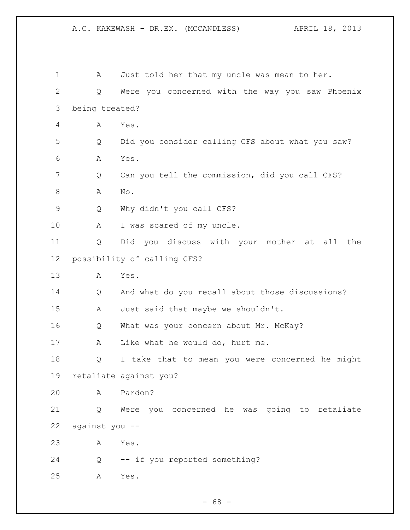| 1            | A              | Just told her that my uncle was mean to her.     |
|--------------|----------------|--------------------------------------------------|
| $\mathbf{2}$ | Q              | Were you concerned with the way you saw Phoenix  |
| 3            | being treated? |                                                  |
| 4            | A              | Yes.                                             |
| 5            | Q              | Did you consider calling CFS about what you saw? |
| 6            | Α              | Yes.                                             |
| 7            | Q              | Can you tell the commission, did you call CFS?   |
| 8            | A              | No.                                              |
| 9            | Q              | Why didn't you call CFS?                         |
| 10           | A              | I was scared of my uncle.                        |
| 11           | Q              | Did you discuss with your mother at<br>all the   |
| 12           |                | possibility of calling CFS?                      |
| 13           | Α              | Yes.                                             |
| 14           | Q              | And what do you recall about those discussions?  |
| 15           | Α              | Just said that maybe we shouldn't.               |
| 16           | Q              | What was your concern about Mr. McKay?           |
| 17           | Α              | Like what he would do, hurt me.                  |
| 18           | Q              | I take that to mean you were concerned he might  |
| 19           |                | retaliate against you?                           |
| 20           | A              | Pardon?                                          |
| 21           | Q              | Were you concerned he was going to retaliate     |
| 22           | against you -- |                                                  |
| 23           | A              | Yes.                                             |
| 24           | Q              | -- if you reported something?                    |
| 25           | Α              | Yes.                                             |
|              |                |                                                  |

- 68 -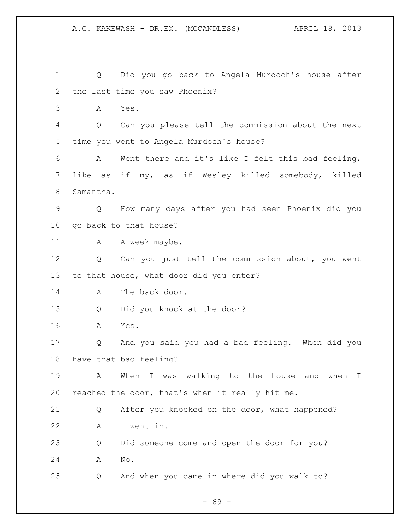Q Did you go back to Angela Murdoch's house after the last time you saw Phoenix? A Yes. Q Can you please tell the commission about the next time you went to Angela Murdoch's house? A Went there and it's like I felt this bad feeling, like as if my, as if Wesley killed somebody, killed Samantha. Q How many days after you had seen Phoenix did you go back to that house? 11 A A week maybe. Q Can you just tell the commission about, you went to that house, what door did you enter? 14 A The back door. Q Did you knock at the door? A Yes. Q And you said you had a bad feeling. When did you have that bad feeling? A When I was walking to the house and when I reached the door, that's when it really hit me. Q After you knocked on the door, what happened? A I went in. Q Did someone come and open the door for you? A No. Q And when you came in where did you walk to?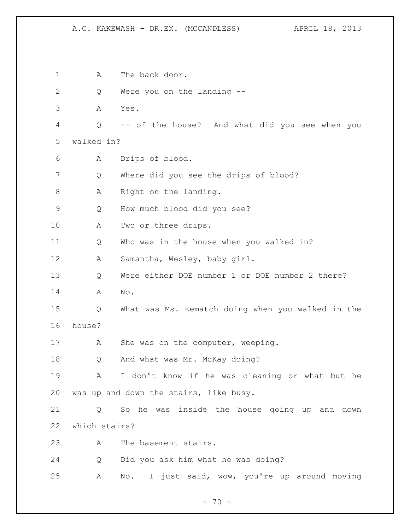A.C. KAKEWASH - DR.EX. (MCCANDLESS) APRIL 18, 2013

1 A The back door. Q Were you on the landing -- A Yes. Q -- of the house? And what did you see when you walked in? A Drips of blood. Q Where did you see the drips of blood? 8 A Right on the landing. Q How much blood did you see? 10 A Two or three drips. Q Who was in the house when you walked in? A Samantha, Wesley, baby girl. Q Were either DOE number 1 or DOE number 2 there? A No. Q What was Ms. Kematch doing when you walked in the house? 17 A She was on the computer, weeping. Q And what was Mr. McKay doing? A I don't know if he was cleaning or what but he was up and down the stairs, like busy. Q So he was inside the house going up and down which stairs? A The basement stairs. Q Did you ask him what he was doing? A No. I just said, wow, you're up around moving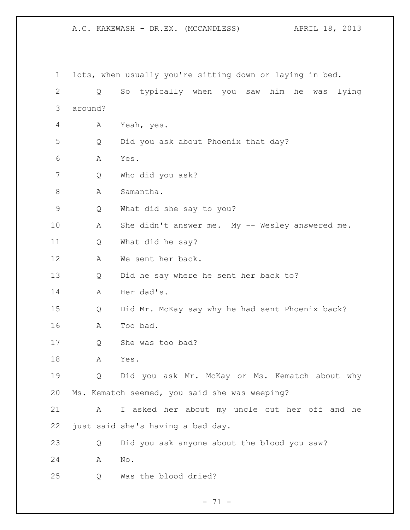A.C. KAKEWASH - DR.EX. (MCCANDLESS) APRIL 18, 2013

 lots, when usually you're sitting down or laying in bed. Q So typically when you saw him he was lying around? A Yeah, yes. Q Did you ask about Phoenix that day? A Yes. Q Who did you ask? A Samantha. Q What did she say to you? A She didn't answer me. My -- Wesley answered me. Q What did he say? A We sent her back. Q Did he say where he sent her back to? A Her dad's. Q Did Mr. McKay say why he had sent Phoenix back? A Too bad. 17 Q She was too bad? A Yes. Q Did you ask Mr. McKay or Ms. Kematch about why Ms. Kematch seemed, you said she was weeping? A I asked her about my uncle cut her off and he just said she's having a bad day. Q Did you ask anyone about the blood you saw? A No. Q Was the blood dried?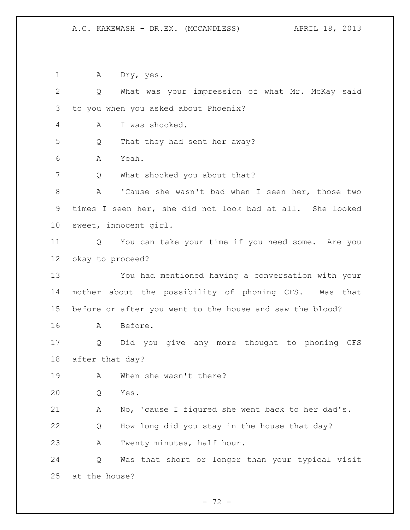A Dry, yes. Q What was your impression of what Mr. McKay said to you when you asked about Phoenix? A I was shocked. Q That they had sent her away? A Yeah. 7 Q What shocked you about that? A 'Cause she wasn't bad when I seen her, those two times I seen her, she did not look bad at all. She looked sweet, innocent girl. Q You can take your time if you need some. Are you okay to proceed? You had mentioned having a conversation with your mother about the possibility of phoning CFS. Was that before or after you went to the house and saw the blood? A Before. Q Did you give any more thought to phoning CFS after that day? A When she wasn't there? Q Yes. A No, 'cause I figured she went back to her dad's. Q How long did you stay in the house that day? A Twenty minutes, half hour. Q Was that short or longer than your typical visit at the house?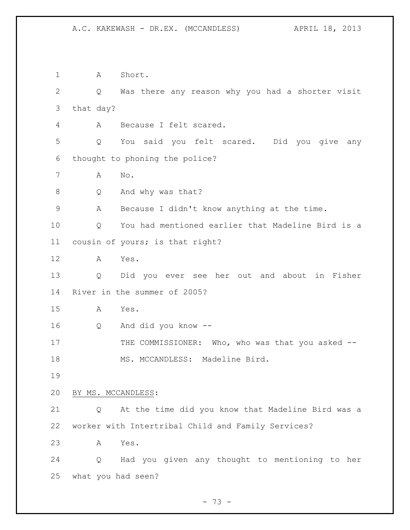1 A Short. Q Was there any reason why you had a shorter visit that day? A Because I felt scared. Q You said you felt scared. Did you give any thought to phoning the police? A No. 8 Q And why was that? A Because I didn't know anything at the time. Q You had mentioned earlier that Madeline Bird is a cousin of yours; is that right? A Yes. Q Did you ever see her out and about in Fisher River in the summer of 2005? A Yes. Q And did you know -- 17 THE COMMISSIONER: Who, who was that you asked --18 MS. MCCANDLESS: Madeline Bird. BY MS. MCCANDLESS: Q At the time did you know that Madeline Bird was a worker with Intertribal Child and Family Services? A Yes. Q Had you given any thought to mentioning to her what you had seen?

- 73 -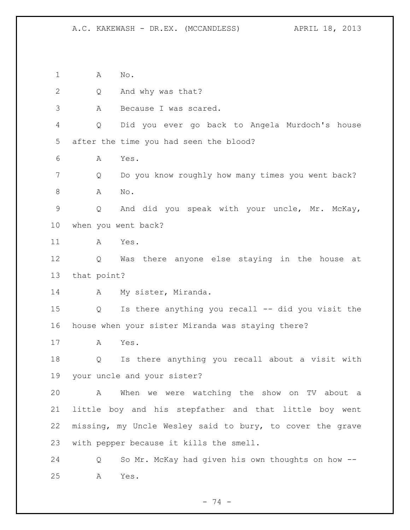A No.

Q And why was that?

A Because I was scared.

 Q Did you ever go back to Angela Murdoch's house after the time you had seen the blood?

A Yes.

 Q Do you know roughly how many times you went back? 8 A No.

 Q And did you speak with your uncle, Mr. McKay, when you went back?

A Yes.

 Q Was there anyone else staying in the house at that point?

14 A My sister, Miranda.

 Q Is there anything you recall -- did you visit the house when your sister Miranda was staying there?

A Yes.

 Q Is there anything you recall about a visit with your uncle and your sister?

 A When we were watching the show on TV about a little boy and his stepfather and that little boy went missing, my Uncle Wesley said to bury, to cover the grave with pepper because it kills the smell.

 Q So Mr. McKay had given his own thoughts on how -- A Yes.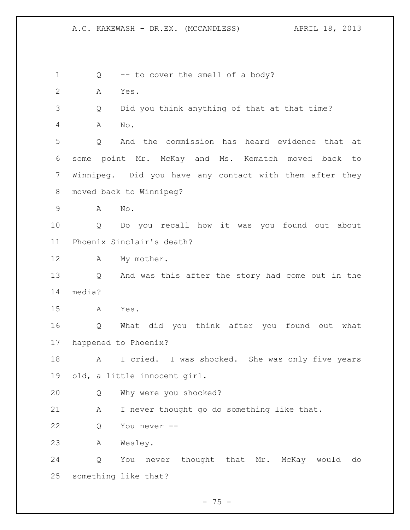Q -- to cover the smell of a body? A Yes. Q Did you think anything of that at that time? A No. Q And the commission has heard evidence that at some point Mr. McKay and Ms. Kematch moved back to Winnipeg. Did you have any contact with them after they moved back to Winnipeg? A No. Q Do you recall how it was you found out about Phoenix Sinclair's death? A My mother. Q And was this after the story had come out in the media? A Yes. Q What did you think after you found out what happened to Phoenix? 18 A I cried. I was shocked. She was only five years old, a little innocent girl. Q Why were you shocked? A I never thought go do something like that. Q You never -- A Wesley. Q You never thought that Mr. McKay would do something like that?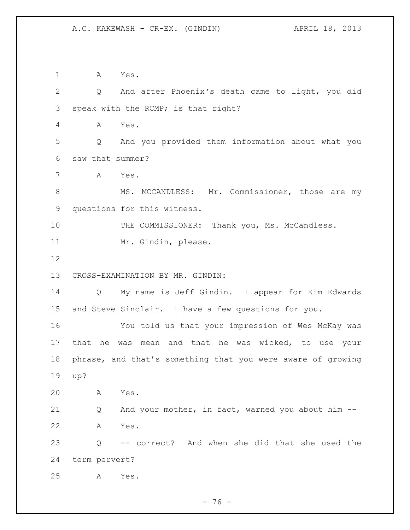A Yes. Q And after Phoenix's death came to light, you did speak with the RCMP; is that right? A Yes. Q And you provided them information about what you saw that summer? A Yes. 8 MS. MCCANDLESS: Mr. Commissioner, those are my questions for this witness. 10 THE COMMISSIONER: Thank you, Ms. McCandless. Mr. Gindin, please. CROSS-EXAMINATION BY MR. GINDIN: Q My name is Jeff Gindin. I appear for Kim Edwards and Steve Sinclair. I have a few questions for you. You told us that your impression of Wes McKay was that he was mean and that he was wicked, to use your phrase, and that's something that you were aware of growing up? A Yes. Q And your mother, in fact, warned you about him -- A Yes. Q -- correct? And when she did that she used the term pervert? A Yes.

- 76 -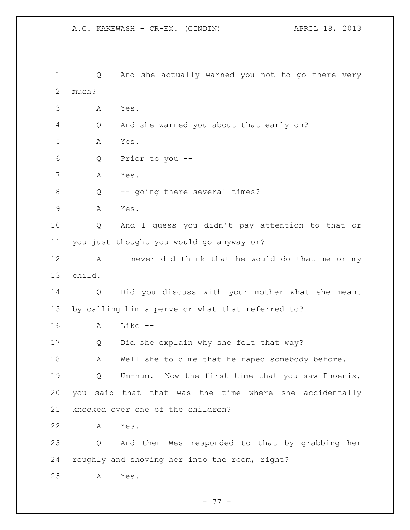Q And she actually warned you not to go there very much? A Yes. Q And she warned you about that early on? A Yes. Q Prior to you -- A Yes. Q -- going there several times? A Yes. Q And I guess you didn't pay attention to that or you just thought you would go anyway or? A I never did think that he would do that me or my child. Q Did you discuss with your mother what she meant by calling him a perve or what that referred to? A Like -- Q Did she explain why she felt that way? 18 A Well she told me that he raped somebody before. Q Um-hum. Now the first time that you saw Phoenix, you said that that was the time where she accidentally knocked over one of the children? A Yes. Q And then Wes responded to that by grabbing her roughly and shoving her into the room, right? A Yes.

- 77 -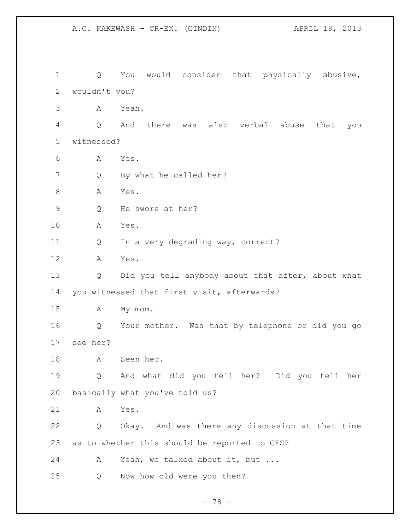Q You would consider that physically abusive, wouldn't you? A Yeah. Q And there was also verbal abuse that you witnessed? A Yes. 7 Q By what he called her? 8 A Yes. Q He swore at her? A Yes. 11 Q In a very degrading way, correct? A Yes. 13 Q Did you tell anybody about that after, about what you witnessed that first visit, afterwards? A My mom. Q Your mother. Was that by telephone or did you go see her? A Seen her. Q And what did you tell her? Did you tell her basically what you've told us? A Yes. Q Okay. And was there any discussion at that time as to whether this should be reported to CFS? A Yeah, we talked about it, but ... Q Now how old were you then?

A.C. KAKEWASH - CR-EX. (GINDIN) APRIL 18, 2013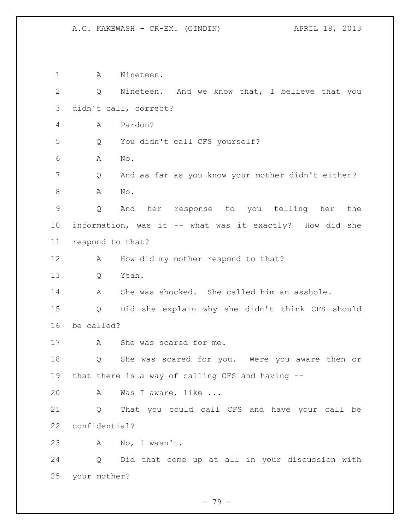A Nineteen. Q Nineteen. And we know that, I believe that you didn't call, correct? A Pardon? Q You didn't call CFS yourself? A No. Q And as far as you know your mother didn't either? A No. Q And her response to you telling her the information, was it -- what was it exactly? How did she respond to that? 12 A How did my mother respond to that? Q Yeah. A She was shocked. She called him an asshole. Q Did she explain why she didn't think CFS should be called? A She was scared for me. Q She was scared for you. Were you aware then or that there is a way of calling CFS and having -- A Was I aware, like ... Q That you could call CFS and have your call be confidential? A No, I wasn't. Q Did that come up at all in your discussion with your mother?

- 79 -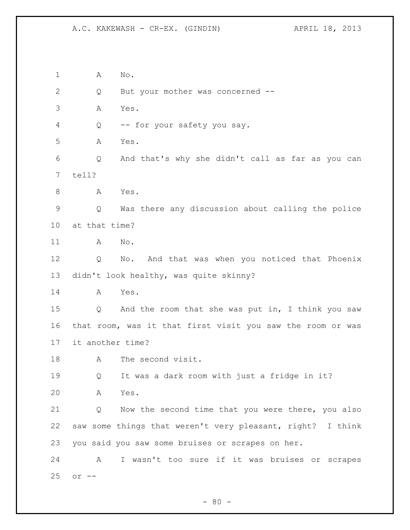A No. Q But your mother was concerned -- A Yes. Q -- for your safety you say. A Yes. Q And that's why she didn't call as far as you can tell? 8 A Yes. Q Was there any discussion about calling the police at that time? A No. Q No. And that was when you noticed that Phoenix didn't look healthy, was quite skinny? A Yes. Q And the room that she was put in, I think you saw that room, was it that first visit you saw the room or was it another time? A The second visit. Q It was a dark room with just a fridge in it? A Yes. Q Now the second time that you were there, you also saw some things that weren't very pleasant, right? I think you said you saw some bruises or scrapes on her. A I wasn't too sure if it was bruises or scrapes or --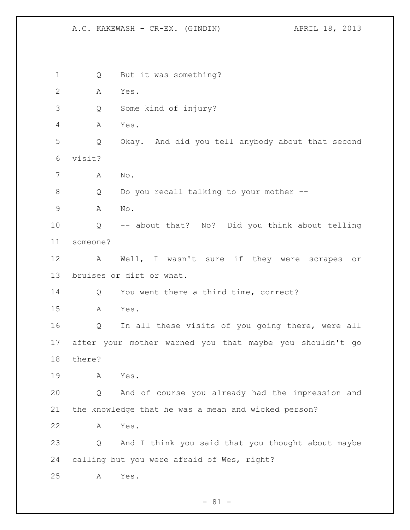Q But it was something? A Yes. Q Some kind of injury? A Yes. Q Okay. And did you tell anybody about that second visit? A No. Q Do you recall talking to your mother -- A No. Q -- about that? No? Did you think about telling someone? A Well, I wasn't sure if they were scrapes or bruises or dirt or what. 14 Q You went there a third time, correct? A Yes. Q In all these visits of you going there, were all after your mother warned you that maybe you shouldn't go there? A Yes. Q And of course you already had the impression and the knowledge that he was a mean and wicked person? A Yes. Q And I think you said that you thought about maybe calling but you were afraid of Wes, right? A Yes.

 $- 81 -$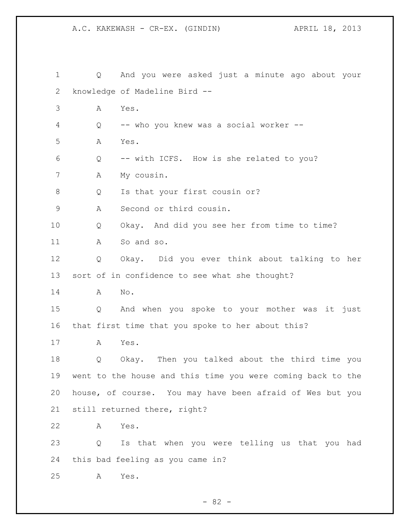| $\mathbf 1$ | $Q \qquad \qquad$ | And you were asked just a minute ago about your             |
|-------------|-------------------|-------------------------------------------------------------|
| 2           |                   | knowledge of Madeline Bird --                               |
| 3           | А                 | Yes.                                                        |
| 4           | Q                 | -- who you knew was a social worker --                      |
| 5           | А                 | Yes.                                                        |
| 6           | Q                 | -- with ICFS. How is she related to you?                    |
| 7           | Α                 | My cousin.                                                  |
| $8\,$       | Q                 | Is that your first cousin or?                               |
| $\mathsf 9$ | A                 | Second or third cousin.                                     |
| 10          | Q                 | Okay. And did you see her from time to time?                |
| 11          | Α                 | So and so.                                                  |
| 12          | Q                 | Okay. Did you ever think about talking to her               |
| 13          |                   | sort of in confidence to see what she thought?              |
| 14          | Α                 | No.                                                         |
| 15          | Q                 | And when you spoke to your mother was it just               |
| 16          |                   | that first time that you spoke to her about this?           |
| 17          | А                 | Yes.                                                        |
| 18          | Q                 | Okay. Then you talked about the third time you              |
| 19          |                   | went to the house and this time you were coming back to the |
| 20          |                   | house, of course. You may have been afraid of Wes but you   |
| 21          |                   | still returned there, right?                                |
| 22          | А                 | Yes.                                                        |
| 23          | Q                 | Is that when you were telling us that you had               |
| 24          |                   | this bad feeling as you came in?                            |
| 25          | А                 | Yes.                                                        |

- 82 -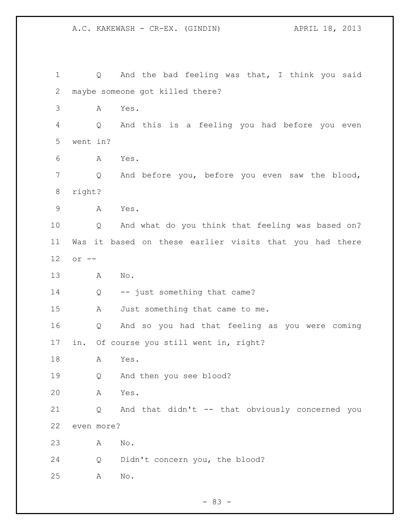1 Q And the bad feeling was that, I think you said maybe someone got killed there? A Yes. Q And this is a feeling you had before you even went in? A Yes. Q And before you, before you even saw the blood, right? A Yes. Q And what do you think that feeling was based on? Was it based on these earlier visits that you had there or -- A No. 14 Q -- just something that came? A Just something that came to me. Q And so you had that feeling as you were coming in. Of course you still went in, right? A Yes. Q And then you see blood? A Yes. Q And that didn't -- that obviously concerned you even more? A No. Q Didn't concern you, the blood? A No.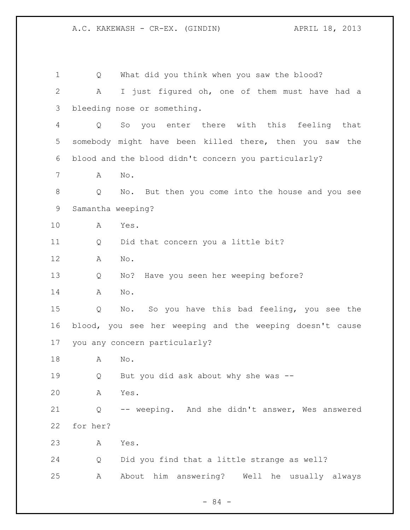| $\mathbf 1$  | What did you think when you saw the blood?<br>Q          |
|--------------|----------------------------------------------------------|
| $\mathbf{2}$ | I just figured oh, one of them must have had a<br>Α      |
| 3            | bleeding nose or something.                              |
| 4            | you enter there with this feeling that<br>So<br>Q        |
| 5            | somebody might have been killed there, then you saw the  |
| 6            | blood and the blood didn't concern you particularly?     |
| 7            | No.<br>A                                                 |
| 8            | Q<br>No. But then you come into the house and you see    |
| $\mathsf 9$  | Samantha weeping?                                        |
| 10           | Yes.<br>A                                                |
| 11           | Did that concern you a little bit?<br>Q                  |
| 12           | No.<br>А                                                 |
| 13           | No? Have you seen her weeping before?<br>Q               |
| 14           | No.<br>Α                                                 |
| 15           | No. So you have this bad feeling, you see the<br>Q       |
| 16           | blood, you see her weeping and the weeping doesn't cause |
| 17           | you any concern particularly?                            |
| 18           | Α<br>No.                                                 |
| 19           | But you did ask about why she was --<br>Q                |
| 20           | Yes.<br>Α                                                |
| 21           | -- weeping. And she didn't answer, Wes answered<br>Q     |
| 22           | for her?                                                 |
| 23           | Yes.<br>A                                                |
| 24           | Did you find that a little strange as well?<br>Q         |
| 25           | About him answering?<br>Well he usually always<br>Α      |

- 84 -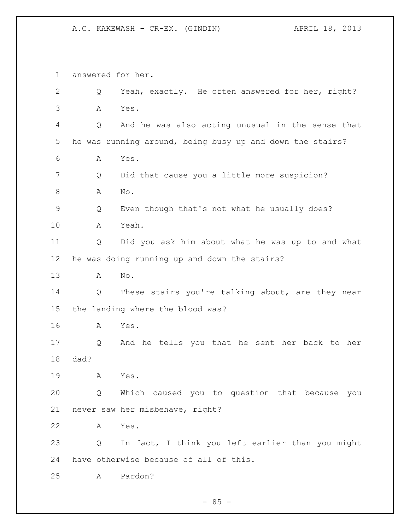answered for her. Q Yeah, exactly. He often answered for her, right? A Yes. Q And he was also acting unusual in the sense that he was running around, being busy up and down the stairs? A Yes. Q Did that cause you a little more suspicion? 8 A No. Q Even though that's not what he usually does? A Yeah. Q Did you ask him about what he was up to and what he was doing running up and down the stairs? A No. Q These stairs you're talking about, are they near the landing where the blood was? A Yes. Q And he tells you that he sent her back to her dad? A Yes. Q Which caused you to question that because you never saw her misbehave, right? A Yes. Q In fact, I think you left earlier than you might have otherwise because of all of this. A Pardon?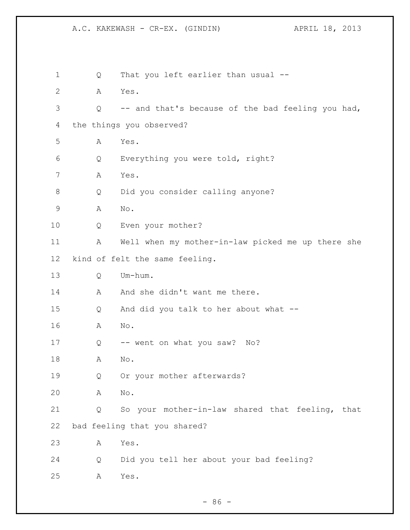| $\mathbf 1$ | Q | That you left earlier than usual --               |
|-------------|---|---------------------------------------------------|
| 2           | Α | Yes.                                              |
| 3           | Q | -- and that's because of the bad feeling you had, |
| 4           |   | the things you observed?                          |
| 5           | Α | Yes.                                              |
| 6           | Q | Everything you were told, right?                  |
| 7           | Α | Yes.                                              |
| 8           | Q | Did you consider calling anyone?                  |
| 9           | Α | No.                                               |
| 10          | Q | Even your mother?                                 |
| 11          | Α | Well when my mother-in-law picked me up there she |
| 12          |   | kind of felt the same feeling.                    |
| 13          | Q | Um-hum.                                           |
| 14          | Α | And she didn't want me there.                     |
| 15          | Q | And did you talk to her about what --             |
| 16          | А | No.                                               |
| 17          | Q | -- went on what you saw?<br>No?                   |
| 18          | Α | No.                                               |
| 19          | Q | Or your mother afterwards?                        |
| 20          | Α | No.                                               |
| 21          | Q | So your mother-in-law shared that feeling, that   |
| 22          |   | bad feeling that you shared?                      |
| 23          | Α | Yes.                                              |
| 24          | Q | Did you tell her about your bad feeling?          |
| 25          | Α | Yes.                                              |
|             |   |                                                   |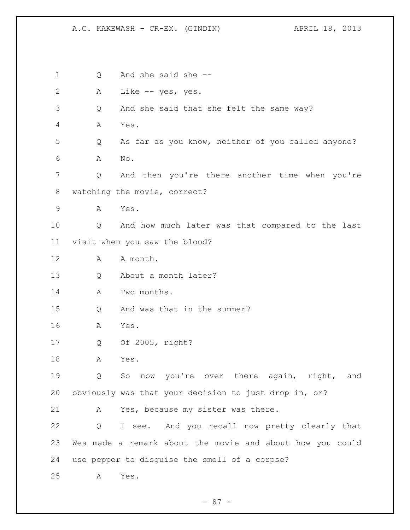Q And she said she -- A Like -- yes, yes. Q And she said that she felt the same way? A Yes. Q As far as you know, neither of you called anyone? A No. Q And then you're there another time when you're watching the movie, correct? A Yes. Q And how much later was that compared to the last visit when you saw the blood? 12 A A month. Q About a month later? A Two months. Q And was that in the summer? A Yes. Q Of 2005, right? A Yes. Q So now you're over there again, right, and obviously was that your decision to just drop in, or? A Yes, because my sister was there. Q I see. And you recall now pretty clearly that Wes made a remark about the movie and about how you could use pepper to disguise the smell of a corpse? A Yes.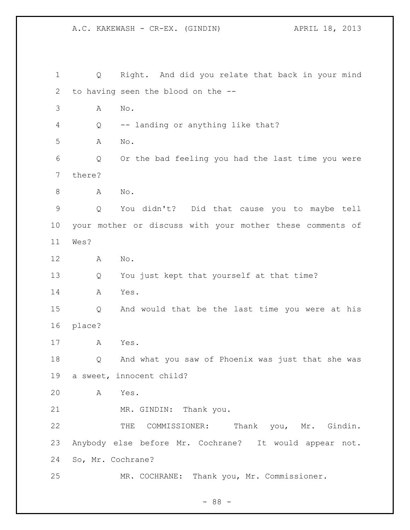Q Right. And did you relate that back in your mind to having seen the blood on the -- A No. Q -- landing or anything like that? A No. Q Or the bad feeling you had the last time you were there? 8 A No. Q You didn't? Did that cause you to maybe tell your mother or discuss with your mother these comments of Wes? A No. Q You just kept that yourself at that time? A Yes. Q And would that be the last time you were at his place? A Yes. Q And what you saw of Phoenix was just that she was a sweet, innocent child? A Yes. MR. GINDIN: Thank you. 22 THE COMMISSIONER: Thank you, Mr. Gindin. Anybody else before Mr. Cochrane? It would appear not. So, Mr. Cochrane? MR. COCHRANE: Thank you, Mr. Commissioner.

- 88 -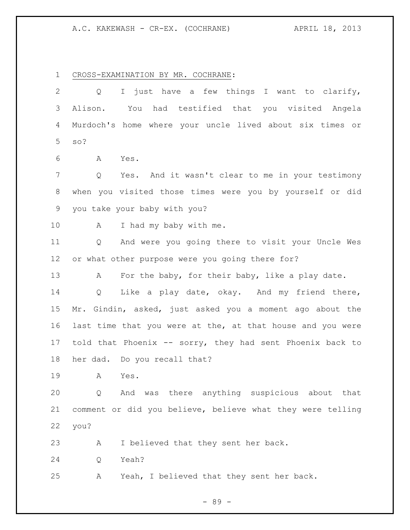A.C. KAKEWASH - CR-EX. (COCHRANE) APRIL 18, 2013

CROSS-EXAMINATION BY MR. COCHRANE:

 Q I just have a few things I want to clarify, Alison. You had testified that you visited Angela Murdoch's home where your uncle lived about six times or so? A Yes. Q Yes. And it wasn't clear to me in your testimony when you visited those times were you by yourself or did you take your baby with you? 10 A I had my baby with me. Q And were you going there to visit your Uncle Wes or what other purpose were you going there for? 13 A For the baby, for their baby, like a play date. Q Like a play date, okay. And my friend there, Mr. Gindin, asked, just asked you a moment ago about the last time that you were at the, at that house and you were told that Phoenix -- sorry, they had sent Phoenix back to her dad. Do you recall that? A Yes. Q And was there anything suspicious about that comment or did you believe, believe what they were telling you? A I believed that they sent her back. Q Yeah? A Yeah, I believed that they sent her back.

- 89 -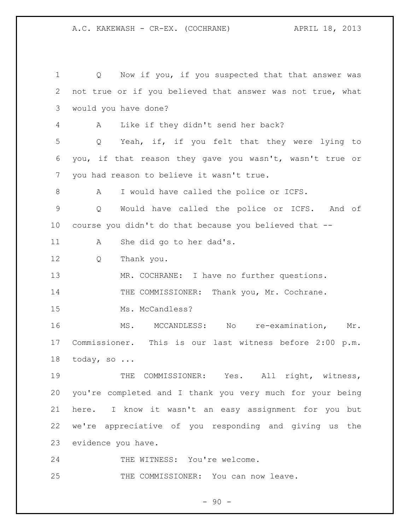Q Now if you, if you suspected that that answer was not true or if you believed that answer was not true, what would you have done? A Like if they didn't send her back? Q Yeah, if, if you felt that they were lying to you, if that reason they gave you wasn't, wasn't true or you had reason to believe it wasn't true. 8 A I would have called the police or ICFS. Q Would have called the police or ICFS. And of course you didn't do that because you believed that -- A She did go to her dad's. Q Thank you. 13 MR. COCHRANE: I have no further questions. 14 THE COMMISSIONER: Thank you, Mr. Cochrane. 15 Ms. McCandless? MS. MCCANDLESS: No re-examination, Mr. Commissioner. This is our last witness before 2:00 p.m. today, so ... 19 THE COMMISSIONER: Yes. All right, witness, you're completed and I thank you very much for your being here. I know it wasn't an easy assignment for you but we're appreciative of you responding and giving us the evidence you have. 24 THE WITNESS: You're welcome.

25 THE COMMISSIONER: You can now leave.

 $-90 -$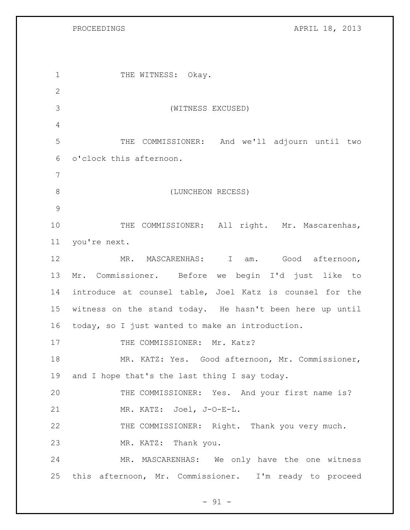PROCEEDINGS APRIL 18, 2013

1 THE WITNESS: Okay. (WITNESS EXCUSED) THE COMMISSIONER: And we'll adjourn until two o'clock this afternoon. 8 (LUNCHEON RECESS) 10 THE COMMISSIONER: All right. Mr. Mascarenhas, you're next. MR. MASCARENHAS: I am. Good afternoon, Mr. Commissioner. Before we begin I'd just like to introduce at counsel table, Joel Katz is counsel for the witness on the stand today. He hasn't been here up until today, so I just wanted to make an introduction. 17 THE COMMISSIONER: Mr. Katz? MR. KATZ: Yes. Good afternoon, Mr. Commissioner, 19 and I hope that's the last thing I say today. THE COMMISSIONER: Yes. And your first name is? MR. KATZ: Joel, J-O-E-L. THE COMMISSIONER: Right. Thank you very much. MR. KATZ: Thank you. MR. MASCARENHAS: We only have the one witness this afternoon, Mr. Commissioner. I'm ready to proceed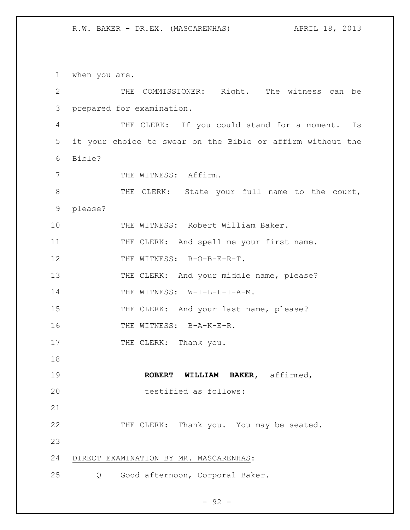1 when you are.

2 THE COMMISSIONER: Right. The witness can be 3 prepared for examination. 4 THE CLERK: If you could stand for a moment. Is 5 it your choice to swear on the Bible or affirm without the 6 Bible? 7 THE WITNESS: Affirm. 8 THE CLERK: State your full name to the court, 9 please? 10 THE WITNESS: Robert William Baker. 11 THE CLERK: And spell me your first name. 12 THE WITNESS: R-O-B-E-R-T. 13 THE CLERK: And your middle name, please? 14 THE WITNESS: W-I-L-L-I-A-M. 15 THE CLERK: And your last name, please? 16 THE WITNESS: B-A-K-E-R. 17 THE CLERK: Thank you. 18 19 **ROBERT WILLIAM BAKER,** affirmed, 20 testified as follows: 21 22 THE CLERK: Thank you. You may be seated. 23 24 DIRECT EXAMINATION BY MR. MASCARENHAS: 25 Q Good afternoon, Corporal Baker.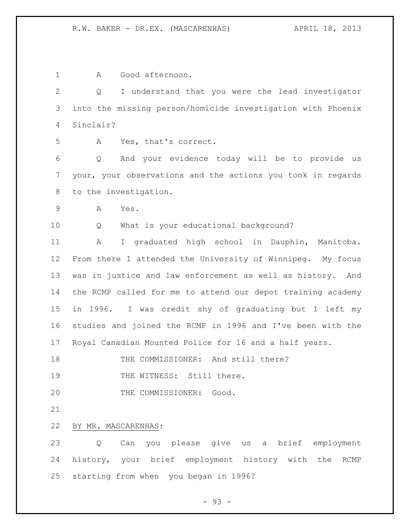A Good afternoon. Q I understand that you were the lead investigator into the missing person/homicide investigation with Phoenix Sinclair? A Yes, that's correct. Q And your evidence today will be to provide us your, your observations and the actions you took in regards to the investigation. A Yes. Q What is your educational background? A I graduated high school in Dauphin, Manitoba. From there I attended the University of Winnipeg. My focus was in justice and law enforcement as well as history. And the RCMP called for me to attend our depot training academy in 1996. I was credit shy of graduating but I left my studies and joined the RCMP in 1996 and I've been with the Royal Canadian Mounted Police for 16 and a half years. 18 THE COMMISSIONER: And still there? 19 THE WITNESS: Still there. THE COMMISSIONER: Good. BY MR. MASCARENHAS: Q Can you please give us a brief employment history, your brief employment history with the RCMP starting from when you began in 1996?

- 93 -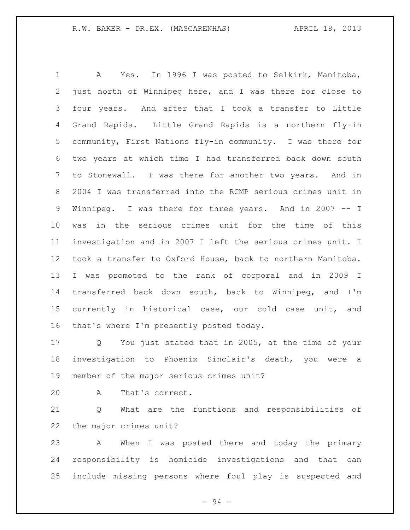A Yes. In 1996 I was posted to Selkirk, Manitoba, just north of Winnipeg here, and I was there for close to four years. And after that I took a transfer to Little Grand Rapids. Little Grand Rapids is a northern fly-in community, First Nations fly-in community. I was there for two years at which time I had transferred back down south to Stonewall. I was there for another two years. And in 2004 I was transferred into the RCMP serious crimes unit in Winnipeg. I was there for three years. And in 2007 -- I was in the serious crimes unit for the time of this investigation and in 2007 I left the serious crimes unit. I took a transfer to Oxford House, back to northern Manitoba. I was promoted to the rank of corporal and in 2009 I transferred back down south, back to Winnipeg, and I'm currently in historical case, our cold case unit, and that's where I'm presently posted today.

 Q You just stated that in 2005, at the time of your investigation to Phoenix Sinclair's death, you were a member of the major serious crimes unit?

A That's correct.

 Q What are the functions and responsibilities of the major crimes unit?

 A When I was posted there and today the primary responsibility is homicide investigations and that can include missing persons where foul play is suspected and

- 94 -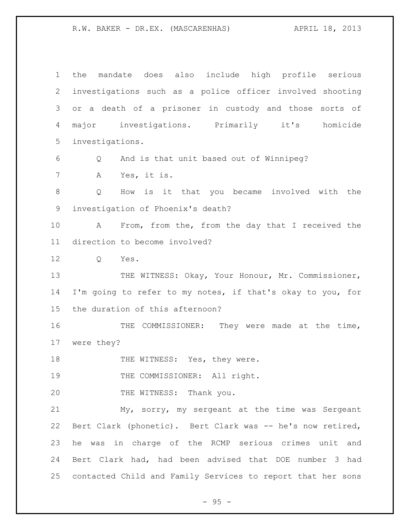R.W. BAKER - DR.EX. (MASCARENHAS) (APRIL 18, 2013

| $\mathbf 1$ | mandate does also include high profile serious<br>the       |
|-------------|-------------------------------------------------------------|
| 2           | investigations such as a police officer involved shooting   |
| 3           | or a death of a prisoner in custody and those sorts of      |
| 4           | major investigations. Primarily it's homicide               |
| 5           | investigations.                                             |
| 6           | And is that unit based out of Winnipeg?<br>Q                |
| 7           | Yes, it is.<br>A                                            |
| 8           | Q<br>How is it that you became involved with the            |
| $\mathsf 9$ | investigation of Phoenix's death?                           |
| 10          | From, from the, from the day that I received the<br>A       |
| 11          | direction to become involved?                               |
| 12          | Q<br>Yes.                                                   |
| 13          | THE WITNESS: Okay, Your Honour, Mr. Commissioner,           |
| 14          | I'm going to refer to my notes, if that's okay to you, for  |
| 15          | the duration of this afternoon?                             |
| 16          | THE COMMISSIONER: They were made at the time,               |
| 17          | were they?                                                  |
| 18          | THE WITNESS: Yes, they were.                                |
| 19          | THE COMMISSIONER: All right.                                |
| 20          | THE WITNESS: Thank you.                                     |
| 21          | My, sorry, my sergeant at the time was Sergeant             |
| 22          | Bert Clark (phonetic). Bert Clark was -- he's now retired,  |
| 23          | he was in charge of the RCMP serious crimes unit and        |
| 24          | Bert Clark had, had been advised that DOE number 3 had      |
| 25          | contacted Child and Family Services to report that her sons |

- 95 -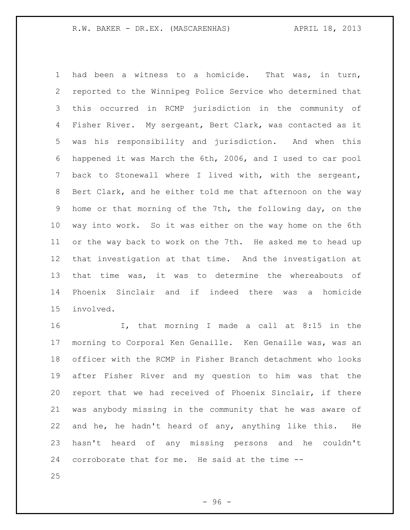had been a witness to a homicide. That was, in turn, reported to the Winnipeg Police Service who determined that this occurred in RCMP jurisdiction in the community of Fisher River. My sergeant, Bert Clark, was contacted as it was his responsibility and jurisdiction. And when this happened it was March the 6th, 2006, and I used to car pool back to Stonewall where I lived with, with the sergeant, Bert Clark, and he either told me that afternoon on the way home or that morning of the 7th, the following day, on the way into work. So it was either on the way home on the 6th or the way back to work on the 7th. He asked me to head up that investigation at that time. And the investigation at that time was, it was to determine the whereabouts of Phoenix Sinclair and if indeed there was a homicide involved.

 I, that morning I made a call at 8:15 in the morning to Corporal Ken Genaille. Ken Genaille was, was an officer with the RCMP in Fisher Branch detachment who looks after Fisher River and my question to him was that the report that we had received of Phoenix Sinclair, if there was anybody missing in the community that he was aware of and he, he hadn't heard of any, anything like this. He hasn't heard of any missing persons and he couldn't corroborate that for me. He said at the time --

 $-96 -$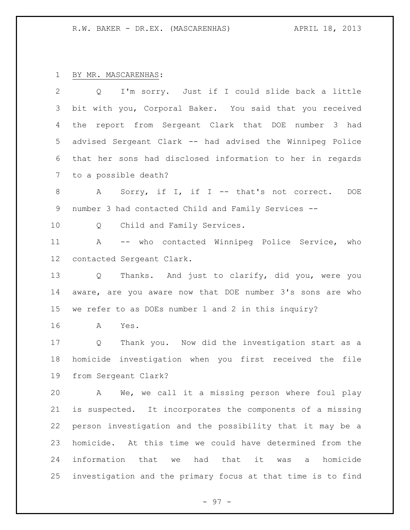## BY MR. MASCARENHAS:

 Q I'm sorry. Just if I could slide back a little bit with you, Corporal Baker. You said that you received the report from Sergeant Clark that DOE number 3 had advised Sergeant Clark -- had advised the Winnipeg Police that her sons had disclosed information to her in regards to a possible death? 8 A Sorry, if I, if I -- that's not correct. DOE number 3 had contacted Child and Family Services -- Q Child and Family Services. A -- who contacted Winnipeg Police Service, who contacted Sergeant Clark. Q Thanks. And just to clarify, did you, were you aware, are you aware now that DOE number 3's sons are who we refer to as DOEs number 1 and 2 in this inquiry? A Yes. Q Thank you. Now did the investigation start as a homicide investigation when you first received the file from Sergeant Clark? A We, we call it a missing person where foul play is suspected. It incorporates the components of a missing person investigation and the possibility that it may be a homicide. At this time we could have determined from the information that we had that it was a homicide investigation and the primary focus at that time is to find

- 97 -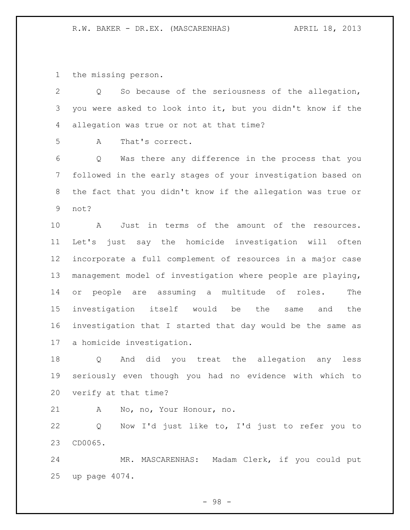the missing person.

| $\mathbf{2}$   | So because of the seriousness of the allegation,<br>Q         |
|----------------|---------------------------------------------------------------|
| 3              | you were asked to look into it, but you didn't know if the    |
| 4              | allegation was true or not at that time?                      |
| 5              | That's correct.<br>A                                          |
| 6              | Was there any difference in the process that you<br>Q         |
| $\overline{7}$ | followed in the early stages of your investigation based on   |
| 8              | the fact that you didn't know if the allegation was true or   |
| $\mathsf 9$    | not?                                                          |
| 10             | Just in terms of the amount of the resources.<br>Α            |
| 11             | just say the homicide investigation will often<br>Let's       |
| 12             | incorporate a full complement of resources in a major case    |
| 13             | management model of investigation where people are playing,   |
| 14             | people are assuming a multitude of<br>roles.<br>The<br>or     |
| 15             | investigation<br>itself would be<br>the<br>the<br>same<br>and |
| 16             | investigation that I started that day would be the same as    |
| 17             | a homicide investigation.                                     |
| 18             | And did you treat the allegation any<br>Q<br>less             |
| 19             | seriously even though you had no evidence with which to       |
| 20             | verify at that time?                                          |
| 21             | No, no, Your Honour, no.<br>Α                                 |
| 22             | Now I'd just like to, I'd just to refer you to<br>Q           |
| 23             | CD0065.                                                       |
| 24             | MR. MASCARENHAS: Madam Clerk, if you could put                |
| 25             | up page 4074.                                                 |

- 98 -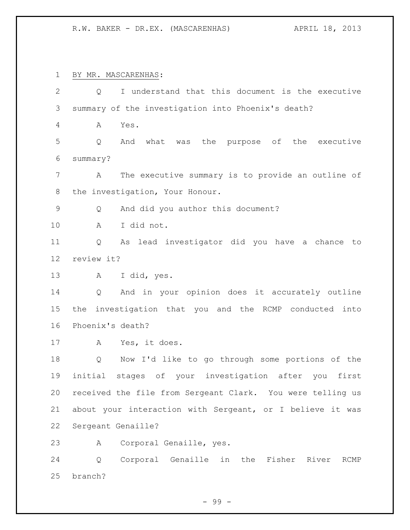R.W. BAKER - DR.EX. (MASCARENHAS) APRIL 18, 2013

 BY MR. MASCARENHAS: Q I understand that this document is the executive summary of the investigation into Phoenix's death? A Yes. Q And what was the purpose of the executive summary? A The executive summary is to provide an outline of the investigation, Your Honour. Q And did you author this document? A I did not. Q As lead investigator did you have a chance to review it? A I did, yes. Q And in your opinion does it accurately outline the investigation that you and the RCMP conducted into Phoenix's death? A Yes, it does. Q Now I'd like to go through some portions of the initial stages of your investigation after you first received the file from Sergeant Clark. You were telling us about your interaction with Sergeant, or I believe it was Sergeant Genaille? A Corporal Genaille, yes. Q Corporal Genaille in the Fisher River RCMP branch?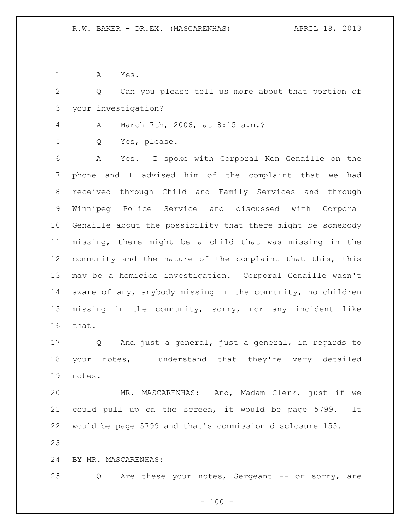A Yes.

 Q Can you please tell us more about that portion of your investigation?

A March 7th, 2006, at 8:15 a.m.?

Q Yes, please.

 A Yes. I spoke with Corporal Ken Genaille on the phone and I advised him of the complaint that we had received through Child and Family Services and through Winnipeg Police Service and discussed with Corporal Genaille about the possibility that there might be somebody missing, there might be a child that was missing in the community and the nature of the complaint that this, this may be a homicide investigation. Corporal Genaille wasn't aware of any, anybody missing in the community, no children missing in the community, sorry, nor any incident like that.

 Q And just a general, just a general, in regards to your notes, I understand that they're very detailed notes.

 MR. MASCARENHAS: And, Madam Clerk, just if we could pull up on the screen, it would be page 5799. It would be page 5799 and that's commission disclosure 155.

## BY MR. MASCARENHAS:

25 Q Are these your notes, Sergeant -- or sorry, are

 $- 100 -$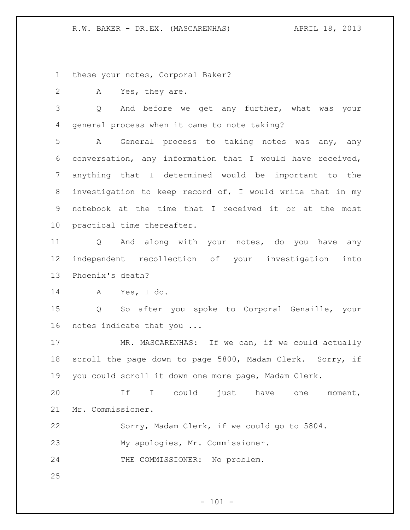these your notes, Corporal Baker?

A Yes, they are.

 Q And before we get any further, what was your general process when it came to note taking?

 A General process to taking notes was any, any conversation, any information that I would have received, anything that I determined would be important to the investigation to keep record of, I would write that in my notebook at the time that I received it or at the most practical time thereafter.

 Q And along with your notes, do you have any independent recollection of your investigation into Phoenix's death?

A Yes, I do.

 Q So after you spoke to Corporal Genaille, your notes indicate that you ...

17 MR. MASCARENHAS: If we can, if we could actually scroll the page down to page 5800, Madam Clerk. Sorry, if you could scroll it down one more page, Madam Clerk.

 If I could just have one moment, Mr. Commissioner.

Sorry, Madam Clerk, if we could go to 5804.

My apologies, Mr. Commissioner.

THE COMMISSIONER: No problem.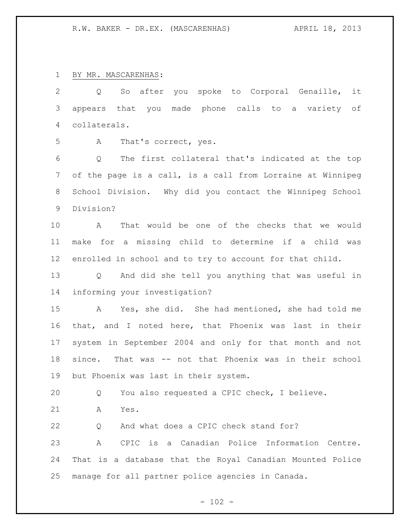BY MR. MASCARENHAS:

 Q So after you spoke to Corporal Genaille, it appears that you made phone calls to a variety of collaterals.

A That's correct, yes.

 Q The first collateral that's indicated at the top of the page is a call, is a call from Lorraine at Winnipeg School Division. Why did you contact the Winnipeg School Division?

 A That would be one of the checks that we would make for a missing child to determine if a child was enrolled in school and to try to account for that child.

 Q And did she tell you anything that was useful in informing your investigation?

 A Yes, she did. She had mentioned, she had told me that, and I noted here, that Phoenix was last in their system in September 2004 and only for that month and not since. That was -- not that Phoenix was in their school but Phoenix was last in their system.

Q You also requested a CPIC check, I believe.

A Yes.

 Q And what does a CPIC check stand for? A CPIC is a Canadian Police Information Centre. That is a database that the Royal Canadian Mounted Police manage for all partner police agencies in Canada.

 $- 102 -$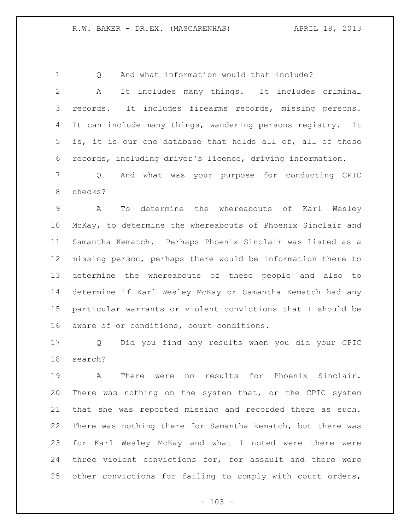1 O And what information would that include?

 A It includes many things. It includes criminal records. It includes firearms records, missing persons. It can include many things, wandering persons registry. It is, it is our one database that holds all of, all of these records, including driver's licence, driving information.

 Q And what was your purpose for conducting CPIC checks?

 A To determine the whereabouts of Karl Wesley McKay, to determine the whereabouts of Phoenix Sinclair and Samantha Kematch. Perhaps Phoenix Sinclair was listed as a missing person, perhaps there would be information there to determine the whereabouts of these people and also to determine if Karl Wesley McKay or Samantha Kematch had any particular warrants or violent convictions that I should be aware of or conditions, court conditions.

 Q Did you find any results when you did your CPIC search?

 A There were no results for Phoenix Sinclair. There was nothing on the system that, or the CPIC system that she was reported missing and recorded there as such. There was nothing there for Samantha Kematch, but there was for Karl Wesley McKay and what I noted were there were three violent convictions for, for assault and there were other convictions for failing to comply with court orders,

 $- 103 -$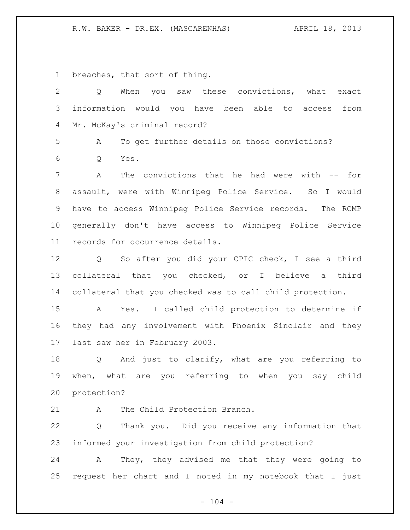R.W. BAKER - DR.EX. (MASCARENHAS) APRIL 18, 2013

breaches, that sort of thing.

| $\mathbf{2}$   | When you saw these convictions, what exact<br>Q           |
|----------------|-----------------------------------------------------------|
| 3              | information would you have been able to access from       |
| 4              | Mr. McKay's criminal record?                              |
| 5              | Α<br>To get further details on those convictions?         |
| 6              | Yes.<br>Q                                                 |
| $7\phantom{.}$ | The convictions that he had were with -- for<br>Α         |
| 8              | assault, were with Winnipeg Police Service. So I would    |
| 9              | have to access Winnipeg Police Service records. The RCMP  |
| 10             | generally don't have access to Winnipeg Police Service    |
| 11             | records for occurrence details.                           |
| 12             | Q So after you did your CPIC check, I see a third         |
| 13             | collateral that you checked, or I believe a<br>third      |
| 14             | collateral that you checked was to call child protection. |
| 15             | A Yes. I called child protection to determine if          |
| 16             | they had any involvement with Phoenix Sinclair and they   |
| 17             | last saw her in February 2003.                            |
| 18             | Q And just to clarify, what are you referring to          |
| 19             | when, what are you referring to when you say child        |
| 20             | protection?                                               |
| 21             | The Child Protection Branch.<br>A                         |
| 22             | Thank you. Did you receive any information that<br>Q      |
| 23             | informed your investigation from child protection?        |

 A They, they advised me that they were going to request her chart and I noted in my notebook that I just

- 104 -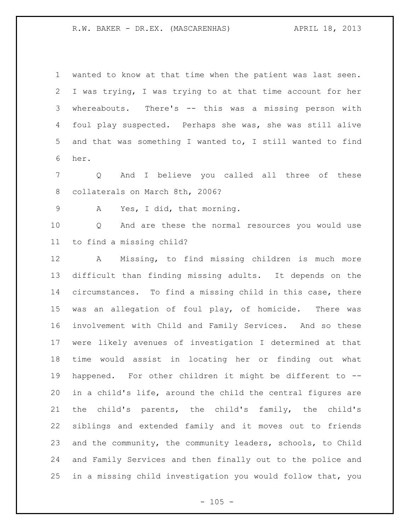wanted to know at that time when the patient was last seen. I was trying, I was trying to at that time account for her whereabouts. There's -- this was a missing person with foul play suspected. Perhaps she was, she was still alive and that was something I wanted to, I still wanted to find her.

 Q And I believe you called all three of these collaterals on March 8th, 2006?

A Yes, I did, that morning.

 Q And are these the normal resources you would use to find a missing child?

 A Missing, to find missing children is much more difficult than finding missing adults. It depends on the circumstances. To find a missing child in this case, there was an allegation of foul play, of homicide. There was involvement with Child and Family Services. And so these were likely avenues of investigation I determined at that time would assist in locating her or finding out what happened. For other children it might be different to -- in a child's life, around the child the central figures are the child's parents, the child's family, the child's siblings and extended family and it moves out to friends and the community, the community leaders, schools, to Child and Family Services and then finally out to the police and in a missing child investigation you would follow that, you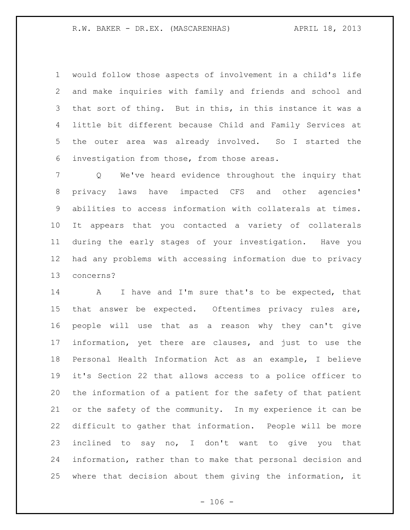would follow those aspects of involvement in a child's life and make inquiries with family and friends and school and that sort of thing. But in this, in this instance it was a little bit different because Child and Family Services at the outer area was already involved. So I started the investigation from those, from those areas.

 Q We've heard evidence throughout the inquiry that privacy laws have impacted CFS and other agencies' abilities to access information with collaterals at times. It appears that you contacted a variety of collaterals during the early stages of your investigation. Have you had any problems with accessing information due to privacy concerns?

14 A I have and I'm sure that's to be expected, that that answer be expected. Oftentimes privacy rules are, people will use that as a reason why they can't give information, yet there are clauses, and just to use the Personal Health Information Act as an example, I believe it's Section 22 that allows access to a police officer to the information of a patient for the safety of that patient or the safety of the community. In my experience it can be difficult to gather that information. People will be more inclined to say no, I don't want to give you that information, rather than to make that personal decision and where that decision about them giving the information, it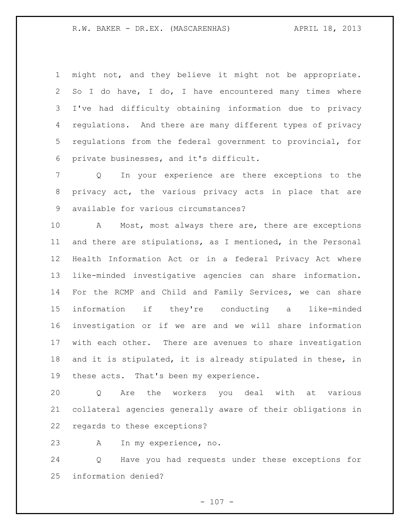might not, and they believe it might not be appropriate. So I do have, I do, I have encountered many times where I've had difficulty obtaining information due to privacy regulations. And there are many different types of privacy regulations from the federal government to provincial, for private businesses, and it's difficult.

 Q In your experience are there exceptions to the privacy act, the various privacy acts in place that are available for various circumstances?

 A Most, most always there are, there are exceptions and there are stipulations, as I mentioned, in the Personal Health Information Act or in a federal Privacy Act where like-minded investigative agencies can share information. For the RCMP and Child and Family Services, we can share information if they're conducting a like-minded investigation or if we are and we will share information with each other. There are avenues to share investigation and it is stipulated, it is already stipulated in these, in these acts. That's been my experience.

 Q Are the workers you deal with at various collateral agencies generally aware of their obligations in regards to these exceptions?

A In my experience, no.

 Q Have you had requests under these exceptions for information denied?

 $- 107 -$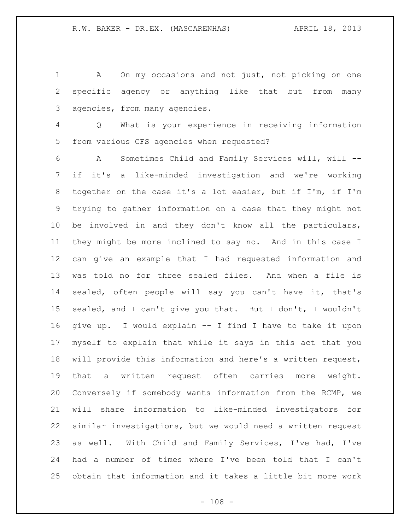A On my occasions and not just, not picking on one specific agency or anything like that but from many agencies, from many agencies.

 Q What is your experience in receiving information from various CFS agencies when requested?

 A Sometimes Child and Family Services will, will -- if it's a like-minded investigation and we're working together on the case it's a lot easier, but if I'm, if I'm trying to gather information on a case that they might not be involved in and they don't know all the particulars, they might be more inclined to say no. And in this case I can give an example that I had requested information and was told no for three sealed files. And when a file is sealed, often people will say you can't have it, that's sealed, and I can't give you that. But I don't, I wouldn't give up. I would explain -- I find I have to take it upon myself to explain that while it says in this act that you will provide this information and here's a written request, that a written request often carries more weight. Conversely if somebody wants information from the RCMP, we will share information to like-minded investigators for similar investigations, but we would need a written request as well. With Child and Family Services, I've had, I've had a number of times where I've been told that I can't obtain that information and it takes a little bit more work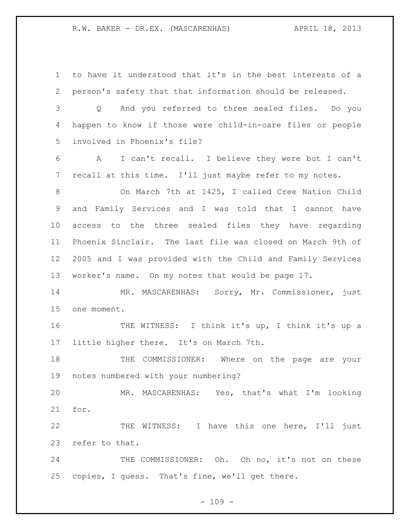to have it understood that it's in the best interests of a person's safety that that information should be released. Q And you referred to three sealed files. Do you happen to know if those were child-in-care files or people involved in Phoenix's file?

 A I can't recall. I believe they were but I can't recall at this time. I'll just maybe refer to my notes.

 On March 7th at 1425, I called Cree Nation Child and Family Services and I was told that I cannot have access to the three sealed files they have regarding Phoenix Sinclair. The last file was closed on March 9th of 2005 and I was provided with the Child and Family Services worker's name. On my notes that would be page 17.

 MR. MASCARENHAS: Sorry, Mr. Commissioner, just one moment.

 THE WITNESS: I think it's up, I think it's up a little higher there. It's on March 7th.

 THE COMMISSIONER: Where on the page are your notes numbered with your numbering?

 MR. MASCARENHAS: Yes, that's what I'm looking for.

 THE WITNESS: I have this one here, I'll just refer to that.

24 THE COMMISSIONER: Oh. Oh no, it's not on these copies, I guess. That's fine, we'll get there.

 $- 109 -$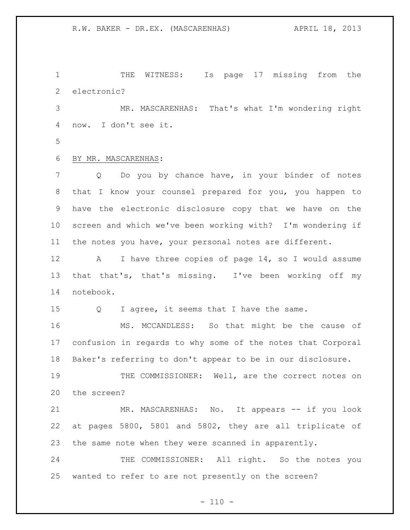THE WITNESS: Is page 17 missing from the electronic? MR. MASCARENHAS: That's what I'm wondering right now. I don't see it. BY MR. MASCARENHAS: Q Do you by chance have, in your binder of notes that I know your counsel prepared for you, you happen to have the electronic disclosure copy that we have on the screen and which we've been working with? I'm wondering if the notes you have, your personal notes are different. A I have three copies of page 14, so I would assume that that's, that's missing. I've been working off my notebook. 15 Q I agree, it seems that I have the same. MS. MCCANDLESS: So that might be the cause of confusion in regards to why some of the notes that Corporal Baker's referring to don't appear to be in our disclosure. THE COMMISSIONER: Well, are the correct notes on the screen? MR. MASCARENHAS: No. It appears -- if you look at pages 5800, 5801 and 5802, they are all triplicate of the same note when they were scanned in apparently. 24 THE COMMISSIONER: All right. So the notes you wanted to refer to are not presently on the screen?

 $- 110 -$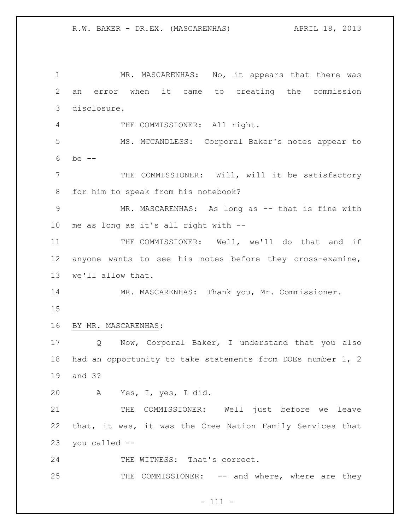MR. MASCARENHAS: No, it appears that there was an error when it came to creating the commission disclosure. THE COMMISSIONER: All right. MS. MCCANDLESS: Corporal Baker's notes appear to be -- THE COMMISSIONER: Will, will it be satisfactory for him to speak from his notebook? 9 MR. MASCARENHAS: As long as -- that is fine with me as long as it's all right with -- 11 THE COMMISSIONER: Well, we'll do that and if anyone wants to see his notes before they cross-examine, we'll allow that. MR. MASCARENHAS: Thank you, Mr. Commissioner. BY MR. MASCARENHAS: Q Now, Corporal Baker, I understand that you also had an opportunity to take statements from DOEs number 1, 2 and 3? A Yes, I, yes, I did. 21 THE COMMISSIONER: Well just before we leave that, it was, it was the Cree Nation Family Services that you called -- 24 THE WITNESS: That's correct. 25 THE COMMISSIONER: -- and where, where are they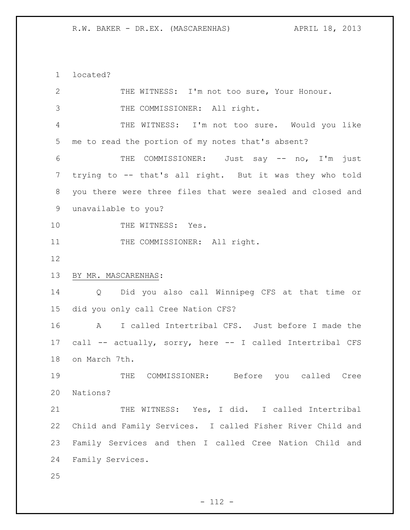located?

| $\mathbf{2}$   | THE WITNESS: I'm not too sure, Your Honour.                |
|----------------|------------------------------------------------------------|
| 3              | THE COMMISSIONER: All right.                               |
| $\overline{4}$ | THE WITNESS: I'm not too sure. Would you like              |
| 5              | me to read the portion of my notes that's absent?          |
| 6              | THE COMMISSIONER: Just say -- no, I'm just                 |
| 7              | trying to -- that's all right. But it was they who told    |
| 8              | you there were three files that were sealed and closed and |
| $\mathsf 9$    | unavailable to you?                                        |
| 10             | THE WITNESS: Yes.                                          |
| 11             | THE COMMISSIONER: All right.                               |
| 12             |                                                            |
| 13             | BY MR. MASCARENHAS:                                        |
| 14             | Q Did you also call Winnipeg CFS at that time or           |
| 15             | did you only call Cree Nation CFS?                         |
| 16             | A I called Intertribal CFS. Just before I made the         |
|                |                                                            |
| 17             | call -- actually, sorry, here -- I called Intertribal CFS  |
| 18             | on March 7th.                                              |
| 19             | COMMISSIONER: Before you called Cree<br>THE                |
| 20             | Nations?                                                   |
| 21             | THE WITNESS: Yes, I did. I called Intertribal              |
| 22             | Child and Family Services. I called Fisher River Child and |
| 23             | Family Services and then I called Cree Nation Child and    |
| 24             | Family Services.                                           |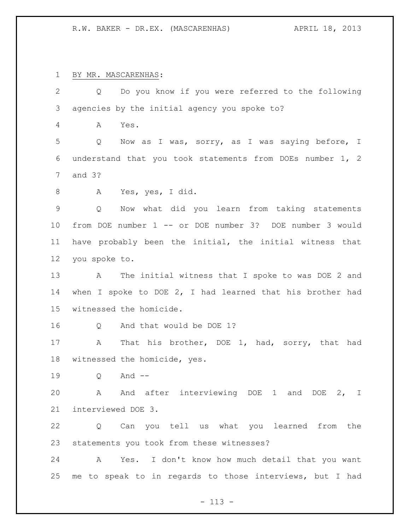BY MR. MASCARENHAS:

| $\mathbf{2}$  | Do you know if you were referred to the following<br>Q       |
|---------------|--------------------------------------------------------------|
| $\mathcal{S}$ | agencies by the initial agency you spoke to?                 |
| 4             | Yes.<br>A                                                    |
| 5             | Now as I was, sorry, as I was saying before, I<br>Q          |
| 6             | understand that you took statements from DOEs number 1, 2    |
| 7             | and $3?$                                                     |
| 8             | Yes, yes, I did.<br>A                                        |
| $\mathsf 9$   | Now what did you learn from taking statements<br>Q           |
| 10            | from DOE number 1 -- or DOE number 3? DOE number 3 would     |
| 11            | have probably been the initial, the initial witness that     |
| 12            | you spoke to.                                                |
| 13            | The initial witness that I spoke to was DOE 2 and<br>A       |
| 14            | when I spoke to DOE $2$ , I had learned that his brother had |
| 15            | witnessed the homicide.                                      |
| 16            | And that would be DOE 1?<br>Q                                |
| 17            | That his brother, DOE 1, had, sorry, that had<br>A           |
| 18            | witnessed the homicide, yes.                                 |
| 19            | And $--$<br>Q                                                |
| 20            | A And after interviewing DOE 1 and DOE 2, I                  |
| 21            | interviewed DOE 3.                                           |
| 22            | Q Can you tell us what you learned from the                  |
| 23            | statements you took from these witnesses?                    |
| 24            | Yes. I don't know how much detail that you want<br>A         |
| 25            | me to speak to in regards to those interviews, but I had     |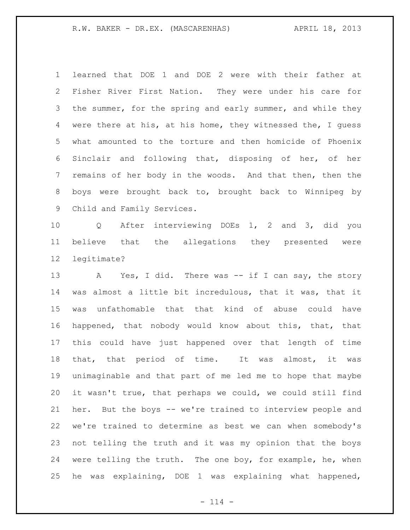learned that DOE 1 and DOE 2 were with their father at Fisher River First Nation. They were under his care for the summer, for the spring and early summer, and while they were there at his, at his home, they witnessed the, I guess what amounted to the torture and then homicide of Phoenix Sinclair and following that, disposing of her, of her remains of her body in the woods. And that then, then the boys were brought back to, brought back to Winnipeg by Child and Family Services.

 Q After interviewing DOEs 1, 2 and 3, did you believe that the allegations they presented were legitimate?

13 A Yes, I did. There was -- if I can say, the story was almost a little bit incredulous, that it was, that it was unfathomable that that kind of abuse could have happened, that nobody would know about this, that, that this could have just happened over that length of time that, that period of time. It was almost, it was unimaginable and that part of me led me to hope that maybe it wasn't true, that perhaps we could, we could still find her. But the boys -- we're trained to interview people and we're trained to determine as best we can when somebody's not telling the truth and it was my opinion that the boys were telling the truth. The one boy, for example, he, when he was explaining, DOE 1 was explaining what happened,

 $- 114 -$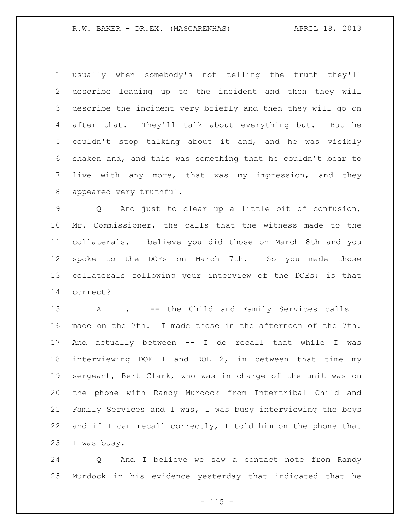usually when somebody's not telling the truth they'll describe leading up to the incident and then they will describe the incident very briefly and then they will go on after that. They'll talk about everything but. But he couldn't stop talking about it and, and he was visibly shaken and, and this was something that he couldn't bear to live with any more, that was my impression, and they appeared very truthful.

 Q And just to clear up a little bit of confusion, Mr. Commissioner, the calls that the witness made to the collaterals, I believe you did those on March 8th and you spoke to the DOEs on March 7th. So you made those collaterals following your interview of the DOEs; is that correct?

15 A I, I -- the Child and Family Services calls I made on the 7th. I made those in the afternoon of the 7th. And actually between -- I do recall that while I was interviewing DOE 1 and DOE 2, in between that time my sergeant, Bert Clark, who was in charge of the unit was on the phone with Randy Murdock from Intertribal Child and Family Services and I was, I was busy interviewing the boys and if I can recall correctly, I told him on the phone that I was busy.

 Q And I believe we saw a contact note from Randy Murdock in his evidence yesterday that indicated that he

 $- 115 -$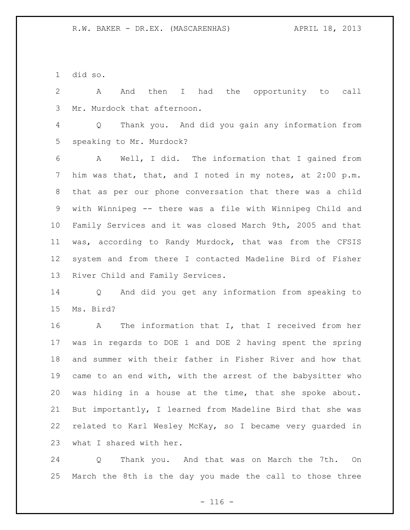did so.

 A And then I had the opportunity to call Mr. Murdock that afternoon.

 Q Thank you. And did you gain any information from speaking to Mr. Murdock?

 A Well, I did. The information that I gained from him was that, that, and I noted in my notes, at 2:00 p.m. that as per our phone conversation that there was a child with Winnipeg -- there was a file with Winnipeg Child and Family Services and it was closed March 9th, 2005 and that was, according to Randy Murdock, that was from the CFSIS system and from there I contacted Madeline Bird of Fisher River Child and Family Services.

 Q And did you get any information from speaking to Ms. Bird?

 A The information that I, that I received from her was in regards to DOE 1 and DOE 2 having spent the spring and summer with their father in Fisher River and how that came to an end with, with the arrest of the babysitter who was hiding in a house at the time, that she spoke about. But importantly, I learned from Madeline Bird that she was related to Karl Wesley McKay, so I became very guarded in what I shared with her.

 Q Thank you. And that was on March the 7th. On March the 8th is the day you made the call to those three

 $- 116 -$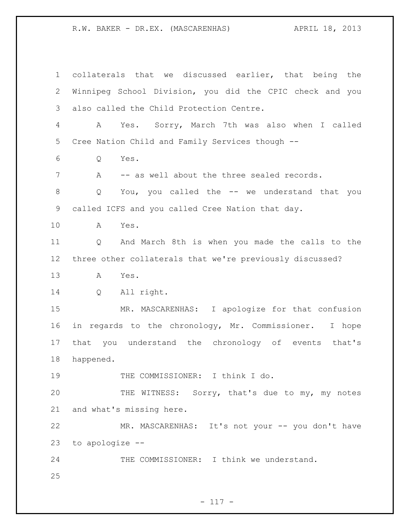collaterals that we discussed earlier, that being the Winnipeg School Division, you did the CPIC check and you also called the Child Protection Centre. A Yes. Sorry, March 7th was also when I called Cree Nation Child and Family Services though -- Q Yes. 7 A -- as well about the three sealed records. Q You, you called the -- we understand that you called ICFS and you called Cree Nation that day. A Yes. Q And March 8th is when you made the calls to the three other collaterals that we're previously discussed? A Yes. Q All right. MR. MASCARENHAS: I apologize for that confusion in regards to the chronology, Mr. Commissioner. I hope that you understand the chronology of events that's happened. 19 THE COMMISSIONER: I think I do. THE WITNESS: Sorry, that's due to my, my notes and what's missing here. MR. MASCARENHAS: It's not your -- you don't have to apologize -- THE COMMISSIONER: I think we understand.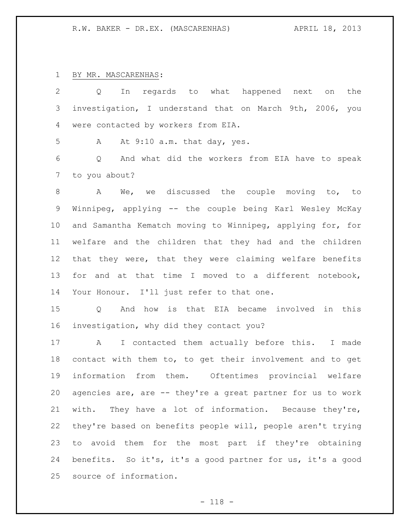## BY MR. MASCARENHAS:

| $\overline{2}$ | regards to what happened next on<br>the<br>Q<br>In               |
|----------------|------------------------------------------------------------------|
| 3              | investigation, I understand that on March 9th, 2006, you         |
| 4              | were contacted by workers from EIA.                              |
| 5              | At 9:10 a.m. that day, yes.<br>A                                 |
| 6              | And what did the workers from EIA have to speak<br>Q             |
| 7              | to you about?                                                    |
| 8              | We, we discussed the couple moving to, to<br>A                   |
| 9              | Winnipeg, applying -- the couple being Karl Wesley McKay         |
| 10             | and Samantha Kematch moving to Winnipeg, applying for, for       |
| 11             | welfare and the children that they had and the children          |
| 12             | that they were, that they were claiming welfare benefits         |
| 13             | and at that time I moved to a different notebook,<br>for         |
| 14             | Your Honour. I'll just refer to that one.                        |
| 15             | And how is that EIA became involved in this<br>$Q \qquad \qquad$ |
| 16             | investigation, why did they contact you?                         |
| 17             | I contacted them actually before this. I made<br>$\mathbf{A}$    |
| 18             | contact with them to, to get their involvement and to get        |
| 19             | information from them. Oftentimes provincial welfare             |
| 20             | agencies are, are -- they're a great partner for us to work      |
| 21             | They have a lot of information. Because they're,<br>with.        |
| 22             | they're based on benefits people will, people aren't trying      |
| 23             | to avoid them for the most part if they're obtaining             |

 benefits. So it's, it's a good partner for us, it's a good source of information.

- 118 -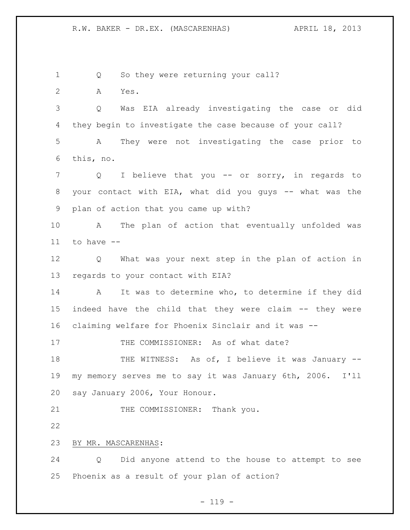1 Q So they were returning your call?

A Yes.

 Q Was EIA already investigating the case or did they begin to investigate the case because of your call? A They were not investigating the case prior to this, no.

7 Q I believe that you -- or sorry, in regards to your contact with EIA, what did you guys -- what was the plan of action that you came up with?

 A The plan of action that eventually unfolded was to have --

 Q What was your next step in the plan of action in regards to your contact with EIA?

 A It was to determine who, to determine if they did indeed have the child that they were claim -- they were claiming welfare for Phoenix Sinclair and it was --

17 THE COMMISSIONER: As of what date?

18 THE WITNESS: As of, I believe it was January -- my memory serves me to say it was January 6th, 2006. I'll say January 2006, Your Honour.

21 THE COMMISSIONER: Thank you.

## BY MR. MASCARENHAS:

 Q Did anyone attend to the house to attempt to see Phoenix as a result of your plan of action?

 $- 119 -$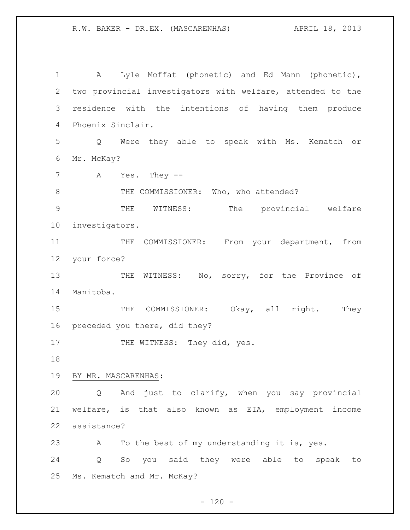| 1             | Lyle Moffat (phonetic) and Ed Mann (phonetic),<br>Α        |
|---------------|------------------------------------------------------------|
| $\mathbf{2}$  | two provincial investigators with welfare, attended to the |
| 3             | residence with the intentions of having them produce       |
| 4             | Phoenix Sinclair.                                          |
| 5             | Were they able to speak with Ms. Kematch or<br>Q           |
| 6             | Mr. McKay?                                                 |
| 7             | Yes. They $--$<br>A                                        |
| 8             | THE COMMISSIONER: Who, who attended?                       |
| $\mathcal{G}$ | WITNESS:<br>The<br>provincial welfare<br>THE               |
| 10            | investigators.                                             |
| 11            | COMMISSIONER: From your department, from<br>THE            |
| 12            | your force?                                                |
| 13            | WITNESS: No, sorry, for the Province of<br>THE             |
| 14            | Manitoba.                                                  |
| 15            | COMMISSIONER: Okay, all right.<br>THE<br>They              |
| 16            | preceded you there, did they?                              |
| 17            | THE WITNESS: They did, yes.                                |
| 18            |                                                            |
| 19            | BY MR. MASCARENHAS:                                        |
| 20            | And just to clarify, when you say provincial<br>Q          |
| 21            | welfare, is that also known as EIA, employment income      |
| 22            | assistance?                                                |
| 23            | To the best of my understanding it is, yes.<br>А           |
| 24            | So you said they were able to<br>speak<br>Q<br>to          |
| 25            | Ms. Kematch and Mr. McKay?                                 |

 $- 120 -$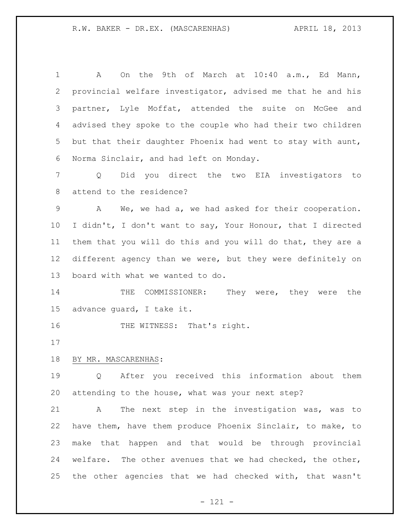| $\mathbf 1$     | On the 9th of March at 10:40 a.m., Ed Mann,<br>A                 |
|-----------------|------------------------------------------------------------------|
| 2               | provincial welfare investigator, advised me that he and his      |
| 3               | partner, Lyle Moffat, attended the suite on McGee and            |
| 4               | advised they spoke to the couple who had their two children      |
| 5               | but that their daughter Phoenix had went to stay with aunt,      |
| 6               | Norma Sinclair, and had left on Monday.                          |
| 7               | Did you direct the two EIA investigators to<br>$Q \qquad \qquad$ |
| 8               | attend to the residence?                                         |
| $\mathsf 9$     | We, we had a, we had asked for their cooperation.<br>A           |
| 10              | I didn't, I don't want to say, Your Honour, that I directed      |
| 11              | them that you will do this and you will do that, they are a      |
| 12              | different agency than we were, but they were definitely on       |
| 13              | board with what we wanted to do.                                 |
| 14              | COMMISSIONER:<br>They were, they were the<br>THE                 |
| 15 <sub>2</sub> | advance guard, I take it.                                        |
| 16              | THE WITNESS: That's right.                                       |
| 17              |                                                                  |
| 18              | BY MR. MASCARENHAS:                                              |
| 19              | Q After you received this information about them                 |
| 20              | attending to the house, what was your next step?                 |
| 21              | The next step in the investigation was, was to<br>A              |
| 22              | have them, have them produce Phoenix Sinclair, to make, to       |
| 23              | make that happen and that would be through provincial            |
| 24              | welfare. The other avenues that we had checked, the other,       |
| 25              | the other agencies that we had checked with, that wasn't         |
|                 |                                                                  |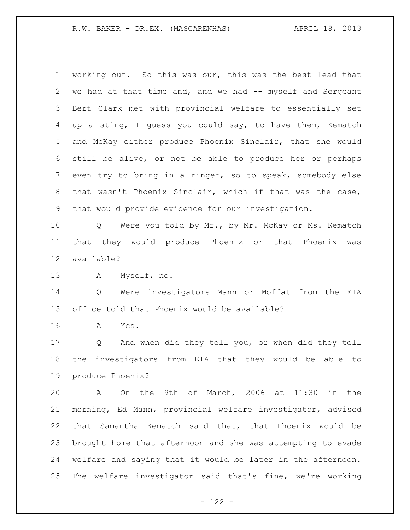working out. So this was our, this was the best lead that 2 we had at that time and, and we had -- myself and Sergeant Bert Clark met with provincial welfare to essentially set up a sting, I guess you could say, to have them, Kematch and McKay either produce Phoenix Sinclair, that she would still be alive, or not be able to produce her or perhaps even try to bring in a ringer, so to speak, somebody else that wasn't Phoenix Sinclair, which if that was the case, that would provide evidence for our investigation.

 Q Were you told by Mr., by Mr. McKay or Ms. Kematch that they would produce Phoenix or that Phoenix was available?

A Myself, no.

 Q Were investigators Mann or Moffat from the EIA office told that Phoenix would be available?

A Yes.

 Q And when did they tell you, or when did they tell the investigators from EIA that they would be able to produce Phoenix?

 A On the 9th of March, 2006 at 11:30 in the morning, Ed Mann, provincial welfare investigator, advised that Samantha Kematch said that, that Phoenix would be brought home that afternoon and she was attempting to evade welfare and saying that it would be later in the afternoon. The welfare investigator said that's fine, we're working

 $- 122 -$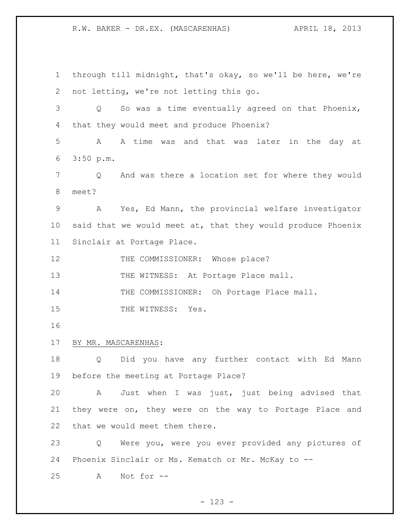through till midnight, that's okay, so we'll be here, we're not letting, we're not letting this go. Q So was a time eventually agreed on that Phoenix, that they would meet and produce Phoenix? A A time was and that was later in the day at 3:50 p.m. Q And was there a location set for where they would meet? A Yes, Ed Mann, the provincial welfare investigator said that we would meet at, that they would produce Phoenix Sinclair at Portage Place. 12 THE COMMISSIONER: Whose place? 13 THE WITNESS: At Portage Place mall. 14 THE COMMISSIONER: Oh Portage Place mall. 15 THE WITNESS: Yes. BY MR. MASCARENHAS: Q Did you have any further contact with Ed Mann before the meeting at Portage Place? A Just when I was just, just being advised that they were on, they were on the way to Portage Place and that we would meet them there. Q Were you, were you ever provided any pictures of Phoenix Sinclair or Ms. Kematch or Mr. McKay to -- A Not for --

 $- 123 -$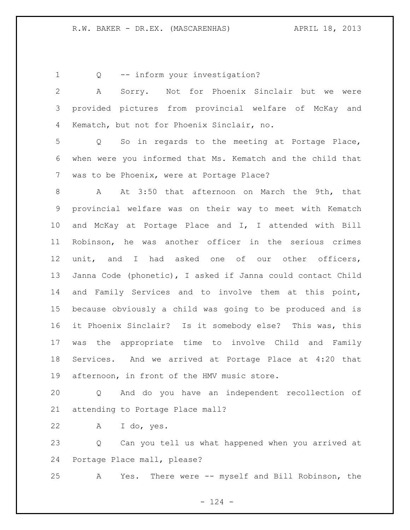Q -- inform your investigation?

 A Sorry. Not for Phoenix Sinclair but we were provided pictures from provincial welfare of McKay and Kematch, but not for Phoenix Sinclair, no.

 Q So in regards to the meeting at Portage Place, when were you informed that Ms. Kematch and the child that was to be Phoenix, were at Portage Place?

 A At 3:50 that afternoon on March the 9th, that provincial welfare was on their way to meet with Kematch and McKay at Portage Place and I, I attended with Bill Robinson, he was another officer in the serious crimes unit, and I had asked one of our other officers, Janna Code (phonetic), I asked if Janna could contact Child and Family Services and to involve them at this point, because obviously a child was going to be produced and is it Phoenix Sinclair? Is it somebody else? This was, this was the appropriate time to involve Child and Family Services. And we arrived at Portage Place at 4:20 that afternoon, in front of the HMV music store.

 Q And do you have an independent recollection of attending to Portage Place mall?

A I do, yes.

 Q Can you tell us what happened when you arrived at Portage Place mall, please?

A Yes. There were -- myself and Bill Robinson, the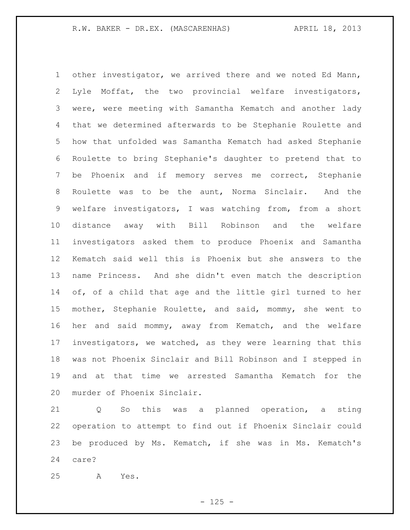other investigator, we arrived there and we noted Ed Mann, Lyle Moffat, the two provincial welfare investigators, were, were meeting with Samantha Kematch and another lady that we determined afterwards to be Stephanie Roulette and how that unfolded was Samantha Kematch had asked Stephanie Roulette to bring Stephanie's daughter to pretend that to be Phoenix and if memory serves me correct, Stephanie Roulette was to be the aunt, Norma Sinclair. And the welfare investigators, I was watching from, from a short distance away with Bill Robinson and the welfare investigators asked them to produce Phoenix and Samantha Kematch said well this is Phoenix but she answers to the name Princess. And she didn't even match the description of, of a child that age and the little girl turned to her mother, Stephanie Roulette, and said, mommy, she went to her and said mommy, away from Kematch, and the welfare investigators, we watched, as they were learning that this was not Phoenix Sinclair and Bill Robinson and I stepped in and at that time we arrested Samantha Kematch for the murder of Phoenix Sinclair.

 Q So this was a planned operation, a sting operation to attempt to find out if Phoenix Sinclair could be produced by Ms. Kematch, if she was in Ms. Kematch's care?

A Yes.

 $- 125 -$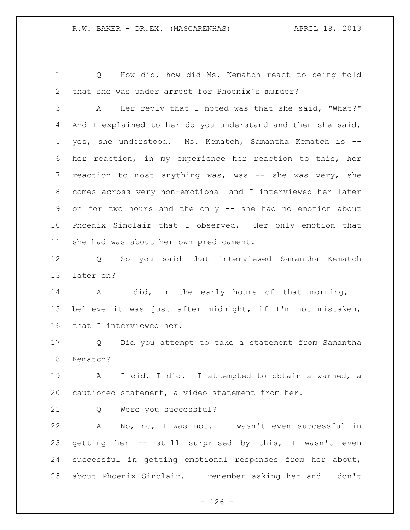Q How did, how did Ms. Kematch react to being told that she was under arrest for Phoenix's murder?

 A Her reply that I noted was that she said, "What?" 4 And I explained to her do you understand and then she said, yes, she understood. Ms. Kematch, Samantha Kematch is -- her reaction, in my experience her reaction to this, her 7 reaction to most anything was, was -- she was very, she comes across very non-emotional and I interviewed her later on for two hours and the only -- she had no emotion about Phoenix Sinclair that I observed. Her only emotion that she had was about her own predicament.

 Q So you said that interviewed Samantha Kematch later on?

 A I did, in the early hours of that morning, I believe it was just after midnight, if I'm not mistaken, that I interviewed her.

 Q Did you attempt to take a statement from Samantha Kematch?

 A I did, I did. I attempted to obtain a warned, a cautioned statement, a video statement from her.

Q Were you successful?

 A No, no, I was not. I wasn't even successful in getting her -- still surprised by this, I wasn't even successful in getting emotional responses from her about, about Phoenix Sinclair. I remember asking her and I don't

 $- 126 -$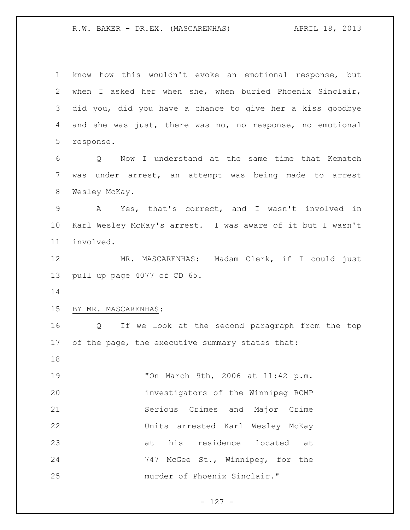know how this wouldn't evoke an emotional response, but when I asked her when she, when buried Phoenix Sinclair, did you, did you have a chance to give her a kiss goodbye and she was just, there was no, no response, no emotional response. Q Now I understand at the same time that Kematch was under arrest, an attempt was being made to arrest Wesley McKay. A Yes, that's correct, and I wasn't involved in Karl Wesley McKay's arrest. I was aware of it but I wasn't involved. MR. MASCARENHAS: Madam Clerk, if I could just pull up page 4077 of CD 65. BY MR. MASCARENHAS: Q If we look at the second paragraph from the top 17 of the page, the executive summary states that: "On March 9th, 2006 at 11:42 p.m. investigators of the Winnipeg RCMP Serious Crimes and Major Crime Units arrested Karl Wesley McKay at his residence located at 747 McGee St., Winnipeg, for the murder of Phoenix Sinclair."

- 127 -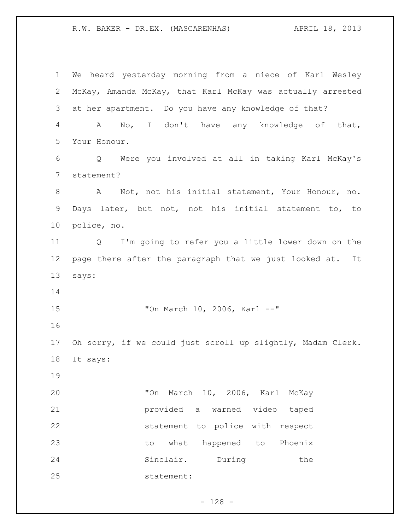We heard yesterday morning from a niece of Karl Wesley McKay, Amanda McKay, that Karl McKay was actually arrested at her apartment. Do you have any knowledge of that? A No, I don't have any knowledge of that, Your Honour. Q Were you involved at all in taking Karl McKay's statement? A Not, not his initial statement, Your Honour, no. Days later, but not, not his initial statement to, to police, no. Q I'm going to refer you a little lower down on the page there after the paragraph that we just looked at. It says: "On March 10, 2006, Karl --" Oh sorry, if we could just scroll up slightly, Madam Clerk. It says: "On March 10, 2006, Karl McKay provided a warned video taped statement to police with respect to what happened to Phoenix 24 Sinclair. During the statement:

 $- 128 -$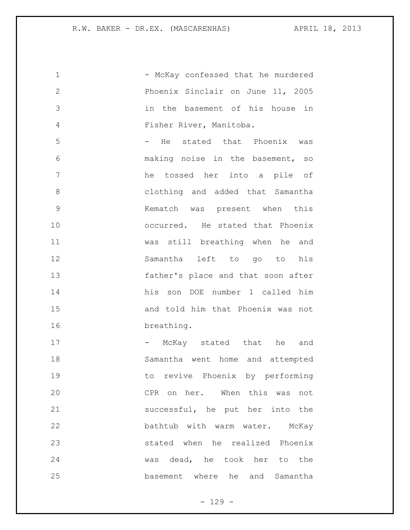1 - McKay confessed that he murdered Phoenix Sinclair on June 11, 2005 in the basement of his house in Fisher River, Manitoba. 5 - He stated that Phoenix was making noise in the basement, so he tossed her into a pile of clothing and added that Samantha Kematch was present when this occurred. He stated that Phoenix was still breathing when he and Samantha left to go to his father's place and that soon after his son DOE number 1 called him and told him that Phoenix was not breathing. 17 - McKay stated that he and Samantha went home and attempted to revive Phoenix by performing CPR on her. When this was not successful, he put her into the bathtub with warm water. McKay stated when he realized Phoenix was dead, he took her to the basement where he and Samantha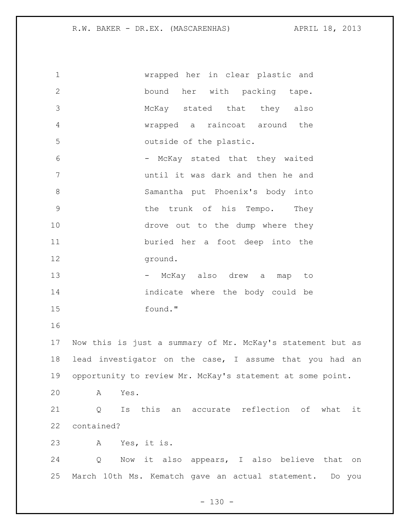| $\mathbf 1$     | wrapped her in clear plastic and                              |
|-----------------|---------------------------------------------------------------|
| $\mathbf{2}$    | bound her with packing tape.                                  |
| 3               | McKay stated that they also                                   |
| 4               | wrapped a raincoat around the                                 |
| 5               | outside of the plastic.                                       |
| 6               | - McKay stated that they waited                               |
| $7\phantom{.0}$ | until it was dark and then he and                             |
| 8               | Samantha put Phoenix's body into                              |
| 9               | the trunk of his Tempo.<br>They                               |
| 10              | drove out to the dump where they                              |
| 11              | buried her a foot deep into the                               |
| 12              | ground.                                                       |
| 13              | - McKay also drew a<br>map to                                 |
| 14              | indicate where the body could be                              |
| 15              | found."                                                       |
| 16              |                                                               |
| 17              | Now this is just a summary of Mr. McKay's statement but as    |
| 18              | lead investigator on the case, I assume that you had an       |
|                 | 19 opportunity to review Mr. McKay's statement at some point. |
| 20              | $\mathbb A$<br>Yes.                                           |
| 21              | Is this an accurate reflection of what<br>Q<br>it             |
| 22              | contained?                                                    |
| 23              | A Yes, it is.                                                 |
| 24              | Now it also appears, I also believe that<br>Q<br>on           |
| 25              | March 10th Ms. Kematch gave an actual statement. Do you       |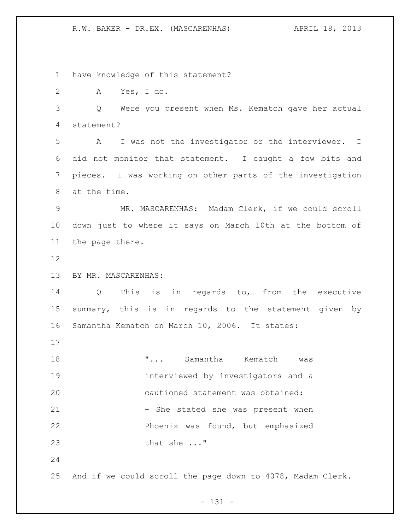have knowledge of this statement?

A Yes, I do.

 Q Were you present when Ms. Kematch gave her actual statement?

 A I was not the investigator or the interviewer. I did not monitor that statement. I caught a few bits and pieces. I was working on other parts of the investigation at the time.

 MR. MASCARENHAS: Madam Clerk, if we could scroll down just to where it says on March 10th at the bottom of the page there.

## BY MR. MASCARENHAS:

 Q This is in regards to, from the executive summary, this is in regards to the statement given by Samantha Kematch on March 10, 2006. It states:

 "... Samantha Kematch was interviewed by investigators and a cautioned statement was obtained: 21 - She stated she was present when Phoenix was found, but emphasized that she ..."

And if we could scroll the page down to 4078, Madam Clerk.

- 131 -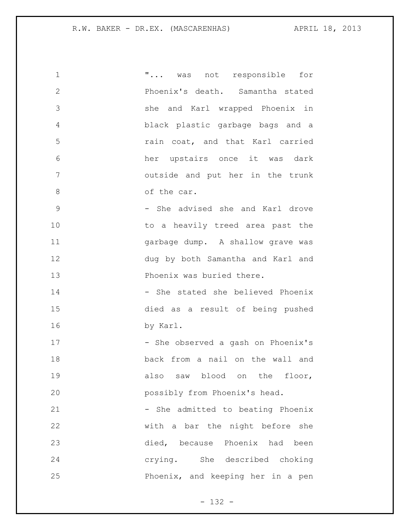| 1             | " was not responsible for          |
|---------------|------------------------------------|
| $\mathbf{2}$  | Phoenix's death. Samantha stated   |
| 3             | she and Karl wrapped Phoenix in    |
| 4             | black plastic garbage bags and a   |
| 5             | rain coat, and that Karl carried   |
| 6             | her upstairs once it was dark      |
| 7             | outside and put her in the trunk   |
| 8             | of the car.                        |
| $\mathcal{G}$ | - She advised she and Karl drove   |
| 10            | to a heavily treed area past the   |
| 11            | garbage dump. A shallow grave was  |
| 12            | dug by both Samantha and Karl and  |
| 13            | Phoenix was buried there.          |
| 14            | - She stated she believed Phoenix  |
| 15            | died as a result of being pushed   |
| 16            | by Karl.                           |
| 17            | - She observed a gash on Phoenix's |
| 18            | back from a nail on the wall and   |
| 19            | also saw blood on the floor,       |
| 20            | possibly from Phoenix's head.      |
| 21            | - She admitted to beating Phoenix  |
| 22            | with a bar the night before she    |
| 23            | died, because Phoenix had been     |
| 24            | crying. She described choking      |
| 25            | Phoenix, and keeping her in a pen  |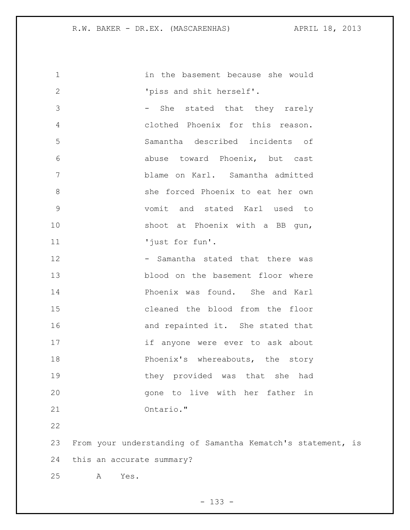in the basement because she would  $'$  'piss and shit herself'. 3 - She stated that they rarely clothed Phoenix for this reason. Samantha described incidents of abuse toward Phoenix, but cast blame on Karl. Samantha admitted she forced Phoenix to eat her own vomit and stated Karl used to 10 shoot at Phoenix with a BB gun, 'just for fun'. 12 - Samantha stated that there was blood on the basement floor where Phoenix was found. She and Karl cleaned the blood from the floor 16 and repainted it. She stated that if anyone were ever to ask about **Phoenix's** whereabouts, the story they provided was that she had gone to live with her father in Ontario." From your understanding of Samantha Kematch's statement, is this an accurate summary? A Yes.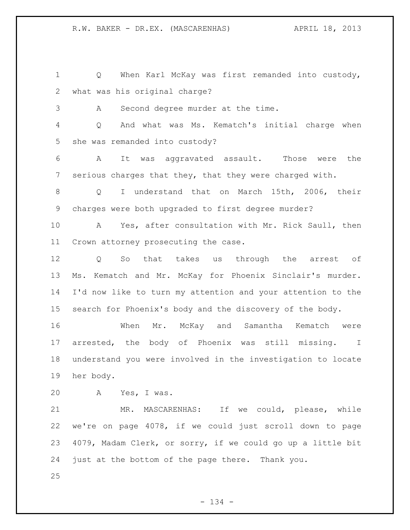Q When Karl McKay was first remanded into custody, what was his original charge? A Second degree murder at the time. Q And what was Ms. Kematch's initial charge when she was remanded into custody? A It was aggravated assault. Those were the serious charges that they, that they were charged with. Q I understand that on March 15th, 2006, their charges were both upgraded to first degree murder? A Yes, after consultation with Mr. Rick Saull, then Crown attorney prosecuting the case. Q So that takes us through the arrest of Ms. Kematch and Mr. McKay for Phoenix Sinclair's murder. I'd now like to turn my attention and your attention to the search for Phoenix's body and the discovery of the body. When Mr. McKay and Samantha Kematch were arrested, the body of Phoenix was still missing. I understand you were involved in the investigation to locate her body. A Yes, I was. MR. MASCARENHAS: If we could, please, while we're on page 4078, if we could just scroll down to page 4079, Madam Clerk, or sorry, if we could go up a little bit just at the bottom of the page there. Thank you.

- 134 -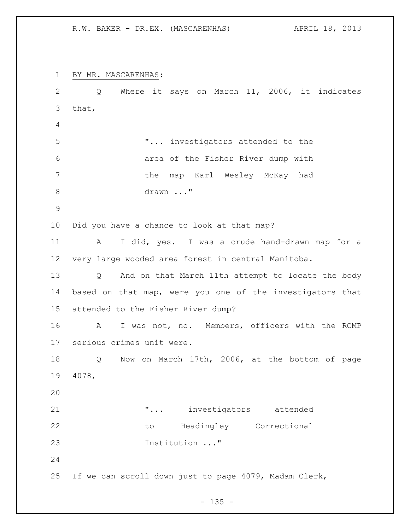BY MR. MASCARENHAS: Q Where it says on March 11, 2006, it indicates that, "... investigators attended to the area of the Fisher River dump with the map Karl Wesley McKay had 8 drawn ..." Did you have a chance to look at that map? A I did, yes. I was a crude hand-drawn map for a very large wooded area forest in central Manitoba. Q And on that March 11th attempt to locate the body based on that map, were you one of the investigators that attended to the Fisher River dump? A I was not, no. Members, officers with the RCMP serious crimes unit were. Q Now on March 17th, 2006, at the bottom of page 4078, "... investigators attended to Headingley Correctional Institution ..." If we can scroll down just to page 4079, Madam Clerk,

 $- 135 -$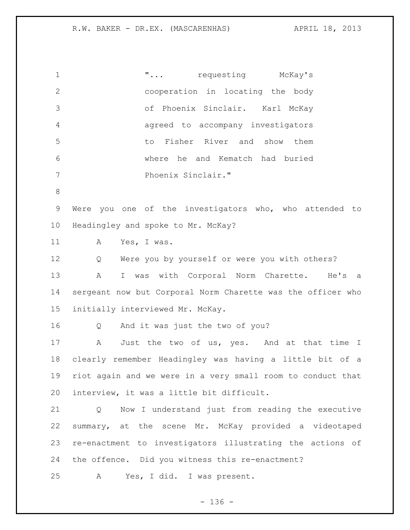1 The matrix of  $\mathbf{r} \cdot \mathbf{r}$  ... requesting McKay's cooperation in locating the body of Phoenix Sinclair. Karl McKay agreed to accompany investigators to Fisher River and show them where he and Kematch had buried Phoenix Sinclair." Were you one of the investigators who, who attended to Headingley and spoke to Mr. McKay? A Yes, I was. Q Were you by yourself or were you with others? A I was with Corporal Norm Charette. He's a sergeant now but Corporal Norm Charette was the officer who initially interviewed Mr. McKay. Q And it was just the two of you? 17 A Just the two of us, yes. And at that time I clearly remember Headingley was having a little bit of a riot again and we were in a very small room to conduct that interview, it was a little bit difficult. Q Now I understand just from reading the executive summary, at the scene Mr. McKay provided a videotaped re-enactment to investigators illustrating the actions of the offence. Did you witness this re-enactment? A Yes, I did. I was present.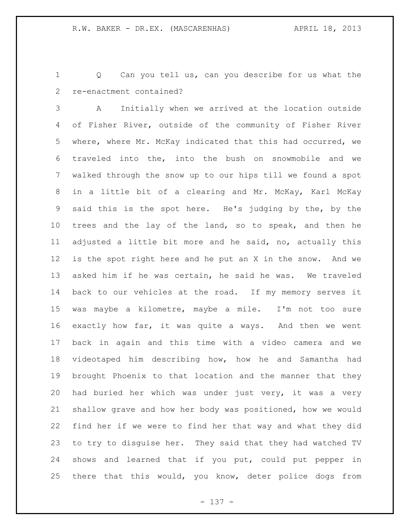Q Can you tell us, can you describe for us what the re-enactment contained?

 A Initially when we arrived at the location outside of Fisher River, outside of the community of Fisher River where, where Mr. McKay indicated that this had occurred, we traveled into the, into the bush on snowmobile and we walked through the snow up to our hips till we found a spot in a little bit of a clearing and Mr. McKay, Karl McKay said this is the spot here. He's judging by the, by the trees and the lay of the land, so to speak, and then he adjusted a little bit more and he said, no, actually this is the spot right here and he put an X in the snow. And we asked him if he was certain, he said he was. We traveled back to our vehicles at the road. If my memory serves it was maybe a kilometre, maybe a mile. I'm not too sure exactly how far, it was quite a ways. And then we went back in again and this time with a video camera and we videotaped him describing how, how he and Samantha had brought Phoenix to that location and the manner that they had buried her which was under just very, it was a very shallow grave and how her body was positioned, how we would find her if we were to find her that way and what they did to try to disguise her. They said that they had watched TV shows and learned that if you put, could put pepper in there that this would, you know, deter police dogs from

- 137 -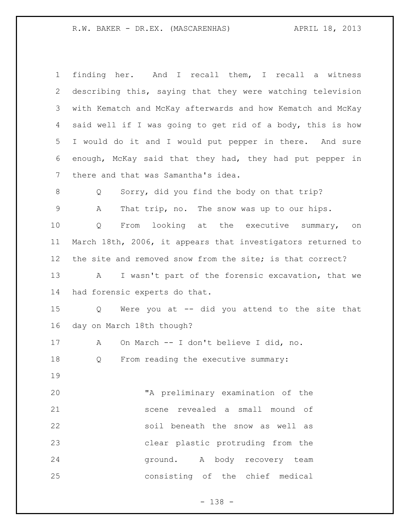| $\mathbf 1$ | finding her. And I recall them, I recall a witness          |
|-------------|-------------------------------------------------------------|
| 2           | describing this, saying that they were watching television  |
| 3           | with Kematch and McKay afterwards and how Kematch and McKay |
| 4           | said well if I was going to get rid of a body, this is how  |
| 5           | I would do it and I would put pepper in there. And sure     |
| 6           | enough, McKay said that they had, they had put pepper in    |
| 7           | there and that was Samantha's idea.                         |
| 8           | Sorry, did you find the body on that trip?<br>Q             |
| $\mathsf 9$ | That trip, no. The snow was up to our hips.<br>А            |
| 10          | From looking at the executive summary, on<br>Q              |
| 11          | March 18th, 2006, it appears that investigators returned to |
| 12          | the site and removed snow from the site; is that correct?   |
| 13          | I wasn't part of the forensic excavation, that we<br>A      |
| 14          | had forensic experts do that.                               |
| 15          | Were you at -- did you attend to the site that<br>Q         |
| 16          | day on March 18th though?                                   |
| 17          | On March -- I don't believe I did, no.<br>A                 |
| 18          | From reading the executive summary:<br>Q                    |
| 19          |                                                             |
| 20          | "A preliminary examination of the                           |
| 21          | scene revealed a small mound of                             |
| 22          | soil beneath the snow as well as                            |
| 23          | clear plastic protruding from the                           |
| 24          | ground. A body recovery team                                |
| 25          | consisting of the chief medical                             |
|             |                                                             |

- 138 -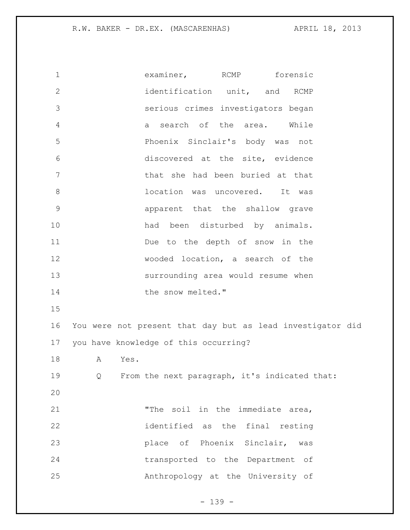examiner, RCMP forensic 2 identification unit, and RCMP serious crimes investigators began a search of the area. While Phoenix Sinclair's body was not discovered at the site, evidence that she had been buried at that location was uncovered. It was apparent that the shallow grave 10 had been disturbed by animals. Due to the depth of snow in the wooded location, a search of the surrounding area would resume when 14 the snow melted." You were not present that day but as lead investigator did you have knowledge of this occurring? A Yes. Q From the next paragraph, it's indicated that: "The soil in the immediate area, identified as the final resting place of Phoenix Sinclair, was transported to the Department of Anthropology at the University of

- 139 -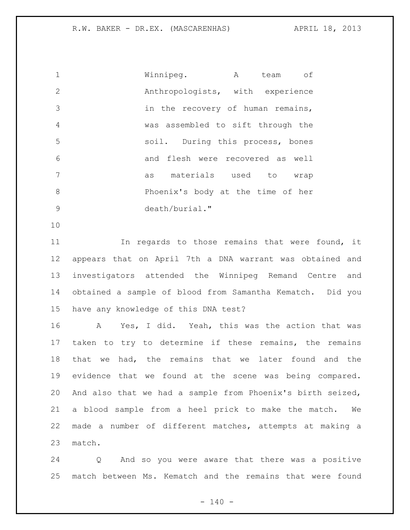Winnipeg. A team of Anthropologists, with experience in the recovery of human remains, was assembled to sift through the soil. During this process, bones and flesh were recovered as well as materials used to wrap Phoenix's body at the time of her death/burial."

 In regards to those remains that were found, it appears that on April 7th a DNA warrant was obtained and investigators attended the Winnipeg Remand Centre and obtained a sample of blood from Samantha Kematch. Did you have any knowledge of this DNA test?

 A Yes, I did. Yeah, this was the action that was taken to try to determine if these remains, the remains that we had, the remains that we later found and the evidence that we found at the scene was being compared. And also that we had a sample from Phoenix's birth seized, a blood sample from a heel prick to make the match. We made a number of different matches, attempts at making a match.

 Q And so you were aware that there was a positive match between Ms. Kematch and the remains that were found

 $- 140 -$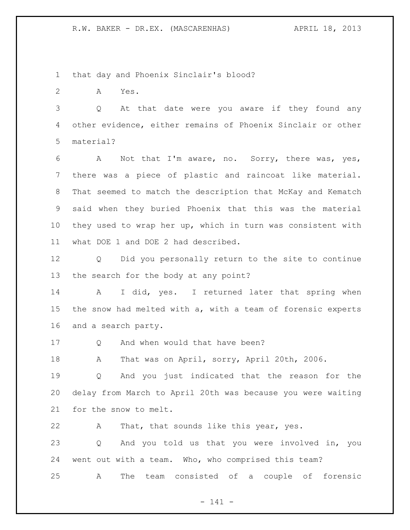that day and Phoenix Sinclair's blood?

A Yes.

 Q At that date were you aware if they found any other evidence, either remains of Phoenix Sinclair or other material?

 A Not that I'm aware, no. Sorry, there was, yes, there was a piece of plastic and raincoat like material. That seemed to match the description that McKay and Kematch said when they buried Phoenix that this was the material they used to wrap her up, which in turn was consistent with what DOE 1 and DOE 2 had described.

 Q Did you personally return to the site to continue the search for the body at any point?

14 A I did, yes. I returned later that spring when the snow had melted with a, with a team of forensic experts and a search party.

17 Q And when would that have been?

A That was on April, sorry, April 20th, 2006.

 Q And you just indicated that the reason for the delay from March to April 20th was because you were waiting for the snow to melt.

A That, that sounds like this year, yes.

 Q And you told us that you were involved in, you went out with a team. Who, who comprised this team? A The team consisted of a couple of forensic

- 141 -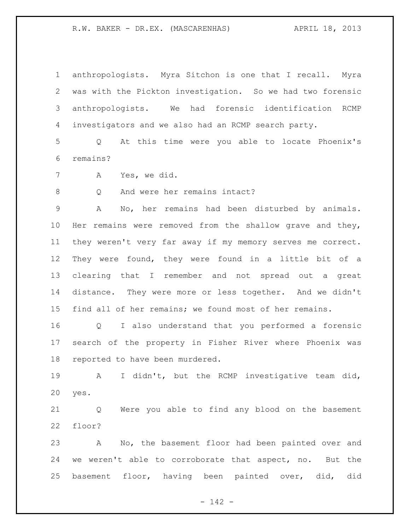anthropologists. Myra Sitchon is one that I recall. Myra was with the Pickton investigation. So we had two forensic anthropologists. We had forensic identification RCMP investigators and we also had an RCMP search party.

 Q At this time were you able to locate Phoenix's remains?

A Yes, we did.

8 Q And were her remains intact?

 A No, her remains had been disturbed by animals. Her remains were removed from the shallow grave and they, they weren't very far away if my memory serves me correct. They were found, they were found in a little bit of a clearing that I remember and not spread out a great distance. They were more or less together. And we didn't find all of her remains; we found most of her remains.

 Q I also understand that you performed a forensic search of the property in Fisher River where Phoenix was reported to have been murdered.

 A I didn't, but the RCMP investigative team did, yes.

 Q Were you able to find any blood on the basement floor?

 A No, the basement floor had been painted over and we weren't able to corroborate that aspect, no. But the basement floor, having been painted over, did, did

- 142 -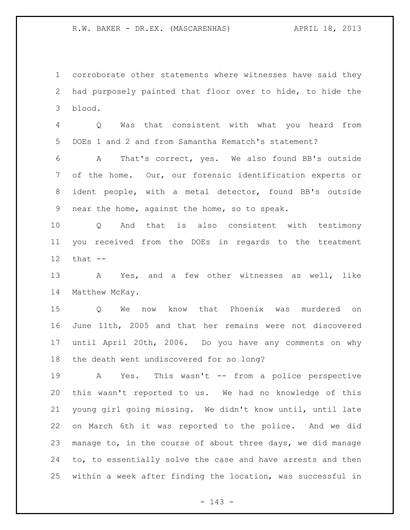corroborate other statements where witnesses have said they had purposely painted that floor over to hide, to hide the blood.

 Q Was that consistent with what you heard from DOEs 1 and 2 and from Samantha Kematch's statement?

 A That's correct, yes. We also found BB's outside of the home. Our, our forensic identification experts or ident people, with a metal detector, found BB's outside near the home, against the home, so to speak.

 Q And that is also consistent with testimony you received from the DOEs in regards to the treatment that --

 A Yes, and a few other witnesses as well, like Matthew McKay.

 Q We now know that Phoenix was murdered on June 11th, 2005 and that her remains were not discovered until April 20th, 2006. Do you have any comments on why the death went undiscovered for so long?

 A Yes. This wasn't -- from a police perspective this wasn't reported to us. We had no knowledge of this young girl going missing. We didn't know until, until late on March 6th it was reported to the police. And we did manage to, in the course of about three days, we did manage to, to essentially solve the case and have arrests and then within a week after finding the location, was successful in

- 143 -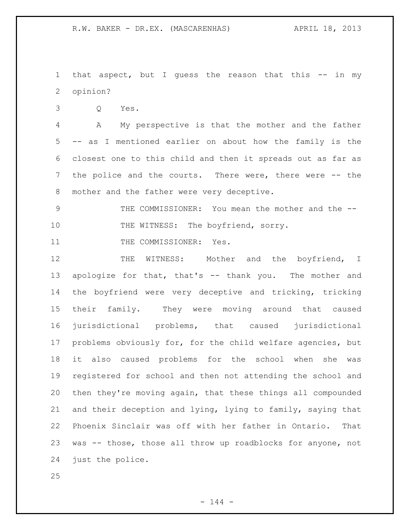1 that aspect, but I guess the reason that this -- in my opinion?

Q Yes.

 A My perspective is that the mother and the father -- as I mentioned earlier on about how the family is the closest one to this child and then it spreads out as far as the police and the courts. There were, there were -- the 8 mother and the father were very deceptive.

9 THE COMMISSIONER: You mean the mother and the --10 THE WITNESS: The boyfriend, sorry.

11 THE COMMISSIONER: Yes.

12 THE WITNESS: Mother and the boyfriend, I apologize for that, that's -- thank you. The mother and the boyfriend were very deceptive and tricking, tricking their family. They were moving around that caused jurisdictional problems, that caused jurisdictional problems obviously for, for the child welfare agencies, but it also caused problems for the school when she was registered for school and then not attending the school and then they're moving again, that these things all compounded and their deception and lying, lying to family, saying that Phoenix Sinclair was off with her father in Ontario. That was -- those, those all throw up roadblocks for anyone, not just the police.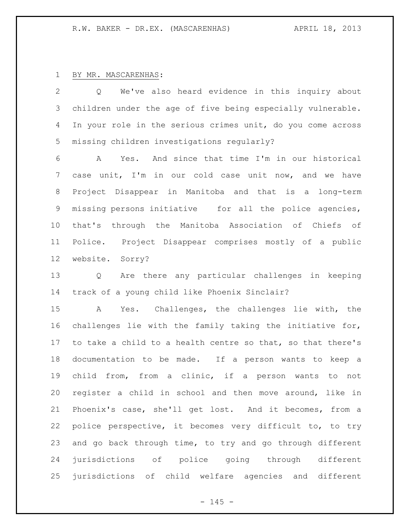## BY MR. MASCARENHAS:

 Q We've also heard evidence in this inquiry about children under the age of five being especially vulnerable. 4 In your role in the serious crimes unit, do you come across missing children investigations regularly?

 A Yes. And since that time I'm in our historical case unit, I'm in our cold case unit now, and we have Project Disappear in Manitoba and that is a long-term missing persons initiative for all the police agencies, that's through the Manitoba Association of Chiefs of Police. Project Disappear comprises mostly of a public website. Sorry?

 Q Are there any particular challenges in keeping track of a young child like Phoenix Sinclair?

 A Yes. Challenges, the challenges lie with, the challenges lie with the family taking the initiative for, to take a child to a health centre so that, so that there's documentation to be made. If a person wants to keep a child from, from a clinic, if a person wants to not register a child in school and then move around, like in Phoenix's case, she'll get lost. And it becomes, from a police perspective, it becomes very difficult to, to try and go back through time, to try and go through different jurisdictions of police going through different jurisdictions of child welfare agencies and different

 $- 145 -$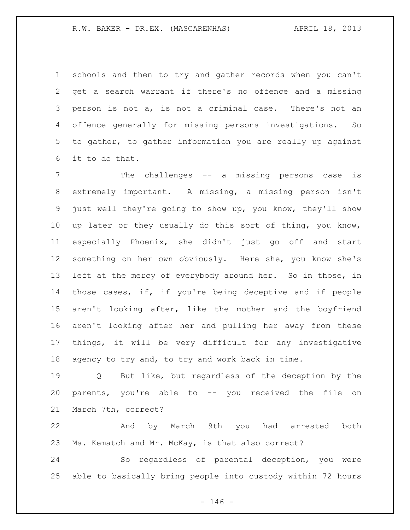schools and then to try and gather records when you can't get a search warrant if there's no offence and a missing person is not a, is not a criminal case. There's not an offence generally for missing persons investigations. So to gather, to gather information you are really up against it to do that.

 The challenges -- a missing persons case is extremely important. A missing, a missing person isn't just well they're going to show up, you know, they'll show up later or they usually do this sort of thing, you know, especially Phoenix, she didn't just go off and start something on her own obviously. Here she, you know she's left at the mercy of everybody around her. So in those, in those cases, if, if you're being deceptive and if people aren't looking after, like the mother and the boyfriend aren't looking after her and pulling her away from these things, it will be very difficult for any investigative agency to try and, to try and work back in time.

 Q But like, but regardless of the deception by the parents, you're able to -- you received the file on March 7th, correct?

 And by March 9th you had arrested both Ms. Kematch and Mr. McKay, is that also correct?

 So regardless of parental deception, you were able to basically bring people into custody within 72 hours

 $- 146 -$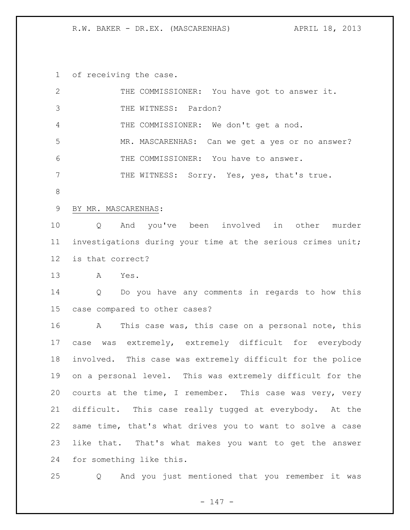of receiving the case.

| $\mathbf{2}$    | THE COMMISSIONER: You have got to answer it.                      |
|-----------------|-------------------------------------------------------------------|
| 3               | THE WITNESS: Pardon?                                              |
| 4               | THE COMMISSIONER: We don't get a nod.                             |
| 5               | MR. MASCARENHAS: Can we get a yes or no answer?                   |
| 6               | THE COMMISSIONER: You have to answer.                             |
| 7               | THE WITNESS: Sorry. Yes, yes, that's true.                        |
| $8\,$           |                                                                   |
| 9               | BY MR. MASCARENHAS:                                               |
| 10              | And you've been involved in other murder<br>$Q \qquad \qquad$     |
| 11              | investigations during your time at the serious crimes unit;       |
| 12 <sup>°</sup> | is that correct?                                                  |
| 13              | A Yes.                                                            |
| 14              | Q Do you have any comments in regards to how this                 |
| 15              | case compared to other cases?                                     |
| 16              | This case was, this case on a personal note, this<br>$\mathbf{A}$ |
| 17              | case was extremely, extremely difficult for everybody             |
| 18              | involved. This case was extremely difficult for the police        |
| 19              | on a personal level. This was extremely difficult for the         |
| 20              | courts at the time, I remember. This case was very, very          |
| 21              | difficult. This case really tugged at everybody. At the           |
| 22              | same time, that's what drives you to want to solve a case         |
| 23              | like that. That's what makes you want to get the answer           |
| 24              | for something like this.                                          |
|                 |                                                                   |

Q And you just mentioned that you remember it was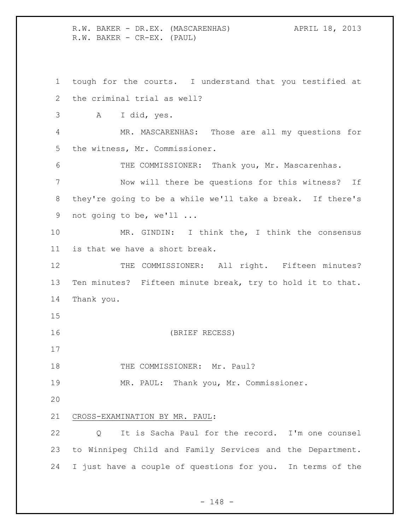R.W. BAKER - DR.EX. (MASCARENHAS) APRIL 18, 2013 R.W. BAKER - CR-EX. (PAUL)

 tough for the courts. I understand that you testified at the criminal trial as well? A I did, yes. MR. MASCARENHAS: Those are all my questions for the witness, Mr. Commissioner. THE COMMISSIONER: Thank you, Mr. Mascarenhas. Now will there be questions for this witness? If they're going to be a while we'll take a break. If there's not going to be, we'll ... MR. GINDIN: I think the, I think the consensus is that we have a short break. 12 THE COMMISSIONER: All right. Fifteen minutes? Ten minutes? Fifteen minute break, try to hold it to that. Thank you. (BRIEF RECESS) 18 THE COMMISSIONER: Mr. Paul? MR. PAUL: Thank you, Mr. Commissioner. CROSS-EXAMINATION BY MR. PAUL: Q It is Sacha Paul for the record. I'm one counsel to Winnipeg Child and Family Services and the Department. I just have a couple of questions for you. In terms of the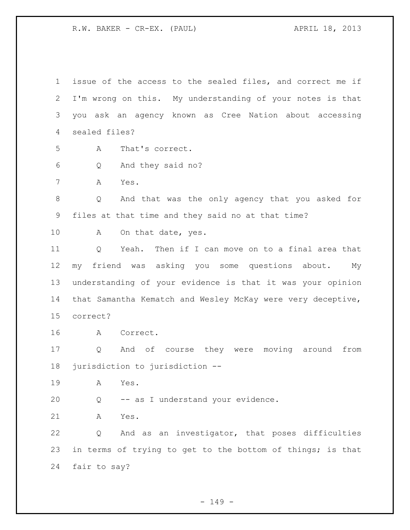issue of the access to the sealed files, and correct me if I'm wrong on this. My understanding of your notes is that you ask an agency known as Cree Nation about accessing sealed files? A That's correct. Q And they said no? A Yes. Q And that was the only agency that you asked for files at that time and they said no at that time? 10 A On that date, yes. Q Yeah. Then if I can move on to a final area that my friend was asking you some questions about. My understanding of your evidence is that it was your opinion that Samantha Kematch and Wesley McKay were very deceptive, correct? A Correct. Q And of course they were moving around from jurisdiction to jurisdiction -- A Yes. Q -- as I understand your evidence. A Yes. Q And as an investigator, that poses difficulties 23 in terms of trying to get to the bottom of things; is that fair to say?

- 149 -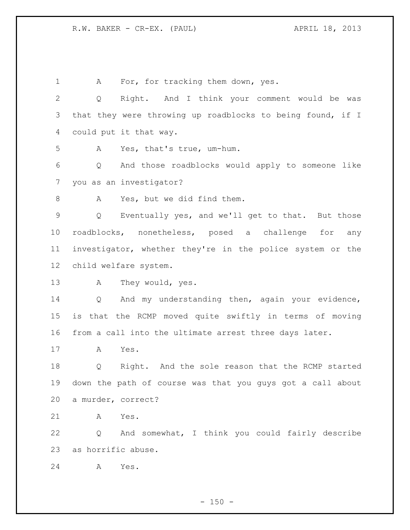1 A For, for tracking them down, yes. Q Right. And I think your comment would be was that they were throwing up roadblocks to being found, if I could put it that way. A Yes, that's true, um-hum. Q And those roadblocks would apply to someone like you as an investigator? 8 A Yes, but we did find them. Q Eventually yes, and we'll get to that. But those roadblocks, nonetheless, posed a challenge for any investigator, whether they're in the police system or the child welfare system. A They would, yes. Q And my understanding then, again your evidence, is that the RCMP moved quite swiftly in terms of moving from a call into the ultimate arrest three days later. A Yes. Q Right. And the sole reason that the RCMP started down the path of course was that you guys got a call about a murder, correct? A Yes. Q And somewhat, I think you could fairly describe as horrific abuse. A Yes.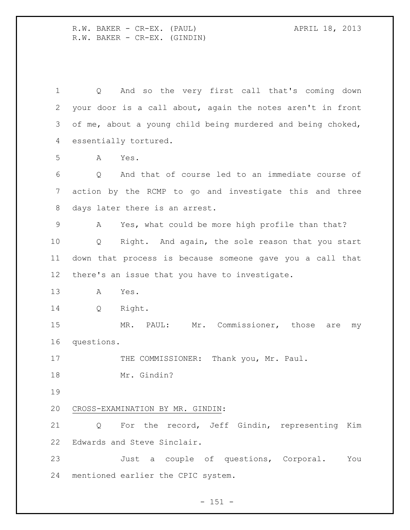R.W. BAKER - CR-EX. (PAUL) APRIL 18, 2013 R.W. BAKER - CR-EX. (GINDIN)

 Q And so the very first call that's coming down your door is a call about, again the notes aren't in front of me, about a young child being murdered and being choked, essentially tortured. A Yes. Q And that of course led to an immediate course of action by the RCMP to go and investigate this and three days later there is an arrest. A Yes, what could be more high profile than that? Q Right. And again, the sole reason that you start down that process is because someone gave you a call that there's an issue that you have to investigate. A Yes. Q Right. MR. PAUL: Mr. Commissioner, those are my questions. 17 THE COMMISSIONER: Thank you, Mr. Paul. Mr. Gindin? CROSS-EXAMINATION BY MR. GINDIN: Q For the record, Jeff Gindin, representing Kim Edwards and Steve Sinclair. Just a couple of questions, Corporal. You mentioned earlier the CPIC system.

 $- 151 -$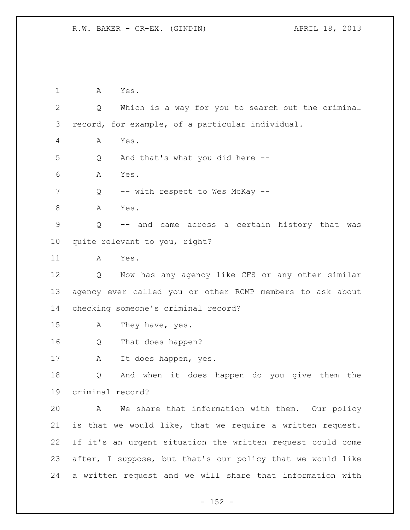A Yes. Q Which is a way for you to search out the criminal record, for example, of a particular individual. A Yes. Q And that's what you did here -- A Yes. 7 Q -- with respect to Wes McKay -- A Yes. Q -- and came across a certain history that was quite relevant to you, right? A Yes. Q Now has any agency like CFS or any other similar agency ever called you or other RCMP members to ask about checking someone's criminal record? A They have, yes. Q That does happen? A It does happen, yes. Q And when it does happen do you give them the criminal record? A We share that information with them. Our policy is that we would like, that we require a written request. If it's an urgent situation the written request could come after, I suppose, but that's our policy that we would like a written request and we will share that information with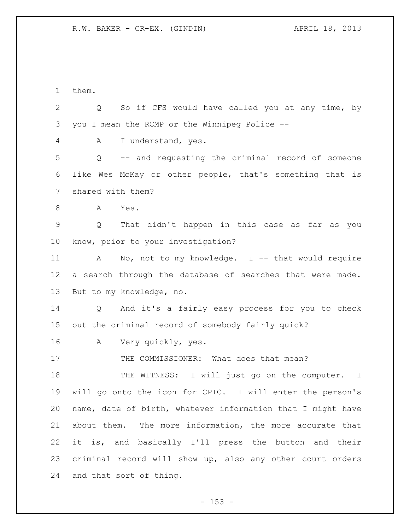them. Q So if CFS would have called you at any time, by you I mean the RCMP or the Winnipeg Police -- A I understand, yes. Q -- and requesting the criminal record of someone like Wes McKay or other people, that's something that is shared with them? A Yes. Q That didn't happen in this case as far as you know, prior to your investigation? 11 A No, not to my knowledge. I -- that would require a search through the database of searches that were made. But to my knowledge, no. Q And it's a fairly easy process for you to check out the criminal record of somebody fairly quick? A Very quickly, yes. 17 THE COMMISSIONER: What does that mean? 18 THE WITNESS: I will just go on the computer. I will go onto the icon for CPIC. I will enter the person's name, date of birth, whatever information that I might have about them. The more information, the more accurate that it is, and basically I'll press the button and their criminal record will show up, also any other court orders and that sort of thing.

 $- 153 -$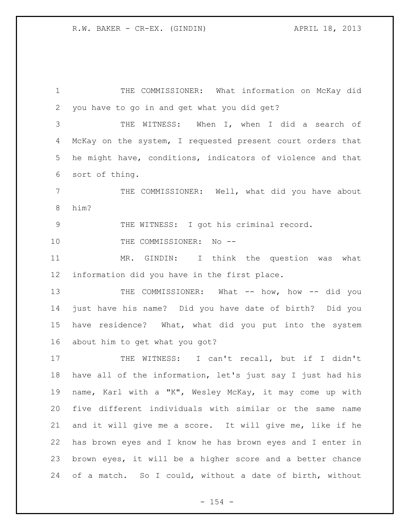THE COMMISSIONER: What information on McKay did you have to go in and get what you did get? THE WITNESS: When I, when I did a search of McKay on the system, I requested present court orders that he might have, conditions, indicators of violence and that sort of thing. 7 THE COMMISSIONER: Well, what did you have about him? THE WITNESS: I got his criminal record. 10 THE COMMISSIONER: No -- MR. GINDIN: I think the question was what information did you have in the first place. THE COMMISSIONER: What -- how, how -- did you just have his name? Did you have date of birth? Did you have residence? What, what did you put into the system about him to get what you got? THE WITNESS: I can't recall, but if I didn't have all of the information, let's just say I just had his name, Karl with a "K", Wesley McKay, it may come up with five different individuals with similar or the same name and it will give me a score. It will give me, like if he has brown eyes and I know he has brown eyes and I enter in brown eyes, it will be a higher score and a better chance of a match. So I could, without a date of birth, without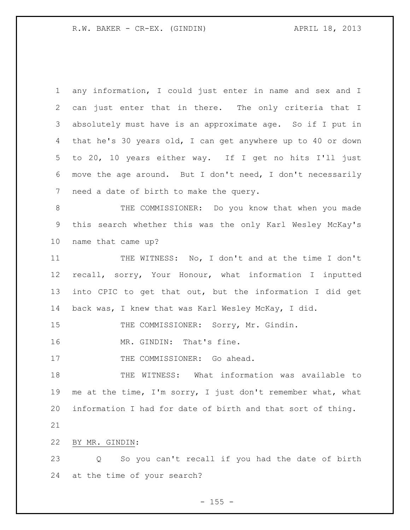any information, I could just enter in name and sex and I can just enter that in there. The only criteria that I absolutely must have is an approximate age. So if I put in that he's 30 years old, I can get anywhere up to 40 or down to 20, 10 years either way. If I get no hits I'll just move the age around. But I don't need, I don't necessarily need a date of birth to make the query. THE COMMISSIONER: Do you know that when you made this search whether this was the only Karl Wesley McKay's name that came up? THE WITNESS: No, I don't and at the time I don't recall, sorry, Your Honour, what information I inputted into CPIC to get that out, but the information I did get back was, I knew that was Karl Wesley McKay, I did. 15 THE COMMISSIONER: Sorry, Mr. Gindin. 16 MR. GINDIN: That's fine. 17 THE COMMISSIONER: Go ahead. THE WITNESS: What information was available to me at the time, I'm sorry, I just don't remember what, what information I had for date of birth and that sort of thing. BY MR. GINDIN: Q So you can't recall if you had the date of birth at the time of your search?

 $- 155 -$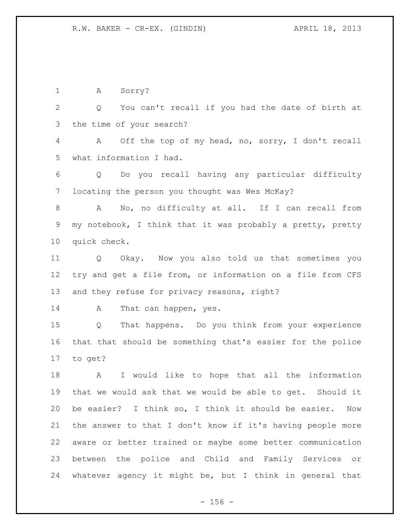1 A Sorry? Q You can't recall if you had the date of birth at the time of your search? A Off the top of my head, no, sorry, I don't recall what information I had. Q Do you recall having any particular difficulty locating the person you thought was Wes McKay? A No, no difficulty at all. If I can recall from my notebook, I think that it was probably a pretty, pretty quick check. Q Okay. Now you also told us that sometimes you try and get a file from, or information on a file from CFS and they refuse for privacy reasons, right? 14 A That can happen, yes. Q That happens. Do you think from your experience that that should be something that's easier for the police to get? A I would like to hope that all the information that we would ask that we would be able to get. Should it be easier? I think so, I think it should be easier. Now the answer to that I don't know if it's having people more aware or better trained or maybe some better communication between the police and Child and Family Services or

 $- 156 -$ 

whatever agency it might be, but I think in general that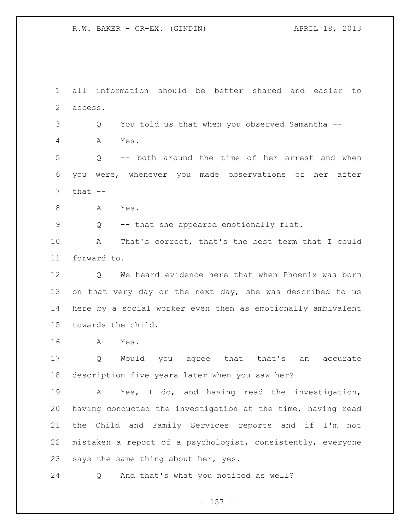all information should be better shared and easier to access.

Q You told us that when you observed Samantha --

A Yes.

 Q -- both around the time of her arrest and when you were, whenever you made observations of her after that  $--$ 

A Yes.

Q -- that she appeared emotionally flat.

 A That's correct, that's the best term that I could forward to.

 Q We heard evidence here that when Phoenix was born 13 on that very day or the next day, she was described to us here by a social worker even then as emotionally ambivalent towards the child.

A Yes.

 Q Would you agree that that's an accurate description five years later when you saw her?

 A Yes, I do, and having read the investigation, having conducted the investigation at the time, having read the Child and Family Services reports and if I'm not mistaken a report of a psychologist, consistently, everyone says the same thing about her, yes.

Q And that's what you noticed as well?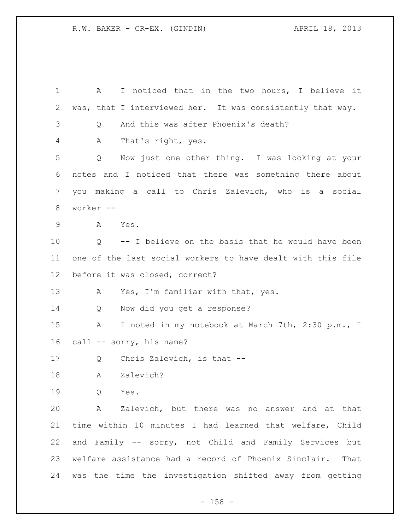A I noticed that in the two hours, I believe it was, that I interviewed her. It was consistently that way. Q And this was after Phoenix's death? A That's right, yes. Q Now just one other thing. I was looking at your notes and I noticed that there was something there about you making a call to Chris Zalevich, who is a social worker -- A Yes. Q -- I believe on the basis that he would have been one of the last social workers to have dealt with this file before it was closed, correct? A Yes, I'm familiar with that, yes. Q Now did you get a response? A I noted in my notebook at March 7th, 2:30 p.m., I call -- sorry, his name? 17 Q Chris Zalevich, is that -- A Zalevich? Q Yes. A Zalevich, but there was no answer and at that time within 10 minutes I had learned that welfare, Child and Family -- sorry, not Child and Family Services but welfare assistance had a record of Phoenix Sinclair. That was the time the investigation shifted away from getting

- 158 -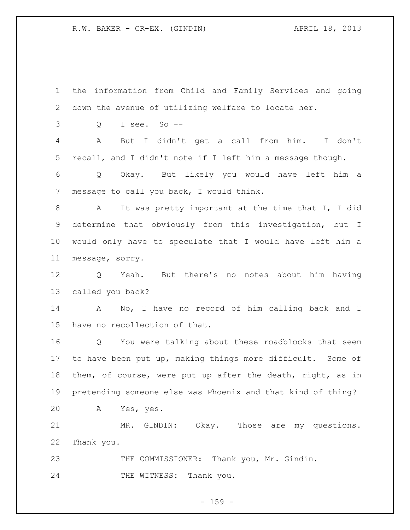the information from Child and Family Services and going down the avenue of utilizing welfare to locate her. Q I see. So -- A But I didn't get a call from him. I don't recall, and I didn't note if I left him a message though. Q Okay. But likely you would have left him a message to call you back, I would think. A It was pretty important at the time that I, I did determine that obviously from this investigation, but I would only have to speculate that I would have left him a message, sorry. Q Yeah. But there's no notes about him having called you back? A No, I have no record of him calling back and I have no recollection of that. Q You were talking about these roadblocks that seem to have been put up, making things more difficult. Some of them, of course, were put up after the death, right, as in pretending someone else was Phoenix and that kind of thing? A Yes, yes. MR. GINDIN: Okay. Those are my questions. Thank you. 23 THE COMMISSIONER: Thank you, Mr. Gindin. 24 THE WITNESS: Thank you.

- 159 -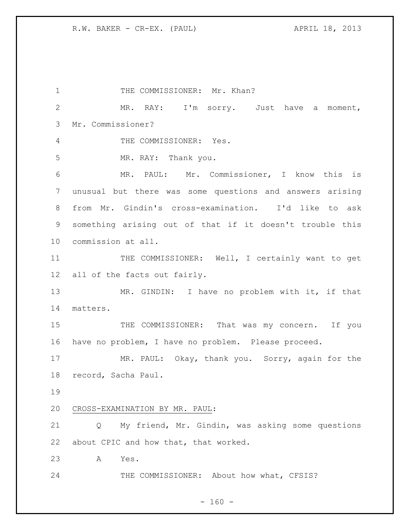1 THE COMMISSIONER: Mr. Khan? MR. RAY: I'm sorry. Just have a moment, Mr. Commissioner? THE COMMISSIONER: Yes. MR. RAY: Thank you. MR. PAUL: Mr. Commissioner, I know this is unusual but there was some questions and answers arising from Mr. Gindin's cross-examination. I'd like to ask something arising out of that if it doesn't trouble this commission at all. 11 THE COMMISSIONER: Well, I certainly want to get all of the facts out fairly. MR. GINDIN: I have no problem with it, if that matters. 15 THE COMMISSIONER: That was my concern. If you have no problem, I have no problem. Please proceed. MR. PAUL: Okay, thank you. Sorry, again for the record, Sacha Paul. CROSS-EXAMINATION BY MR. PAUL: Q My friend, Mr. Gindin, was asking some questions about CPIC and how that, that worked. A Yes. THE COMMISSIONER: About how what, CFSIS?

 $- 160 -$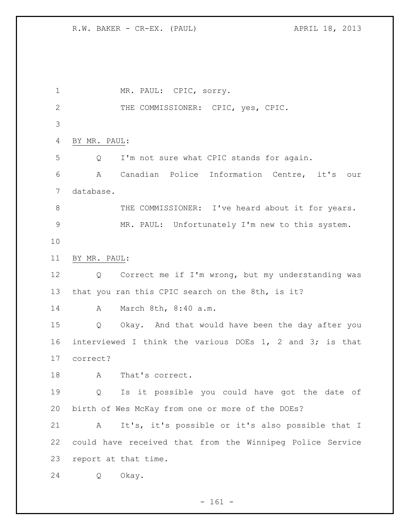1 MR. PAUL: CPIC, sorry. THE COMMISSIONER: CPIC, yes, CPIC. BY MR. PAUL: Q I'm not sure what CPIC stands for again. A Canadian Police Information Centre, it's our database. 8 THE COMMISSIONER: I've heard about it for years. MR. PAUL: Unfortunately I'm new to this system. BY MR. PAUL: Q Correct me if I'm wrong, but my understanding was that you ran this CPIC search on the 8th, is it? A March 8th, 8:40 a.m. Q Okay. And that would have been the day after you interviewed I think the various DOEs 1, 2 and 3; is that correct? 18 A That's correct. Q Is it possible you could have got the date of birth of Wes McKay from one or more of the DOEs? A It's, it's possible or it's also possible that I could have received that from the Winnipeg Police Service report at that time. Q Okay.

 $- 161 -$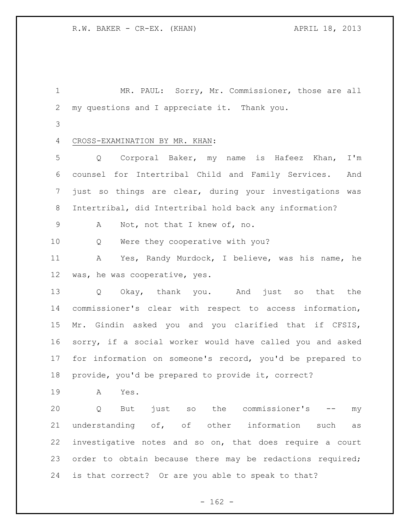MR. PAUL: Sorry, Mr. Commissioner, those are all my questions and I appreciate it. Thank you.

CROSS-EXAMINATION BY MR. KHAN:

 Q Corporal Baker, my name is Hafeez Khan, I'm counsel for Intertribal Child and Family Services. And just so things are clear, during your investigations was Intertribal, did Intertribal hold back any information?

A Not, not that I knew of, no.

Q Were they cooperative with you?

 A Yes, Randy Murdock, I believe, was his name, he was, he was cooperative, yes.

 Q Okay, thank you. And just so that the commissioner's clear with respect to access information, Mr. Gindin asked you and you clarified that if CFSIS, sorry, if a social worker would have called you and asked for information on someone's record, you'd be prepared to provide, you'd be prepared to provide it, correct?

A Yes.

 Q But just so the commissioner's -- my understanding of, of other information such as investigative notes and so on, that does require a court order to obtain because there may be redactions required; is that correct? Or are you able to speak to that?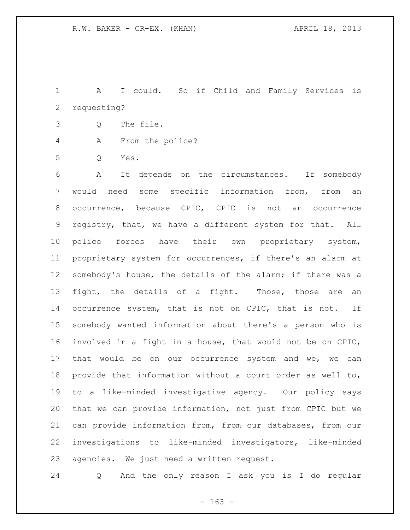A I could. So if Child and Family Services is requesting?

- Q The file.
- A From the police?
- Q Yes.

 A It depends on the circumstances. If somebody would need some specific information from, from an occurrence, because CPIC, CPIC is not an occurrence registry, that, we have a different system for that. All police forces have their own proprietary system, proprietary system for occurrences, if there's an alarm at somebody's house, the details of the alarm; if there was a fight, the details of a fight. Those, those are an 14 occurrence system, that is not on CPIC, that is not. If somebody wanted information about there's a person who is involved in a fight in a house, that would not be on CPIC, 17 that would be on our occurrence system and we, we can provide that information without a court order as well to, to a like-minded investigative agency. Our policy says that we can provide information, not just from CPIC but we can provide information from, from our databases, from our investigations to like-minded investigators, like-minded agencies. We just need a written request.

Q And the only reason I ask you is I do regular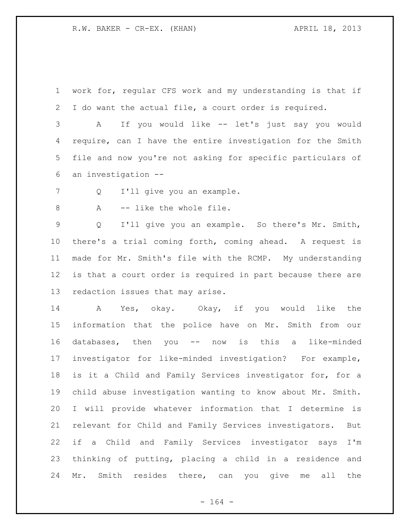work for, regular CFS work and my understanding is that if I do want the actual file, a court order is required.

 A If you would like -- let's just say you would require, can I have the entire investigation for the Smith file and now you're not asking for specific particulars of an investigation --

Q I'll give you an example.

8 A -- like the whole file.

 Q I'll give you an example. So there's Mr. Smith, there's a trial coming forth, coming ahead. A request is made for Mr. Smith's file with the RCMP. My understanding is that a court order is required in part because there are redaction issues that may arise.

 A Yes, okay. Okay, if you would like the information that the police have on Mr. Smith from our databases, then you -- now is this a like-minded investigator for like-minded investigation? For example, is it a Child and Family Services investigator for, for a child abuse investigation wanting to know about Mr. Smith. I will provide whatever information that I determine is relevant for Child and Family Services investigators. But if a Child and Family Services investigator says I'm thinking of putting, placing a child in a residence and Mr. Smith resides there, can you give me all the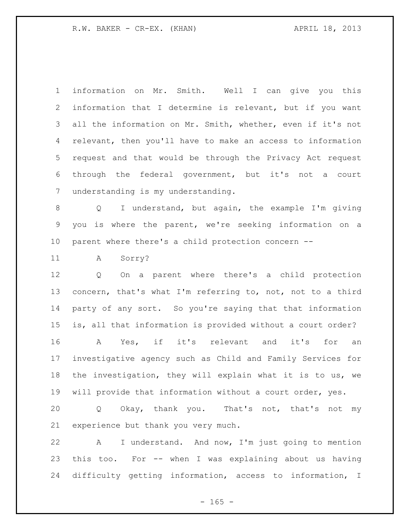information on Mr. Smith. Well I can give you this information that I determine is relevant, but if you want all the information on Mr. Smith, whether, even if it's not relevant, then you'll have to make an access to information request and that would be through the Privacy Act request through the federal government, but it's not a court understanding is my understanding.

 Q I understand, but again, the example I'm giving you is where the parent, we're seeking information on a parent where there's a child protection concern --

A Sorry?

 Q On a parent where there's a child protection concern, that's what I'm referring to, not, not to a third party of any sort. So you're saying that that information is, all that information is provided without a court order? A Yes, if it's relevant and it's for an

 investigative agency such as Child and Family Services for the investigation, they will explain what it is to us, we will provide that information without a court order, yes.

 Q Okay, thank you. That's not, that's not my experience but thank you very much.

 A I understand. And now, I'm just going to mention this too. For -- when I was explaining about us having difficulty getting information, access to information, I

 $- 165 -$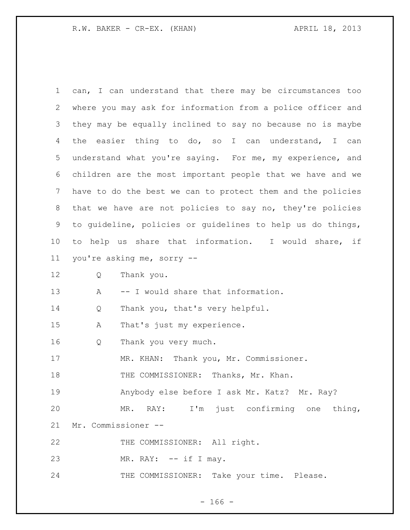| $\mathbf 1$ | can, I can understand that there may be circumstances too   |
|-------------|-------------------------------------------------------------|
| 2           | where you may ask for information from a police officer and |
| 3           | they may be equally inclined to say no because no is maybe  |
| 4           | the easier thing to do, so I can understand, I can          |
| 5           | understand what you're saying. For me, my experience, and   |
| 6           | children are the most important people that we have and we  |
| 7           | have to do the best we can to protect them and the policies |
| 8           | that we have are not policies to say no, they're policies   |
| 9           | to guideline, policies or guidelines to help us do things,  |
| 10          | help us share that information. I would share, if<br>to     |
| 11          | you're asking me, sorry --                                  |
| 12          | Thank you.<br>Q                                             |
| 13          | -- I would share that information.<br>A                     |
| 14          | Thank you, that's very helpful.<br>Q                        |
| 15          | That's just my experience.<br>Α                             |
| 16          | Thank you very much.<br>Q                                   |
| 17          | MR. KHAN: Thank you, Mr. Commissioner.                      |
| 18          | THE COMMISSIONER: Thanks, Mr. Khan.                         |
| 19          | Anybody else before I ask Mr. Katz? Mr. Ray?                |
| 20          | MR. RAY: I'm just confirming one thing,                     |
| 21          | Mr. Commissioner --                                         |
| 22          | THE COMMISSIONER: All right.                                |
| 23          | MR. RAY: $--$ if I may.                                     |
| 24          | THE COMMISSIONER: Take your time. Please.                   |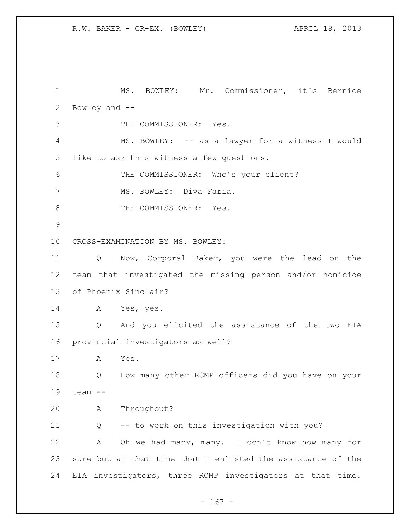## R.W. BAKER - CR-EX. (BOWLEY) APRIL 18, 2013

 MS. BOWLEY: Mr. Commissioner, it's Bernice Bowley and -- THE COMMISSIONER: Yes. MS. BOWLEY: -- as a lawyer for a witness I would like to ask this witness a few questions. THE COMMISSIONER: Who's your client? 7 MS. BOWLEY: Diva Faria. 8 THE COMMISSIONER: Yes. CROSS-EXAMINATION BY MS. BOWLEY: Q Now, Corporal Baker, you were the lead on the team that investigated the missing person and/or homicide of Phoenix Sinclair? A Yes, yes. Q And you elicited the assistance of the two EIA provincial investigators as well? A Yes. Q How many other RCMP officers did you have on your team -- A Throughout? Q -- to work on this investigation with you? A Oh we had many, many. I don't know how many for sure but at that time that I enlisted the assistance of the EIA investigators, three RCMP investigators at that time.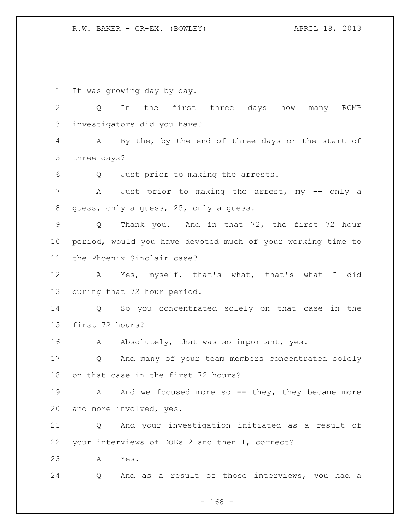R.W. BAKER - CR-EX. (BOWLEY) APRIL 18, 2013

It was growing day by day.

 Q In the first three days how many RCMP investigators did you have?

 A By the, by the end of three days or the start of three days?

Q Just prior to making the arrests.

7 A Just prior to making the arrest, my -- only a guess, only a guess, 25, only a guess.

 Q Thank you. And in that 72, the first 72 hour period, would you have devoted much of your working time to the Phoenix Sinclair case?

 A Yes, myself, that's what, that's what I did during that 72 hour period.

 Q So you concentrated solely on that case in the first 72 hours?

16 A Absolutely, that was so important, yes.

 Q And many of your team members concentrated solely on that case in the first 72 hours?

19 A And we focused more so -- they, they became more and more involved, yes.

 Q And your investigation initiated as a result of your interviews of DOEs 2 and then 1, correct?

A Yes.

Q And as a result of those interviews, you had a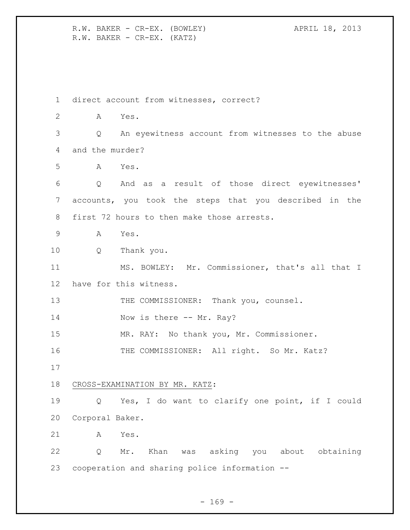R.W. BAKER - CR-EX. (BOWLEY) APRIL 18, 2013 R.W. BAKER - CR-EX. (KATZ)

 direct account from witnesses, correct? A Yes. Q An eyewitness account from witnesses to the abuse and the murder? A Yes. Q And as a result of those direct eyewitnesses' accounts, you took the steps that you described in the first 72 hours to then make those arrests. A Yes. Q Thank you. MS. BOWLEY: Mr. Commissioner, that's all that I have for this witness. 13 THE COMMISSIONER: Thank you, counsel. 14 Now is there -- Mr. Ray? MR. RAY: No thank you, Mr. Commissioner. 16 THE COMMISSIONER: All right. So Mr. Katz? CROSS-EXAMINATION BY MR. KATZ: Q Yes, I do want to clarify one point, if I could Corporal Baker. A Yes. Q Mr. Khan was asking you about obtaining cooperation and sharing police information --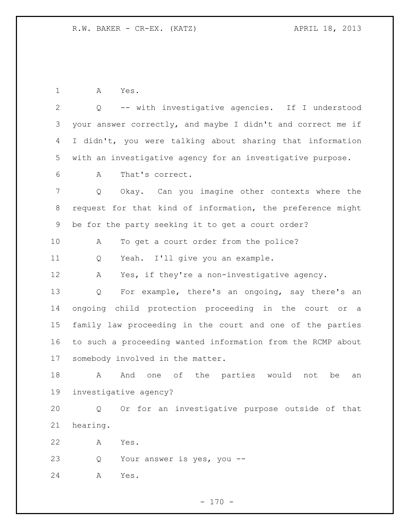A Yes.

 Q -- with investigative agencies. If I understood your answer correctly, and maybe I didn't and correct me if I didn't, you were talking about sharing that information with an investigative agency for an investigative purpose. A That's correct. Q Okay. Can you imagine other contexts where the request for that kind of information, the preference might be for the party seeking it to get a court order? A To get a court order from the police? Q Yeah. I'll give you an example. A Yes, if they're a non-investigative agency. Q For example, there's an ongoing, say there's an ongoing child protection proceeding in the court or a family law proceeding in the court and one of the parties to such a proceeding wanted information from the RCMP about somebody involved in the matter.

18 A And one of the parties would not be an investigative agency?

 Q Or for an investigative purpose outside of that hearing.

A Yes.

Q Your answer is yes, you --

A Yes.

 $- 170 -$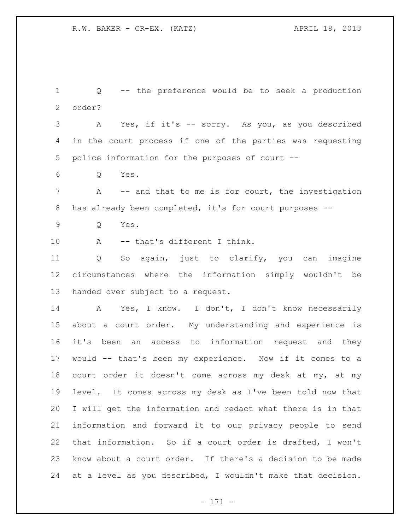Q -- the preference would be to seek a production order? A Yes, if it's -- sorry. As you, as you described in the court process if one of the parties was requesting police information for the purposes of court --  $6 \qquad \qquad \text{O} \qquad \text{Yes.}$ 7 A -- and that to me is for court, the investigation has already been completed, it's for court purposes -- Q Yes. A -- that's different I think. Q So again, just to clarify, you can imagine circumstances where the information simply wouldn't be handed over subject to a request. A Yes, I know. I don't, I don't know necessarily about a court order. My understanding and experience is it's been an access to information request and they would -- that's been my experience. Now if it comes to a court order it doesn't come across my desk at my, at my level. It comes across my desk as I've been told now that I will get the information and redact what there is in that information and forward it to our privacy people to send that information. So if a court order is drafted, I won't know about a court order. If there's a decision to be made at a level as you described, I wouldn't make that decision.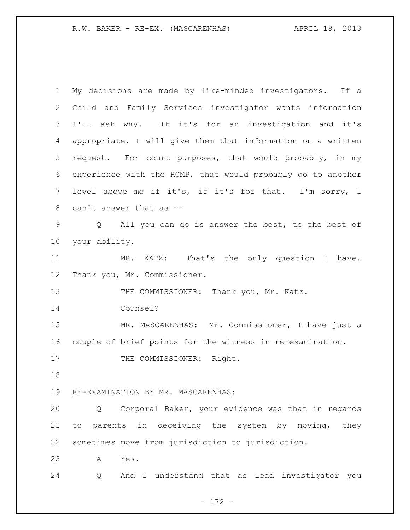| $\mathbf 1$    | My decisions are made by like-minded investigators. If a    |
|----------------|-------------------------------------------------------------|
| $\overline{2}$ | Child and Family Services investigator wants information    |
| 3              | I'll ask why. If it's for an investigation and it's         |
| 4              | appropriate, I will give them that information on a written |
| 5              | request. For court purposes, that would probably, in my     |
| 6              | experience with the RCMP, that would probably go to another |
| 7              | level above me if it's, if it's for that. I'm sorry, I      |
| 8              | can't answer that as --                                     |
| $\mathsf 9$    | Q All you can do is answer the best, to the best of         |
| 10             | your ability.                                               |
| 11             | MR. KATZ: That's the only question I have.                  |
| 12             | Thank you, Mr. Commissioner.                                |
| 13             | THE COMMISSIONER: Thank you, Mr. Katz.                      |
| 14             | Counsel?                                                    |
| 15             | MR. MASCARENHAS: Mr. Commissioner, I have just a            |
| 16             | couple of brief points for the witness in re-examination.   |
| 17             | THE COMMISSIONER: Right.                                    |
| 18             |                                                             |
| 19             | RE-EXAMINATION BY MR. MASCARENHAS:                          |
| 20             | Corporal Baker, your evidence was that in regards<br>Q      |
| 21             | parents in deceiving the system by moving, they<br>to       |
| 22             | sometimes move from jurisdiction to jurisdiction.           |
| 23             | Yes.<br>A                                                   |
| 24             | And I understand that as lead investigator you<br>Q         |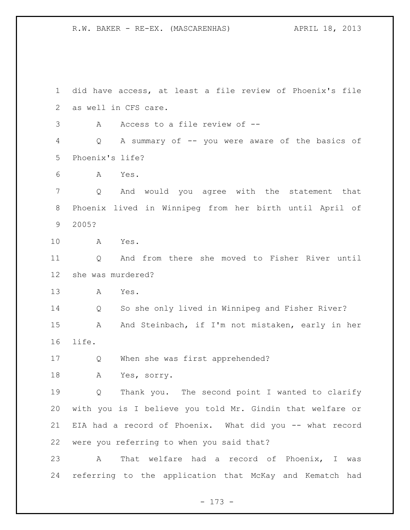did have access, at least a file review of Phoenix's file as well in CFS care. A Access to a file review of -- Q A summary of -- you were aware of the basics of Phoenix's life? A Yes. Q And would you agree with the statement that Phoenix lived in Winnipeg from her birth until April of 2005? A Yes. Q And from there she moved to Fisher River until she was murdered? A Yes. Q So she only lived in Winnipeg and Fisher River? 15 A And Steinbach, if I'm not mistaken, early in her life. Q When she was first apprehended? A Yes, sorry. Q Thank you. The second point I wanted to clarify with you is I believe you told Mr. Gindin that welfare or EIA had a record of Phoenix. What did you -- what record were you referring to when you said that? A That welfare had a record of Phoenix, I was referring to the application that McKay and Kematch had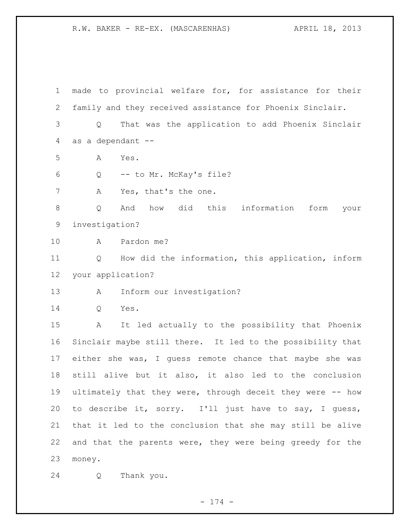made to provincial welfare for, for assistance for their family and they received assistance for Phoenix Sinclair. Q That was the application to add Phoenix Sinclair as a dependant -- A Yes. Q -- to Mr. McKay's file? 7 A Yes, that's the one. Q And how did this information form your investigation? A Pardon me? Q How did the information, this application, inform your application? A Inform our investigation? Q Yes. A It led actually to the possibility that Phoenix Sinclair maybe still there. It led to the possibility that either she was, I guess remote chance that maybe she was still alive but it also, it also led to the conclusion ultimately that they were, through deceit they were -- how to describe it, sorry. I'll just have to say, I guess, that it led to the conclusion that she may still be alive and that the parents were, they were being greedy for the money. Q Thank you.

- 174 -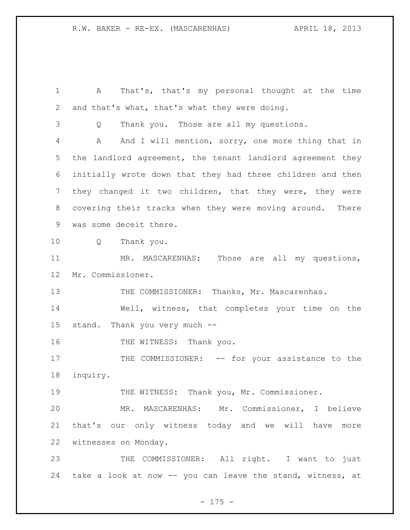A That's, that's my personal thought at the time and that's what, that's what they were doing. Q Thank you. Those are all my questions. A And I will mention, sorry, one more thing that in the landlord agreement, the tenant landlord agreement they initially wrote down that they had three children and then they changed it two children, that they were, they were covering their tracks when they were moving around. There was some deceit there. Q Thank you. MR. MASCARENHAS: Those are all my questions, Mr. Commissioner. THE COMMISSIONER: Thanks, Mr. Mascarenhas. Well, witness, that completes your time on the stand. Thank you very much -- 16 THE WITNESS: Thank you. 17 THE COMMISSIONER: -- for your assistance to the inquiry. THE WITNESS: Thank you, Mr. Commissioner. MR. MASCARENHAS: Mr. Commissioner, I believe that's our only witness today and we will have more witnesses on Monday. 23 THE COMMISSIONER: All right. I want to just take a look at now -- you can leave the stand, witness, at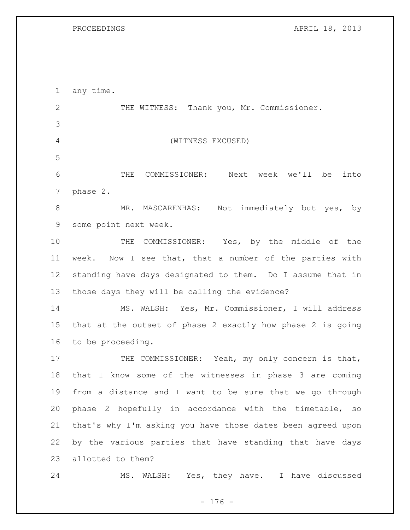PROCEEDINGS APRIL 18, 2013

| $\mathbf 1$    | any time.                                                   |
|----------------|-------------------------------------------------------------|
| $\overline{2}$ | THE WITNESS: Thank you, Mr. Commissioner.                   |
| 3              |                                                             |
| 4              | (WITNESS EXCUSED)                                           |
| 5              |                                                             |
| 6              | Next week we'll be<br>THE<br>COMMISSIONER:<br>into          |
| 7              | phase 2.                                                    |
| $8\,$          | Not immediately but yes, by<br>MR. MASCARENHAS:             |
| $\mathsf 9$    | some point next week.                                       |
| 10             | THE COMMISSIONER: Yes, by the middle of the                 |
| 11             | Now I see that, that a number of the parties with<br>week.  |
| 12             | standing have days designated to them. Do I assume that in  |
| 13             | those days they will be calling the evidence?               |
| 14             | MS. WALSH: Yes, Mr. Commissioner, I will address            |
| 15             | that at the outset of phase 2 exactly how phase 2 is going  |
| 16             | to be proceeding.                                           |
| 17             | THE COMMISSIONER: Yeah, my only concern is that,            |
| 18             | that I know some of the witnesses in phase 3 are coming     |
| 19             | from a distance and I want to be sure that we go through    |
| 20             | phase 2 hopefully in accordance with the timetable, so      |
| 21             | that's why I'm asking you have those dates been agreed upon |
| 22             | by the various parties that have standing that have days    |
| 23             | allotted to them?                                           |
| 24             | MS. WALSH: Yes, they have. I have discussed                 |

- 176 -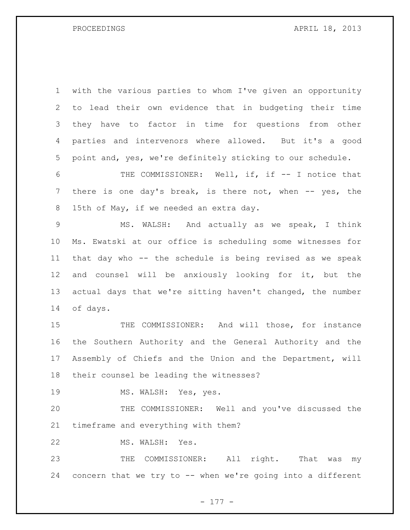PROCEEDINGS APRIL 18, 2013

 with the various parties to whom I've given an opportunity to lead their own evidence that in budgeting their time they have to factor in time for questions from other parties and intervenors where allowed. But it's a good point and, yes, we're definitely sticking to our schedule.

 THE COMMISSIONER: Well, if, if -- I notice that 7 there is one day's break, is there not, when -- yes, the 15th of May, if we needed an extra day.

 MS. WALSH: And actually as we speak, I think Ms. Ewatski at our office is scheduling some witnesses for that day who -- the schedule is being revised as we speak and counsel will be anxiously looking for it, but the actual days that we're sitting haven't changed, the number of days.

 THE COMMISSIONER: And will those, for instance the Southern Authority and the General Authority and the Assembly of Chiefs and the Union and the Department, will their counsel be leading the witnesses?

19 MS. WALSH: Yes, yes.

 THE COMMISSIONER: Well and you've discussed the timeframe and everything with them?

MS. WALSH: Yes.

 THE COMMISSIONER: All right. That was my concern that we try to -- when we're going into a different

- 177 -